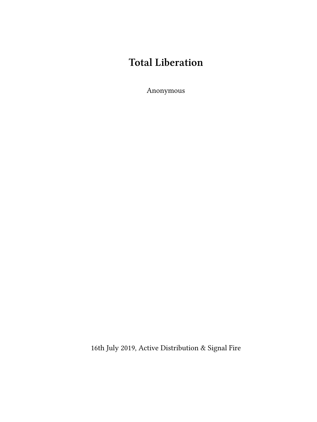# **Total Liberation**

Anonymous

16th July 2019, Active Distribution & Signal Fire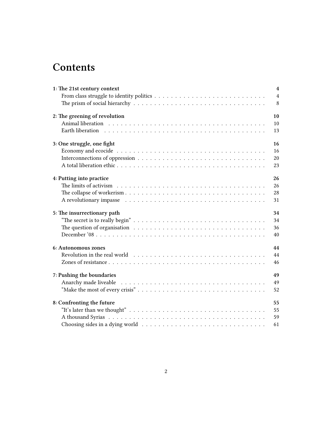# **Contents**

| 1: The 21st century context                                                                                         | $\overline{4}$ |
|---------------------------------------------------------------------------------------------------------------------|----------------|
|                                                                                                                     | $\overline{4}$ |
| The prism of social hierarchy $\dots \dots \dots \dots \dots \dots \dots \dots \dots \dots \dots \dots \dots \dots$ | 8              |
| 2: The greening of revolution                                                                                       | 10             |
|                                                                                                                     | 10             |
|                                                                                                                     | 13             |
| 3: One struggle, one fight                                                                                          | 16             |
|                                                                                                                     | 16             |
|                                                                                                                     | 20             |
|                                                                                                                     | 23             |
| 4: Putting into practice                                                                                            | 26             |
| The limits of activism $\ldots \ldots \ldots \ldots \ldots \ldots \ldots \ldots \ldots \ldots \ldots \ldots$        | 26             |
| The collapse of workerism $\dots \dots \dots \dots \dots \dots \dots \dots \dots \dots \dots \dots \dots \dots$     | 28             |
|                                                                                                                     | 31             |
| 5: The insurrectionary path                                                                                         | 34             |
|                                                                                                                     | 34             |
| The question of organisation $\ldots \ldots \ldots \ldots \ldots \ldots \ldots \ldots \ldots \ldots$                | 36             |
|                                                                                                                     | 40             |
| 6: Autonomous zones                                                                                                 | 44             |
| Revolution in the real world $\dots \dots \dots \dots \dots \dots \dots \dots \dots \dots \dots \dots \dots \dots$  | 44             |
|                                                                                                                     | 46             |
| 7: Pushing the boundaries                                                                                           | 49             |
|                                                                                                                     | 49             |
|                                                                                                                     | 52             |
| 8: Confronting the future                                                                                           | 55             |
|                                                                                                                     | 55             |
|                                                                                                                     | 59             |
|                                                                                                                     | 61             |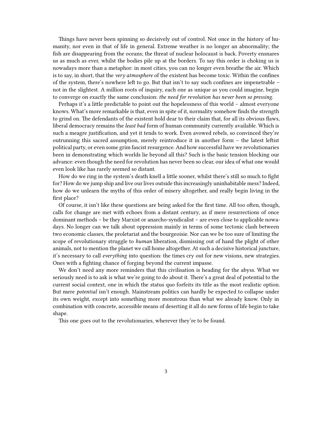Things have never been spinning so decisively out of control. Not once in the history of humanity, nor even in that of life in general. Extreme weather is no longer an abnormality; the fish are disappearing from the oceans; the threat of nuclear holocaust is back. Poverty ensnares us as much as ever, whilst the bodies pile up at the borders. To say this order is choking us is nowadays more than a metaphor: in most cities, you can no longer even breathe the air. Which is to say, in short, that the *very atmosphere* of the existent has become toxic*.* Within the confines of the system, there's nowhere left to go. But that isn't to say such confines are impenetrable – not in the slightest. A million roots of inquiry, each one as unique as you could imagine, begin to converge on exactly the same conclusion: *the need for revolution has never been so pressing.*

Perhaps it's a little predictable to point out the hopelessness of this world – almost everyone knows. What's more remarkable is that, even in spite of it, normality somehow finds the strength to grind on. The defendants of the existent hold dear to their claim that, for all its obvious flaws, liberal democracy remains the *least bad* form of human community currently available. Which is such a meagre justification, and yet it tends to work. Even avowed rebels, so convinced they're outrunning this sacred assumption, merely reintroduce it in another form – the latest leftist political party, or even some grim fascist resurgence. And how successful have we revolutionaries been in demonstrating which worlds lie beyond all this? Such is the basic tension blocking our advance: even though the need for revolution has never been so clear, our idea of what one would even look like has rarely seemed so distant.

How do we ring in the system's death knell a little sooner, whilst there's still so much to fight for? How do we jump ship and live our lives outside this increasingly uninhabitable mess? Indeed, how do we unlearn the myths of this order of misery altogether, and really begin living in the first place?

Of course, it isn't like these questions are being asked for the first time. All too often, though, calls for change are met with echoes from a distant century, as if mere resurrections of once dominant methods – be they Marxist or anarcho-syndicalist – are even close to applicable nowadays. No longer can we talk about oppression mainly in terms of some tectonic clash between two economic classes, the proletariat and the bourgeoisie. Nor can we be too sure of limiting the scope of revolutionary struggle to *human* liberation, dismissing out of hand the plight of other animals, not to mention the planet we call home altogether. At such a decisive historical juncture, it's necessary to call *everything* into question: the times cry out for new visions, new strategies. Ones with a fighting chance of forging beyond the current impasse.

We don't need any more reminders that this civilisation is heading for the abyss. What we seriously need is to ask is what we're going to do about it. There's a great deal of potential to the current social context, one in which the status quo forfeits its title as the most realistic option. But mere *potential* isn't enough. Mainstream politics can hardly be expected to collapse under its own weight, except into something more monstrous than what we already know. Only in combination with concrete, accessible means of deserting it all do new forms of life begin to take shape.

This one goes out to the revolutionaries, wherever they're to be found.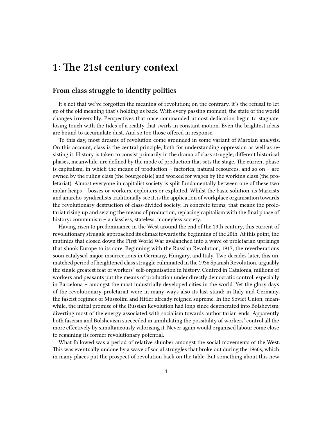### <span id="page-3-0"></span>**1: The 21st century context**

#### <span id="page-3-1"></span>**From class struggle to identity politics**

It's not that we've forgotten the meaning of revolution; on the contrary, it's the refusal to let go of the old meaning that's holding us back. With every passing moment, the state of the world changes irreversibly. Perspectives that once commanded utmost dedication begin to stagnate, losing touch with the tides of a reality that swirls in constant motion. Even the brightest ideas are bound to accumulate dust. And so too those offered in response.

To this day, most dreams of revolution come grounded in some variant of Marxian analysis. On this account, class is the central principle, both for understanding oppression as well as resisting it. History is taken to consist primarily in the drama of class struggle; different historical phases, meanwhile, are defined by the mode of production that sets the stage. The current phase is capitalism, in which the means of production – factories, natural resources, and so on – are owned by the ruling class (the bourgeoisie) and worked for wages by the working class (the proletariat). Almost everyone in capitalist society is split fundamentally between one of these two molar heaps – bosses or workers, exploiters or exploited. Whilst the basic solution, as Marxists and anarcho-syndicalists traditionally see it, is the application of workplace organisation towards the revolutionary destruction of class-divided society. In concrete terms, that means the proletariat rising up and seizing the means of production, replacing capitalism with the final phase of history: communism – a classless, stateless, moneyless society.

Having risen to predominance in the West around the end of the 19th century, this current of revolutionary struggle approached its climax towards the beginning of the 20th. At this point, the mutinies that closed down the First World War avalanched into a wave of proletarian uprisings that shook Europe to its core. Beginning with the Russian Revolution, 1917, the reverberations soon catalysed major insurrections in Germany, Hungary, and Italy. Two decades later, this unmatched period of heightened class struggle culminated in the 1936 Spanish Revolution, arguably the single greatest feat of workers' self-organisation in history. Centred in Catalonia, millions of workers and peasants put the means of production under directly democratic control, especially in Barcelona – amongst the most industrially developed cities in the world. Yet the glory days of the revolutionary proletariat were in many ways also its last stand; in Italy and Germany, the fascist regimes of Mussolini and Hitler already reigned supreme. In the Soviet Union, meanwhile, the initial promise of the Russian Revolution had long since degenerated into Bolshevism, diverting most of the energy associated with socialism towards authoritarian ends. Apparently both fascism and Bolshevism succeeded in annihilating the possibility of workers' control all the more effectively by simultaneously valorising it. Never again would organised labour come close to regaining its former revolutionary potential.

What followed was a period of relative slumber amongst the social movements of the West. This was eventually undone by a wave of social struggles that broke out during the 1960s, which in many places put the prospect of revolution back on the table. But something about this new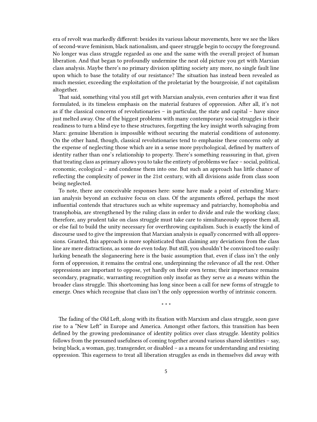era of revolt was markedly different: besides its various labour movements, here we see the likes of second-wave feminism, black nationalism, and queer struggle begin to occupy the foreground. No longer was class struggle regarded as one and the same with the overall project of human liberation. And that began to profoundly undermine the neat old picture you get with Marxian class analysis. Maybe there's no primary division splitting society any more, no single fault line upon which to base the totality of our resistance? The situation has instead been revealed as much messier, exceeding the exploitation of the proletariat by the bourgeoisie, if not capitalism altogether.

That said, something vital you still get with Marxian analysis, even centuries after it was first formulated, is its timeless emphasis on the material features of oppression. After all, it's not as if the classical concerns of revolutionaries – in particular, the state and capital – have since just melted away. One of the biggest problems with many contemporary social struggles is their readiness to turn a blind eye to these structures, forgetting the key insight worth salvaging from Marx: genuine liberation is impossible without securing the material conditions of autonomy. On the other hand, though, classical revolutionaries tend to emphasise these concerns only at the expense of neglecting those which are in a sense more psychological, defined by matters of identity rather than one's relationship to property. There's something reassuring in that, given that treating class as primary allows you to take the entirety of problems we face – social, political, economic, ecological – and condense them into one. But such an approach has little chance of reflecting the complexity of power in the 21st century, with all divisions aside from class soon being neglected.

To note, there are conceivable responses here: some have made a point of extending Marxian analysis beyond an exclusive focus on class. Of the arguments offered, perhaps the most influential contends that structures such as white supremacy and patriarchy, homophobia and transphobia, are strengthened by the ruling class in order to divide and rule the working class; therefore, any prudent take on class struggle must take care to simultaneously oppose them all, or else fail to build the unity necessary for overthrowing capitalism. Such is exactly the kind of discourse used to give the impression that Marxian analysis is *equally* concerned with all oppressions. Granted, this approach is more sophisticated than claiming any deviations from the class line are mere distractions, as some do even today. But still, you shouldn't be convinced too easily: lurking beneath the sloganeering here is the basic assumption that, even if class isn't the only form of oppression, it remains the central one, underpinning the relevance of all the rest. Other oppressions are important to oppose, yet hardly on their own terms; their importance remains secondary, pragmatic, warranting recognition only insofar as they serve *as a means* within the broader class struggle. This shortcoming has long since been a call for new forms of struggle to emerge. Ones which recognise that class isn't the only oppression worthy of intrinsic concern.

\* \* \*

The fading of the Old Left, along with its fixation with Marxism and class struggle, soon gave rise to a "New Left" in Europe and America. Amongst other factors, this transition has been defined by the growing predominance of identity politics over class struggle. Identity politics follows from the presumed usefulness of coming together around various shared identities – say, being black, a woman, gay, transgender, or disabled – as a means for understanding and resisting oppression. This eagerness to treat all liberation struggles as ends in themselves did away with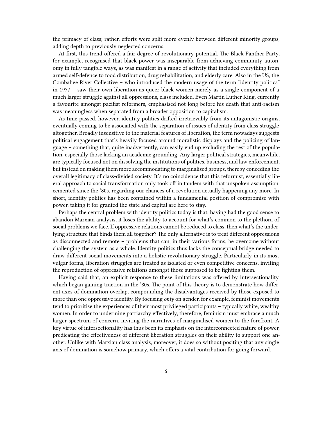the primacy of class; rather, efforts were split more evenly between different minority groups, adding depth to previously neglected concerns.

At first, this trend offered a fair degree of revolutionary potential. The Black Panther Party, for example, recognised that black power was inseparable from achieving community autonomy in fully tangible ways, as was manifest in a range of activity that included everything from armed self-defence to food distribution, drug rehabilitation, and elderly care. Also in the US, the Combahee River Collective – who introduced the modern usage of the term "identity politics" in 1977 – saw their own liberation as queer black women merely as a single component of a much larger struggle against all oppressions, class included. Even Martin Luther King, currently a favourite amongst pacifist reformers, emphasised not long before his death that anti-racism was meaningless when separated from a broader opposition to capitalism.

As time passed, however, identity politics drifted irretrievably from its antagonistic origins, eventually coming to be associated with the separation of issues of identity from class struggle altogether. Broadly insensitive to the material features of liberation, the term nowadays suggests political engagement that's heavily focused around moralistic displays and the policing of language – something that, quite inadvertently, can easily end up excluding the rest of the population, especially those lacking an academic grounding. Any larger political strategies, meanwhile, are typically focused not on dissolving the institutions of politics, business, and law enforcement, but instead on making them more accommodating to marginalised groups, thereby conceding the overall legitimacy of class-divided society. It's no coincidence that this reformist, essentially liberal approach to social transformation only took off in tandem with that unspoken assumption, cemented since the '80s, regarding our chances of a revolution actually happening any more. In short, identity politics has been contained within a fundamental position of compromise with power, taking it for granted the state and capital are here to stay.

Perhaps the central problem with identity politics today is that, having had the good sense to abandon Marxian analysis, it loses the ability to account for what's common to the plethora of social problems we face. If oppressive relations cannot be reduced to class, then what's the underlying structure that binds them all together? The only alternative is to treat different oppressions as disconnected and remote – problems that can, in their various forms, be overcome without challenging the system as a whole. Identity politics thus lacks the conceptual bridge needed to draw different social movements into a holistic revolutionary struggle. Particularly in its most vulgar forms, liberation struggles are treated as isolated or even competitive concerns, inviting the reproduction of oppressive relations amongst those supposed to be fighting them.

Having said that, an explicit response to these limitations was offered by intersectionality, which began gaining traction in the '80s. The point of this theory is to demonstrate how different axes of domination overlap, compounding the disadvantages received by those exposed to more than one oppressive identity. By focusing *only* on gender, for example, feminist movements tend to prioritise the experiences of their most privileged participants – typically white, wealthy women. In order to undermine patriarchy effectively, therefore, feminism must embrace a much larger spectrum of concern, inviting the narratives of marginalised women to the forefront. A key virtue of intersectionality has thus been its emphasis on the interconnected nature of power, predicating the effectiveness of different liberation struggles on their ability to support one another. Unlike with Marxian class analysis, moreover, it does so without positing that any single axis of domination is somehow primary, which offers a vital contribution for going forward.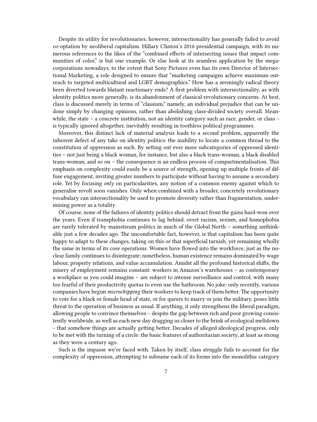Despite its utility for revolutionaries, however, intersectionality has generally failed to avoid co-optation by neoliberal capitalism. Hillary Clinton's 2016 presidential campaign, with its numerous references to the likes of the "combined effects of intersecting issues that impact communities of color," is but one example. Or else look at its seamless application by the megacorporations nowadays, to the extent that Sony Pictures even has its own Director of Intersectional Marketing, a role designed to ensure that "marketing campaigns achieve maximum outreach to targeted multicultural and LGBT demographics." How has a seemingly radical theory been diverted towards blatant reactionary ends? A first problem with intersectionality, as with identity politics more generally, is its abandonment of classical revolutionary concerns. At best, class is discussed merely in terms of "classism," namely, an individual prejudice that can be undone simply by changing opinions, rather than abolishing class-divided society overall. Meanwhile, the state – a concrete institution, not an identity category such as race, gender, or class – is typically ignored altogether, inevitably resulting in toothless political programmes.

Moreover, this distinct lack of material analysis leads to a second problem, apparently the inherent defect of any take on identity politics: the inability to locate a common thread to the constitution of oppression as such. By setting out ever more subcategories of oppressed identities – not just being a black woman, for instance, but also a black trans-woman, a black disabled trans-woman, and so on – the consequence is an endless process of compartmentalisation. This emphasis on complexity could easily be a source of strength, opening up multiple fronts of diffuse engagement, inviting greater numbers to participate without having to assume a secondary role. Yet by focusing *only* on particularities, any notion of a common enemy against which to generalise revolt soon vanishes. Only when combined with a broader, concretely revolutionary vocabulary can intersectionality be used to promote diversity rather than fragmentation, undermining power as a totality.

Of course, none of the failures of identity politics should detract from the gains hard-won over the years. Even if transphobia continues to lag behind, overt racism, sexism, and homophobia are rarely tolerated by mainstream politics in much of the Global North – something unthinkable just a few decades ago. The uncomfortable fact, however, is that capitalism has been quite happy to adapt to these changes, taking on this or that superficial tarnish, yet remaining wholly the same in terms of its core operations. Women have flowed into the workforce, just as the nuclear family continues to disintegrate; nonetheless, human existence remains dominated by wage labour, property relations, and value accumulation. Amidst all the profound historical shifts, the misery of employment remains constant: workers in Amazon's warehouses – as contemporary a workplace as you could imagine – are subject to intense surveillance and control, with many too fearful of their productivity quotas to even use the bathroom. No joke: only recently, various companies have begun *microchipping* their workers to keep track of them better. The opportunity to vote for a black or female head of state, or for queers to marry or join the military, poses little threat to the operation of business as usual. If anything, it only strengthens the liberal paradigm, allowing people to convince themselves – despite the gap between rich and poor growing consistently worldwide, as well as each new day dragging us closer to the brink of ecological meltdown – that somehow things are actually getting better. Decades of alleged ideological progress, only to be met with the turning of a circle: the basic features of authoritarian society, at least as strong as they were a century ago.

Such is the impasse we're faced with. Taken by itself, class struggle fails to account for the complexity of oppression, attempting to subsume each of its forms into the monolithic category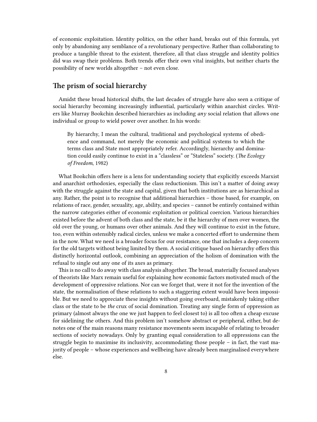of economic exploitation. Identity politics, on the other hand, breaks out of this formula, yet only by abandoning any semblance of a revolutionary perspective. Rather than collaborating to produce a tangible threat to the existent, therefore, all that class struggle and identity politics did was swap their problems. Both trends offer their own vital insights, but neither charts the possibility of new worlds altogether – not even close.

#### <span id="page-7-0"></span>**The prism of social hierarchy**

Amidst these broad historical shifts, the last decades of struggle have also seen a critique of social hierarchy becoming increasingly influential, particularly within anarchist circles. Writers like Murray Bookchin described hierarchies as including *any* social relation that allows one individual or group to wield power over another. In his words:

By hierarchy, I mean the cultural, traditional and psychological systems of obedience and command, not merely the economic and political systems to which the terms class and State most appropriately refer. Accordingly, hierarchy and domination could easily continue to exist in a "classless" or "Stateless" society. (*The Ecology of Freedom*, 1982)

What Bookchin offers here is a lens for understanding society that explicitly exceeds Marxist and anarchist orthodoxies, especially the class reductionism. This isn't a matter of doing away with the struggle against the state and capital, given that both institutions are as hierarchical as any. Rather, the point is to recognise that additional hierarchies – those based, for example, on relations of race, gender, sexuality, age, ability, and species – cannot be entirely contained within the narrow categories either of economic exploitation or political coercion. Various hierarchies existed before the advent of both class and the state, be it the hierarchy of men over women, the old over the young, or humans over other animals. And they will continue to exist in the future, too, even within ostensibly radical circles, unless we make a concerted effort to undermine them in the now. What we need is a broader focus for our resistance, one that includes a deep concern for the old targets without being limited by them. A social critique based on hierarchy offers this distinctly horizontal outlook, combining an appreciation of the holism of domination with the refusal to single out any one of its axes as primary.

This is no call to do away with class analysis altogether. The broad, materially focused analyses of theorists like Marx remain useful for explaining how economic factors motivated much of the development of oppressive relations. Nor can we forget that, were it not for the invention of the state, the normalisation of these relations to such a staggering extent would have been impossible. But we need to appreciate these insights without going overboard, mistakenly taking either class or the state to be *the* crux of social domination. Treating any single form of oppression as primary (almost always the one we just happen to feel closest to) is all too often a cheap excuse for sidelining the others. And this problem isn't somehow abstract or peripheral, either, but denotes one of the main reasons many resistance movements seem incapable of relating to broader sections of society nowadays. Only by granting equal consideration to all oppressions can the struggle begin to maximise its inclusivity, accommodating those people – in fact, the vast majority of people – whose experiences and wellbeing have already been marginalised everywhere else.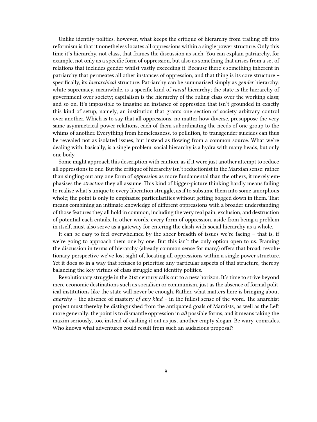Unlike identity politics, however, what keeps the critique of hierarchy from trailing off into reformism is that it nonetheless locates all oppressions within a single power structure. Only this time it's hierarchy, not class, that frames the discussion as such. You can explain patriarchy, for example, not only as a specific form of oppression, but also as something that arises from a set of relations that includes gender whilst vastly exceeding it. Because there's something inherent in patriarchy that permeates all other instances of oppression, and that thing is its core structure – specifically, its *hierarchical* structure. Patriarchy can be summarised simply as *gender* hierarchy; white supremacy, meanwhile, is a specific kind of *racial* hierarchy; the state is the hierarchy of government over society; capitalism is the hierarchy of the ruling class over the working class; and so on. It's impossible to imagine an instance of oppression that isn't grounded in exactly this kind of setup, namely, an institution that grants one section of society arbitrary control over another. Which is to say that all oppressions, no matter how diverse, presuppose the very same asymmetrical power relations, each of them subordinating the needs of one group to the whims of another. Everything from homelessness, to pollution, to transgender suicides can thus be revealed not as isolated issues, but instead as flowing from a common source. What we're dealing with, basically, is a single problem: social hierarchy is a hydra with many heads, but only one body.

Some might approach this description with caution, as if it were just another attempt to reduce all oppressions to one. But the critique of hierarchy isn't reductionist in the Marxian sense: rather than singling out any one form of *oppression* as more fundamental than the others, it merely emphasises the *structure* they all assume. This kind of bigger-picture thinking hardly means failing to realise what's unique to every liberation struggle, as if to subsume them into some amorphous whole; the point is only to emphasise particularities without getting bogged down in them. That means combining an intimate knowledge of different oppressions with a broader understanding of those features they all hold in common, including the very real pain, exclusion, and destruction of potential each entails. In other words, every form of oppression, aside from being a problem in itself, must also serve as a gateway for entering the clash with social hierarchy as a whole.

It can be easy to feel overwhelmed by the sheer breadth of issues we're facing – that is, if we're going to approach them one by one. But this isn't the only option open to us. Framing the discussion in terms of hierarchy (already common sense for many) offers that broad, revolutionary perspective we've lost sight of, locating all oppressions within a single power structure. Yet it does so in a way that refuses to prioritise any particular aspects of that structure, thereby balancing the key virtues of class struggle and identity politics.

Revolutionary struggle in the 21st century calls out to a new horizon. It's time to strive beyond mere economic destinations such as socialism or communism, just as the absence of formal political institutions like the state will never be enough. Rather, what matters here is bringing about *anarchy* – the absence of mastery *of any kind –* in the fullest sense of the word. The anarchist project must thereby be distinguished from the antiquated goals of Marxists, as well as the Left more generally: the point is to dismantle oppression in *all* possible forms, and it means taking the maxim seriously, too, instead of cashing it out as just another empty slogan. Be wary, comrades. Who knows what adventures could result from such an audacious proposal?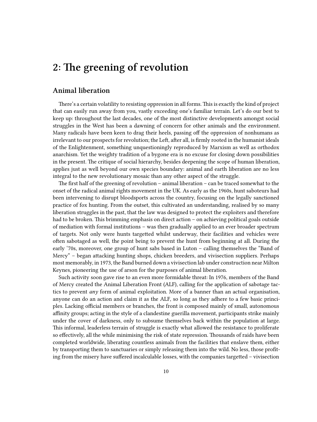## <span id="page-9-0"></span>**2: The greening of revolution**

#### <span id="page-9-1"></span>**Animal liberation**

There's a certain volatility to resisting oppression in all forms. This is exactly the kind of project that can easily run away from you, vastly exceeding one's familiar terrain. Let's do our best to keep up: throughout the last decades, one of the most distinctive developments amongst social struggles in the West has been a dawning of concern for other animals and the environment. Many radicals have been keen to drag their heels, passing off the oppression of nonhumans as irrelevant to our prospects for revolution; the Left, after all, is firmly rooted in the humanist ideals of the Enlightenment, something unquestioningly reproduced by Marxism as well as orthodox anarchism. Yet the weighty tradition of a bygone era is no excuse for closing down possibilities in the present. The critique of social hierarchy, besides deepening the scope of human liberation, applies just as well beyond our own species boundary: animal and earth liberation are no less integral to the new revolutionary mosaic than any other aspect of the struggle.

The first half of the greening of revolution – animal liberation – can be traced somewhat to the onset of the radical animal rights movement in the UK. As early as the 1960s, hunt saboteurs had been intervening to disrupt bloodsports across the country, focusing on the legally sanctioned practice of fox hunting. From the outset, this cultivated an understanding, realised by so many liberation struggles in the past, that the law was designed to protect the exploiters and therefore had to be broken. This brimming emphasis on direct action – on achieving political goals outside of mediation with formal institutions – was then gradually applied to an ever broader spectrum of targets. Not only were hunts targetted whilst underway, their facilities and vehicles were often sabotaged as well, the point being to prevent the hunt from beginning at all. During the early '70s, moreover, one group of hunt sabs based in Luton – calling themselves the "Band of Mercy" – began attacking hunting shops, chicken breeders, and vivisection suppliers. Perhaps most memorably, in 1973, the Band burned down a vivisection lab under construction near Milton Keynes, pioneering the use of arson for the purposes of animal liberation.

Such activity soon gave rise to an even more formidable threat: In 1976, members of the Band of Mercy created the Animal Liberation Front (ALF), calling for the application of sabotage tactics to prevent *any* form of animal exploitation. More of a banner than an actual organisation, anyone can do an action and claim it as the ALF, so long as they adhere to a few basic principles. Lacking official members or branches, the front is composed mainly of small, autonomous affinity groups; acting in the style of a clandestine guerilla movement, participants strike mainly under the cover of darkness, only to subsume themselves back within the population at large. This informal, leaderless terrain of struggle is exactly what allowed the resistance to proliferate so effectively, all the while minimising the risk of state repression. Thousands of raids have been completed worldwide, liberating countless animals from the facilities that enslave them, either by transporting them to sanctuaries or simply releasing them into the wild. No less, those profiting from the misery have suffered incalculable losses, with the companies targetted – vivisection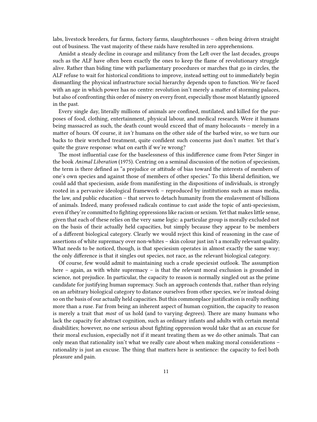labs, livestock breeders, fur farms, factory farms, slaughterhouses – often being driven straight out of business. The vast majority of these raids have resulted in zero apprehensions.

Amidst a steady decline in courage and militancy from the Left over the last decades, groups such as the ALF have often been exactly the ones to keep the flame of revolutionary struggle alive. Rather than biding time with parliamentary procedures or marches that go in circles, the ALF refuse to wait for historical conditions to improve, instead setting out to immediately begin dismantling the physical infrastructure social hierarchy depends upon to function. We're faced with an age in which power has no centre: revolution isn't merely a matter of storming palaces, but also of confronting this order of misery on every front, especially those most blatantly ignored in the past.

Every single day, literally millions of animals are confined, mutilated, and killed for the purposes of food, clothing, entertainment, physical labour, and medical research. Were it humans being massacred as such, the death count would exceed that of many holocausts – merely in a matter of hours. Of course, it *isn't* humans on the other side of the barbed wire, so we turn our backs to their wretched treatment, quite confident such concerns just don't matter. Yet that's quite the grave response: what on earth if we're wrong?

The most influential case for the baselessness of this indifference came from Peter Singer in the book *Animal Liberation* (1975). Centring on a seminal discussion of the notion of speciesism, the term is there defined as "a prejudice or attitude of bias toward the interests of members of one's own species and against those of members of other species." To this liberal definition, we could add that speciesism, aside from manifesting in the dispositions of individuals, is strongly rooted in a pervasive ideological framework – reproduced by institutions such as mass media, the law, and public education – that serves to detach humanity from the enslavement of billions of animals. Indeed, many professed radicals continue to cast aside the topic of anti-speciesism, even if they're committed to fighting oppressions like racism or sexism. Yet that makes little sense, given that each of these relies on the very same logic: a particular group is morally excluded not on the basis of their actually held capacities, but simply because they appear to be members of a different biological category. Clearly we would reject this kind of reasoning in the case of assertions of white supremacy over non-whites – skin colour just isn't a morally relevant quality. What needs to be noticed, though, is that speciesism operates in almost exactly the same way; the only difference is that it singles out species, not race, as the relevant biological category.

Of course, few would admit to maintaining such a crude speciesist outlook. The assumption here – again, as with white supremacy – is that the relevant moral exclusion is grounded in science, not prejudice. In particular, the capacity to reason is normally singled out as the prime candidate for justifying human supremacy. Such an approach contends that, rather than relying on an arbitrary biological category to distance ourselves from other species, we're instead doing so on the basis of our actually held capacities. But this commonplace justification is really nothing more than a ruse. Far from being an inherent aspect of human cognition, the capacity to reason is merely a trait that *most* of us hold (and to varying degrees). There are many humans who lack the capacity for abstract cognition, such as ordinary infants and adults with certain mental disabilities; however, no one serious about fighting oppression would take that as an excuse for their moral exclusion, especially not if it meant treating them as we do other animals. That can only mean that rationality isn't what we really care about when making moral considerations – rationality is just an excuse. The thing that matters here is sentience: the capacity to feel both pleasure and pain.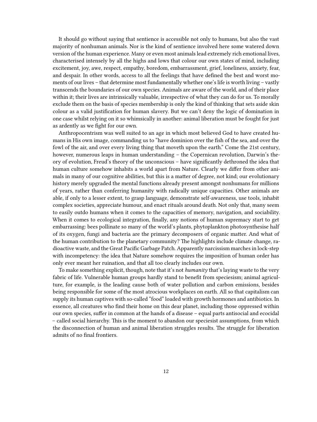It should go without saying that sentience is accessible not only to humans, but also the vast majority of nonhuman animals. Nor is the kind of sentience involved here some watered down version of the human experience. Many or even most animals lead extremely rich emotional lives, characterised intensely by all the highs and lows that colour our own states of mind, including excitement, joy, awe, respect, empathy, boredom, embarrassment, grief, loneliness, anxiety, fear, and despair. In other words, access to all the feelings that have defined the best and worst moments of our lives – that determine most fundamentally whether one's life is worth living – vastly transcends the boundaries of our own species. Animals are aware of the world, and of their place within it; their lives are intrinsically valuable, irrespective of what they can do for us. To morally exclude them on the basis of species membership is only the kind of thinking that sets aside skin colour as a valid justification for human slavery. But we can't deny the logic of domination in one case whilst relying on it so whimsically in another: animal liberation must be fought for just as ardently as we fight for our own.

Anthropocentrism was well suited to an age in which most believed God to have created humans in His own image, commanding us to "have dominion over the fish of the sea, and over the fowl of the air, and over every living thing that moveth upon the earth." Come the 21st century, however, numerous leaps in human understanding – the Copernican revolution, Darwin's theory of evolution, Freud's theory of the unconscious – have significantly dethroned the idea that human culture somehow inhabits a world apart from Nature. Clearly we differ from other animals in many of our cognitive abilities, but this is a matter of degree, not kind; our evolutionary history merely upgraded the mental functions already present amongst nonhumans for millions of years, rather than conferring humanity with radically unique capacities. Other animals are able, if only to a lesser extent, to grasp language, demonstrate self-awareness, use tools, inhabit complex societies, appreciate humour, and enact rituals around death. Not only that, many seem to easily outdo humans when it comes to the capacities of memory, navigation, and sociability. When it comes to ecological integration, finally, any notions of human supremacy start to get embarrassing: bees pollinate so many of the world's plants, phytoplankton photosynthesise half of its oxygen, fungi and bacteria are the primary decomposers of organic matter. And what of the human contribution to the planetary community? The highlights include climate change, radioactive waste, and the Great Pacific Garbage Patch. Apparently narcissism marches in lock-step with incompetency: the idea that Nature somehow requires the imposition of human order has only ever meant her ruination, and that all too clearly includes our own.

To make something explicit, though, note that it's not *humanity* that's laying waste to the very fabric of life. Vulnerable human groups hardly stand to benefit from speciesism; animal agriculture, for example, is the leading cause both of water pollution and carbon emissions, besides being responsible for some of the most atrocious workplaces on earth. All so that capitalism can supply its human captives with so-called "food" loaded with growth hormones and antibiotics. In essence, all creatures who find their home on this dear planet, including those oppressed within our own species, suffer in common at the hands of a disease – equal parts antisocial and ecocidal – called social hierarchy. This is the moment to abandon our speciesist assumptions, from which the disconnection of human and animal liberation struggles results. The struggle for liberation admits of no final frontiers.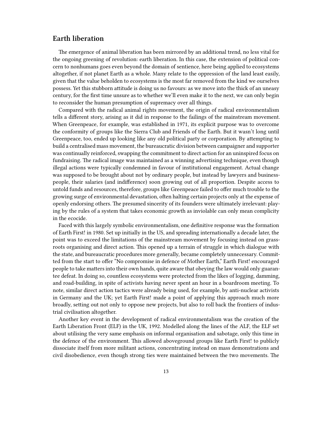#### <span id="page-12-0"></span>**Earth liberation**

The emergence of animal liberation has been mirrored by an additional trend, no less vital for the ongoing greening of revolution: earth liberation. In this case, the extension of political concern to nonhumans goes even beyond the domain of sentience, here being applied to ecosystems altogether, if not planet Earth as a whole. Many relate to the oppression of the land least easily, given that the value beholden to ecosystems is the most far removed from the kind we ourselves possess. Yet this stubborn attitude is doing us no favours: as we move into the thick of an uneasy century, for the first time unsure as to whether we'll even make it to the next, we can only begin to reconsider the human presumption of supremacy over all things.

Compared with the radical animal rights movement, the origin of radical environmentalism tells a different story, arising as it did in response to the failings of the mainstream movement. When Greenpeace, for example, was established in 1971, its explicit purpose was to overcome the conformity of groups like the Sierra Club and Friends of the Earth. But it wasn't long until Greenpeace, too, ended up looking like any old political party or corporation. By attempting to build a centralised mass movement, the bureaucratic division between campaigner and supporter was continually reinforced, swapping the commitment to direct action for an uninspired focus on fundraising. The radical image was maintained as a winning advertising technique, even though illegal actions were typically condemned in favour of institutional engagement. Actual change was supposed to be brought about not by ordinary people, but instead by lawyers and businesspeople, their salaries (and indifference) soon growing out of all proportion. Despite access to untold funds and resources, therefore, groups like Greenpeace failed to offer much trouble to the growing surge of environmental devastation, often halting certain projects only at the expense of openly endorsing others. The presumed sincerity of its founders were ultimately irrelevant: playing by the rules of a system that takes economic growth as inviolable can only mean complicity in the ecocide.

Faced with this largely symbolic environmentalism, one definitive response was the formation of Earth First! in 1980. Set up initially in the US, and spreading internationally a decade later, the point was to exceed the limitations of the mainstream movement by focusing instead on grassroots organising and direct action. This opened up a terrain of struggle in which dialogue with the state, and bureaucratic procedures more generally, became completely unnecessary. Committed from the start to offer "No compromise in defence of Mother Earth," Earth First! encouraged people to take matters into their own hands, quite aware that obeying the law would only guarantee defeat. In doing so, countless ecosystems were protected from the likes of logging, damming, and road-building, in spite of activists having never spent an hour in a boardroom meeting. To note, similar direct action tactics were already being used, for example, by anti-nuclear activists in Germany and the UK; yet Earth First! made a point of applying this approach much more broadly, setting out not only to oppose new projects, but also to roll back the frontiers of industrial civilisation altogether.

Another key event in the development of radical environmentalism was the creation of the Earth Liberation Front (ELF) in the UK, 1992. Modelled along the lines of the ALF, the ELF set about utilising the very same emphasis on informal organisation and sabotage, only this time in the defence of the environment. This allowed aboveground groups like Earth First! to publicly dissociate itself from more militant actions, concentrating instead on mass demonstrations and civil disobedience, even though strong ties were maintained between the two movements. The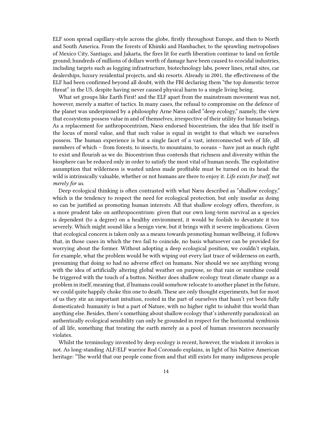ELF soon spread capillary-style across the globe, firstly throughout Europe, and then to North and South America. From the forests of Khimki and Hambacher, to the sprawling metropolises of Mexico City, Santiago, and Jakarta, the fires lit for earth liberation continue to land on fertile ground; hundreds of millions of dollars worth of damage have been caused to ecocidal industries, including targets such as logging infrastructure, biotechnology labs, power lines, retail sites, car dealerships, luxury residential projects, and ski resorts. Already in 2001, the effectiveness of the ELF had been confirmed beyond all doubt, with the FBI declaring them "the top domestic terror threat" in the US, despite having never caused physical harm to a single living being.

What set groups like Earth First! and the ELF apart from the mainstream movement was not, however, merely a matter of tactics. In many cases, the refusal to compromise on the defence of the planet was underpinned by a philosophy Arne Næss called "deep ecology," namely, the view that ecosystems possess value in and of themselves, irrespective of their utility for human beings. As a replacement for anthropocentrism, Næss endorsed biocentrism, the idea that life itself is the locus of moral value, and that such value is equal in weight to that which we ourselves possess. The human experience is but a single facet of a vast, interconnected web of life, all members of which – from forests, to insects, to mountains, to oceans – have just as much right to exist and flourish as we do. Biocentrism thus contends that richness and diversity within the biosphere can be reduced only in order to satisfy the most vital of human needs. The exploitative assumption that wilderness is wasted unless made profitable must be turned on its head: the wild is intrinsically valuable, whether or not humans are there to enjoy it. *Life exists for itself, not merely for us.*

Deep ecological thinking is often contrasted with what Næss described as "shallow ecology," which is the tendency to respect the need for ecological protection, but only insofar as doing so can be justified as promoting human interests. All that shallow ecology offers, therefore, is a more prudent take on anthropocentrism: given that our own long-term survival as a species is dependent (to a degree) on a healthy environment, it would be foolish to devastate it too severely. Which might sound like a benign view, but it brings with it severe implications. Given that ecological concern is taken only as a means towards promoting human wellbeing, it follows that, in those cases in which the two fail to coincide, no basis whatsoever can be provided for worrying about the former. Without adopting a deep ecological position, we couldn't explain, for example, what the problem would be with wiping out every last trace of wilderness on earth, presuming that doing so had no adverse effect on humans. Nor should we see anything wrong with the idea of artificially altering global weather on purpose, so that rain or sunshine could be triggered with the touch of a button. Neither does shallow ecology treat climate change as a problem in itself, meaning that, if humans could somehow relocate to another planet in the future, we could quite happily choke this one to death. These are only thought experiments, but for most of us they stir an important intuition, rooted in the part of ourselves that hasn't yet been fully domesticated: humanity is but a part of Nature, with no higher right to inhabit this world than anything else. Besides, there's something about shallow ecology that's inherently paradoxical: an authentically ecological sensibility can only be grounded in respect for the horizontal symbiosis of all life, something that treating the earth merely as a pool of human resources necessarily violates.

Whilst the terminology invented by deep ecology is recent, however, the wisdom it invokes is not. As long-standing ALF/ELF warrior Rod Coronado explains, in light of his Native American heritage: "The world that our people come from and that still exists for many indigenous people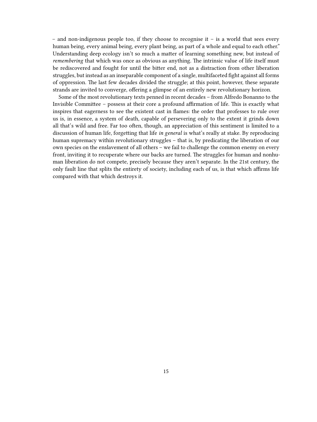– and non-indigenous people too, if they choose to recognise it – is a world that sees every human being, every animal being, every plant being, as part of a whole and equal to each other." Understanding deep ecology isn't so much a matter of learning something new, but instead of *remembering* that which was once as obvious as anything. The intrinsic value of life itself must be rediscovered and fought for until the bitter end, not as a distraction from other liberation struggles, but instead as an inseparable component of a single, multifaceted fight against all forms of oppression. The last few decades divided the struggle; at this point, however, these separate strands are invited to converge, offering a glimpse of an entirely new revolutionary horizon.

Some of the most revolutionary texts penned in recent decades – from Alfredo Bonanno to the Invisible Committee – possess at their core a profound affirmation of life. This is exactly what inspires that eagerness to see the existent cast in flames: the order that professes to rule over us is, in essence, a system of death, capable of persevering only to the extent it grinds down all that's wild and free. Far too often, though, an appreciation of this sentiment is limited to a discussion of human life, forgetting that life *in general* is what's really at stake. By reproducing human supremacy within revolutionary struggles – that is, by predicating the liberation of our own species on the enslavement of all others – we fail to challenge the common enemy on every front, inviting it to recuperate where our backs are turned. The struggles for human and nonhuman liberation do not compete, precisely because they aren't separate. In the 21st century, the only fault line that splits the entirety of society, including each of us, is that which affirms life compared with that which destroys it.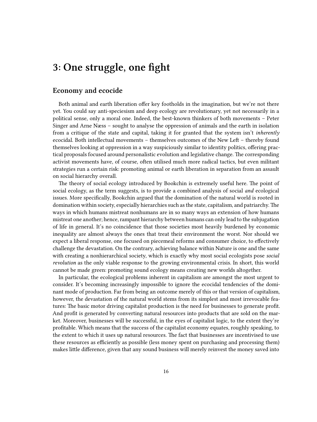## <span id="page-15-0"></span>**3: One struggle, one fight**

#### <span id="page-15-1"></span>**Economy and ecocide**

Both animal and earth liberation offer key footholds in the imagination, but we're not there yet. You could say anti-speciesism and deep ecology are revolutionary, yet not necessarily in a political sense, only a moral one. Indeed, the best-known thinkers of both movements – Peter Singer and Arne Næss – sought to analyse the oppression of animals and the earth in isolation from a critique of the state and capital, taking it for granted that the system isn't *inherently* ecocidal. Both intellectual movements – themselves outcomes of the New Left – thereby found themselves looking at oppression in a way suspiciously similar to identity politics, offering practical proposals focused around personalistic evolution and legislative change. The corresponding activist movements have, of course, often utilised much more radical tactics, but even militant strategies run a certain risk: promoting animal or earth liberation in separation from an assault on social hierarchy overall.

The theory of social ecology introduced by Bookchin is extremely useful here. The point of social ecology, as the term suggests, is to provide a combined analysis of social *and* ecological issues. More specifically, Bookchin argued that the domination of the natural world is rooted in domination within society, especially hierarchies such as the state, capitalism, and patriarchy.The ways in which humans mistreat nonhumans are in so many ways an extension of how humans mistreat one another; hence, rampant hierarchy between humans can only lead to the subjugation of life in general. It's no coincidence that those societies most heavily burdened by economic inequality are almost always the ones that treat their environment the worst. Nor should we expect a liberal response, one focused on piecemeal reforms and consumer choice, to effectively challenge the devastation. On the contrary, achieving balance within Nature is one and the same with creating a nonhierarchical society, which is exactly why most social ecologists pose *social revolution* as the only viable response to the growing environmental crisis. In short, this world cannot be made green: promoting sound ecology means creating new worlds altogether.

In particular, the ecological problems inherent in capitalism are amongst the most urgent to consider. It's becoming increasingly impossible to ignore the ecocidal tendencies of the dominant mode of production. Far from being an outcome merely of this or that version of capitalism, however, the devastation of the natural world stems from its simplest and most irrevocable features: The basic motor driving capitalist production is the need for businesses to generate profit. And profit is generated by converting natural resources into products that are sold on the market. Moreover, businesses will be successful, in the eyes of capitalist logic, to the extent they're profitable. Which means that the success of the capitalist economy equates, roughly speaking, to the extent to which it uses up natural resources. The fact that businesses are incentivised to use these resources as efficiently as possible (less money spent on purchasing and processing them) makes little difference, given that any sound business will merely reinvest the money saved into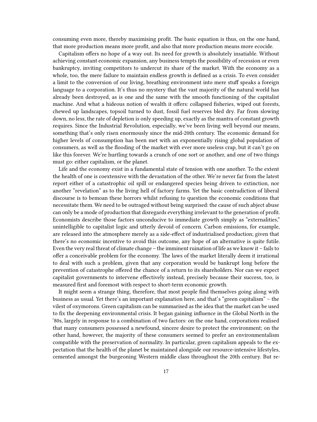consuming even more, thereby maximising profit. The basic equation is thus, on the one hand, that more production means more profit, and also that more production means more ecocide.

Capitalism offers no hope of a way out. Its need for growth is absolutely insatiable. Without achieving constant economic expansion, any business tempts the possibility of recession or even bankruptcy, inviting competitors to undercut its share of the market. With the economy as a whole, too, the mere failure to maintain endless growth is defined as a crisis. To even consider a limit to the conversion of our living, breathing environment into mere stuff speaks a foreign language to a corporation. It's thus no mystery that the vast majority of the natural world has already been destroyed, as is one and the same with the smooth functioning of the capitalist machine. And what a hideous notion of wealth it offers: collapsed fisheries, wiped out forests, chewed up landscapes, topsoil turned to dust, fossil fuel reserves bled dry. Far from slowing down, no less, the rate of depletion is only speeding up, exactly as the mantra of constant growth requires. Since the Industrial Revolution, especially, we've been living well beyond our means, something that's only risen enormously since the mid-20th century. The economic demand for higher levels of consumption has been met with an exponentially rising global population of consumers, as well as the flooding of the market with ever more useless crap, but it can't go on like this forever. We're hurtling towards a crunch of one sort or another, and one of two things must go: either capitalism, or the planet.

Life and the economy exist in a fundamental state of tension with one another. To the extent the health of one is coextensive with the devastation of the other. We're never far from the latest report either of a catastrophic oil spill or endangered species being driven to extinction, nor another "revelation" as to the living hell of factory farms. Yet the basic contradiction of liberal discourse is to bemoan these horrors whilst refusing to question the economic conditions that necessitate them. We need to be outraged without being surprised: the cause of such abject abuse can only be a mode of production that disregards everything irrelevant to the generation of profit. Economists describe those factors unconducive to immediate growth simply as "externalities," unintelligible to capitalist logic and utterly devoid of concern. Carbon emissions, for example, are released into the atmosphere merely as a side-effect of industrialised production; given that there's no economic incentive to avoid this outcome, any hope of an alternative is quite futile. Even the very real threat of climate change – the imminent ruination of life as we know it – fails to offer a conceivable problem for the economy. The laws of the market literally deem it irrational to deal with such a problem, given that any corporation would be bankrupt long before the prevention of catastrophe offered the chance of a return to its shareholders. Nor can we expect capitalist governments to intervene effectively instead, precisely because their success, too, is measured first and foremost with respect to short-term economic growth.

It might seem a strange thing, therefore, that most people find themselves going along with business as usual. Yet there's an important explanation here, and that's "green capitalism" – the vilest of oxymorons. Green capitalism can be summarised as the idea that the market can be used to fix the deepening environmental crisis. It began gaining influence in the Global North in the '80s, largely in response to a combination of two factors: on the one hand, corporations realised that many consumers possessed a newfound, sincere desire to protect the environment; on the other hand, however, the majority of these consumers seemed to prefer an environmentalism compatible with the preservation of normality. In particular, green capitalism appeals to the expectation that the health of the planet be maintained alongside our resource-intensive lifestyles, cemented amongst the burgeoning Western middle class throughout the 20th century. But re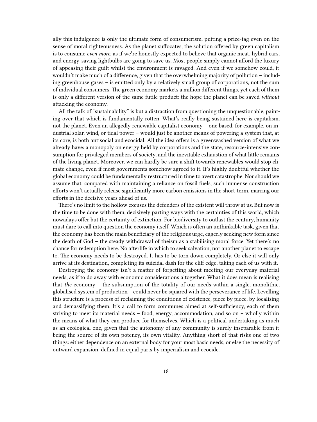ally this indulgence is only the ultimate form of consumerism, putting a price-tag even on the sense of moral righteousness. As the planet suffocates, the solution offered by green capitalism is to consume *even more*, as if we're honestly expected to believe that organic meat, hybrid cars, and energy-saving lightbulbs are going to save us. Most people simply cannot afford the luxury of appeasing their guilt whilst the environment is ravaged. And even if we somehow could, it wouldn't make much of a difference, given that the overwhelming majority of pollution – including greenhouse gases – is emitted only by a relatively small group of corporations, not the sum of individual consumers. The green economy markets a million different things, yet each of them is only a different version of the same futile product: the hope the planet can be saved *without* attacking the economy.

All the talk of "sustainability" is but a distraction from questioning the unquestionable, painting over that which is fundamentally rotten. What's really being sustained here is capitalism, not the planet. Even an allegedly renewable capitalist economy – one based, for example, on industrial solar, wind, or tidal power – would just be another means of powering a system that, at its core, is both antisocial and ecocidal. All the idea offers is a greenwashed version of what we already have: a monopoly on energy held by corporations and the state, resource-intensive consumption for privileged members of society, and the inevitable exhaustion of what little remains of the living planet. Moreover, we can hardly be sure a shift towards renewables would stop climate change, even if most governments somehow agreed to it. It's highly doubtful whether the global economy could be fundamentally restructured in time to avert catastrophe. Nor should we assume that, compared with maintaining a reliance on fossil fuels, such immense construction efforts won't actually release significantly more carbon emissions in the short-term, marring our efforts in the decisive years ahead of us.

There's no limit to the hollow excuses the defenders of the existent will throw at us. But now is the time to be done with them, decisively parting ways with the certainties of this world, which nowadays offer but the certainty of extinction. For biodiversity to outlast the century, humanity must dare to call into question the economy itself. Which is often an unthinkable task, given that the economy has been the main beneficiary of the religious urge, eagerly seeking new form since the death of God – the steady withdrawal of theism as a stabilising moral force. Yet there's no chance for redemption here. No afterlife in which to seek salvation, nor another planet to escape to. The economy needs to be destroyed. It has to be torn down completely. Or else it will only arrive at its destination, completing its suicidal dash for the cliff edge, taking each of us with it.

Destroying the economy isn't a matter of forgetting about meeting our everyday material needs, as if to do away with economic considerations altogether. What it does mean is realising that *the* economy – the subsumption of the totality of our needs within a single, monolithic, globalised system of production – could never be squared with the perseverance of life. Levelling this structure is a process of reclaiming the conditions of existence, piece by piece, by localising and demassifying them. It's a call to form communes aimed at self-sufficiency, each of them striving to meet its material needs – food, energy, accommodation, and so on – wholly within the means of what they can produce for themselves. Which is a political undertaking as much as an ecological one, given that the autonomy of any community is surely inseparable from it being the source of its own potency, its own vitality. Anything short of that risks one of two things: either dependence on an external body for your most basic needs, or else the necessity of outward expansion, defined in equal parts by imperialism and ecocide.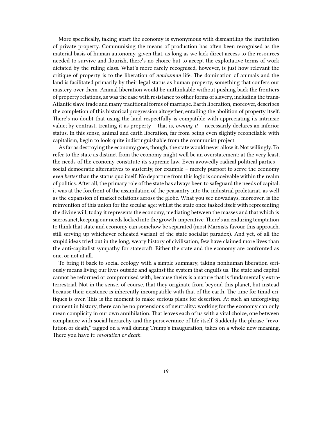More specifically, taking apart the economy is synonymous with dismantling the institution of private property. Communising the means of production has often been recognised as the material basis of human autonomy, given that, as long as we lack direct access to the resources needed to survive and flourish, there's no choice but to accept the exploitative terms of work dictated by the ruling class. What's more rarely recognised, however, is just how relevant the critique of property is to the liberation of *nonhuman* life. The domination of animals and the land is facilitated primarily by their legal status as human property, something that confers our mastery over them. Animal liberation would be unthinkable without pushing back the frontiers of property relations, as was the case with resistance to other forms of slavery, including the trans-Atlantic slave trade and many traditional forms of marriage. Earth liberation, moreover, describes the completion of this historical progression altogether, entailing the abolition of property itself. There's no doubt that using the land respectfully is compatible with appreciating its intrinsic value; by contrast, treating it as property – that is, *owning it* – necessarily declares an inferior status. In this sense, animal and earth liberation, far from being even slightly reconcilable with capitalism, begin to look quite indistinguishable from the communist project.

As far as destroying the economy goes, though, the state would never allow it. Not willingly. To refer to the state as distinct from the economy might well be an overstatement; at the very least, the needs of the economy constitute its supreme law. Even avowedly radical political parties – social democratic alternatives to austerity, for example – merely purport to serve the economy *even better* than the status quo itself. No departure from this logic is conceivable within the realm of politics. After all, the primary role of the state has always been to safeguard the needs of capital: it was at the forefront of the assimilation of the peasantry into the industrial proletariat, as well as the expansion of market relations across the globe. What you see nowadays, moreover, is the reinvention of this union for the secular age: whilst the state once tasked itself with representing the divine will, today it represents the economy, mediating between the masses and that which is sacrosanct, keeping our needs locked into the growth-imperative.There's an enduring temptation to think that state and economy can somehow be separated (most Marxists favour this approach, still serving up whichever reheated variant of the state socialist paradox). And yet, of all the stupid ideas tried out in the long, weary history of civilisation, few have claimed more lives than the anti-capitalist sympathy for statecraft. Either the state and the economy are confronted as one, or not at all.

To bring it back to social ecology with a simple summary, taking nonhuman liberation seriously means living our lives outside and against the system that engulfs us. The state and capital cannot be reformed or compromised with, because theirs is a nature that is fundamentally extraterrestrial. Not in the sense, of course, that they originate from beyond this planet, but instead because their existence is inherently incompatible with that of the earth. The time for timid critiques is over. This is the moment to make serious plans for desertion. At such an unforgiving moment in history, there can be no pretensions of neutrality: working for the economy can only mean complicity in our own annihilation. That leaves each of us with a vital choice, one between compliance with social hierarchy and the perseverance of life itself. Suddenly the phrase "revolution or death," tagged on a wall during Trump's inauguration, takes on a whole new meaning. There you have it: *revolution or death*.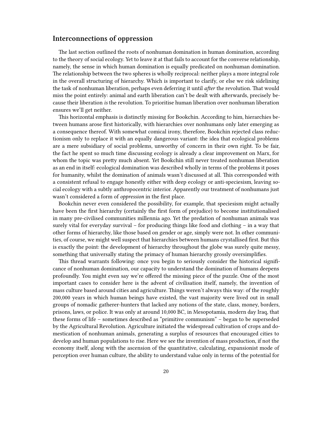#### <span id="page-19-0"></span>**Interconnections of oppression**

The last section outlined the roots of nonhuman domination in human domination, according to the theory of social ecology. Yet to leave it at that fails to account for the converse relationship, namely, the sense in which human domination is equally predicated on nonhuman domination. The relationship between the two spheres is wholly reciprocal: neither plays a more integral role in the overall structuring of hierarchy. Which is important to clarify, or else we risk sidelining the task of nonhuman liberation, perhaps even deferring it until *after* the revolution. That would miss the point entirely: animal and earth liberation can't be dealt with afterwards, precisely because their liberation *is* the revolution. To prioritise human liberation over nonhuman liberation ensures we'll get neither.

This horizontal emphasis is distinctly missing for Bookchin. According to him, hierarchies between humans arose first historically, with hierarchies over nonhumans only later emerging as a consequence thereof. With somewhat comical irony, therefore, Bookchin rejected class reductionism only to replace it with an equally dangerous variant: the idea that ecological problems are a mere subsidiary of social problems, unworthy of concern in their own right. To be fair, the fact he spent so much time discussing ecology is already a clear improvement on Marx, for whom the topic was pretty much absent. Yet Bookchin still never treated nonhuman liberation as an end in itself: ecological domination was described wholly in terms of the problems it poses for humanity, whilst the domination of animals wasn't discussed at all. This corresponded with a consistent refusal to engage honestly either with deep ecology or anti-speciesism, leaving social ecology with a subtly anthropocentric interior. Apparently our treatment of nonhumans just wasn't considered a form of *oppression* in the first place.

Bookchin never even considered the possibility, for example, that speciesism might actually have been the first hierarchy (certainly the first form of prejudice) to become institutionalised in many pre-civilised communities millennia ago. Yet the predation of nonhuman animals was surely vital for everyday survival – for producing things like food and clothing – in a way that other forms of hierarchy, like those based on gender or age, simply were not. In other communities, of course, we might well suspect that hierarchies between humans crystallised first. But this is exactly the point: the development of hierarchy throughout the globe was surely quite messy, something that universally stating the primacy of human hierarchy grossly oversimplifies.

This thread warrants following: once you begin to seriously consider the historical significance of nonhuman domination, our capacity to understand the domination of humans deepens profoundly. You might even say we're offered the missing piece of the puzzle. One of the most important cases to consider here is the advent of civilisation itself, namely, the invention of mass culture based around cities and agriculture. Things weren't always this way: of the roughly 200,000 years in which human beings have existed, the vast majority were lived out in small groups of nomadic gatherer-hunters that lacked any notions of the state, class, money, borders, prisons, laws, or police. It was only at around 10,000 BC, in Mesopotamia, modern day Iraq, that these forms of life – sometimes described as "primitive communism" – began to be superseded by the Agricultural Revolution. Agriculture initiated the widespread cultivation of crops and domestication of nonhuman animals, generating a surplus of resources that encouraged cities to develop and human populations to rise. Here we see the invention of mass production, if not the economy itself, along with the ascension of the quantitative, calculating, expansionist mode of perception over human culture, the ability to understand value only in terms of the potential for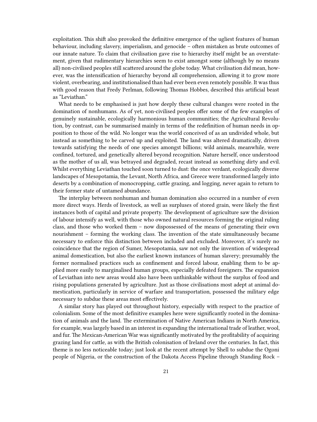exploitation. This shift also provoked the definitive emergence of the ugliest features of human behaviour, including slavery, imperialism, and genocide – often mistaken as brute outcomes of our innate nature. To claim that civilisation gave rise to hierarchy itself might be an overstatement, given that rudimentary hierarchies seem to exist amongst some (although by no means all) non-civilised peoples still scattered around the globe today. What civilisation did mean, however, was the intensification of hierarchy beyond all comprehension, allowing it to grow more violent, overbearing, and institutionalised than had ever been even remotely possible. It was thus with good reason that Fredy Perlman, following Thomas Hobbes, described this artificial beast as "Leviathan."

What needs to be emphasised is just how deeply these cultural changes were rooted in the domination of nonhumans. As of yet, non-civilised peoples offer some of the few examples of genuinely sustainable, ecologically harmonious human communities; the Agricultural Revolution, by contrast, can be summarised mainly in terms of the redefinition of human needs in opposition to those of the wild. No longer was the world conceived of as an undivided whole, but instead as something to be carved up and exploited. The land was altered dramatically, driven towards satisfying the needs of one species amongst billions; wild animals, meanwhile, were confined, tortured, and genetically altered beyond recognition. Nature herself, once understood as the mother of us all, was betrayed and degraded, recast instead as something dirty and evil. Whilst everything Leviathan touched soon turned to dust: the once verdant, ecologically diverse landscapes of Mesopotamia, the Levant, North Africa, and Greece were transformed largely into deserts by a combination of monocropping, cattle grazing, and logging, never again to return to their former state of untamed abundance.

The interplay between nonhuman and human domination also occurred in a number of even more direct ways. Herds of livestock, as well as surpluses of stored grain, were likely the first instances both of capital and private property. The development of agriculture saw the division of labour intensify as well, with those who owned natural resources forming the original ruling class, and those who worked them – now dispossessed of the means of generating their own nourishment – forming the working class. The invention of the state simultaneously became necessary to enforce this distinction between included and excluded. Moreover, it's surely no coincidence that the region of Sumer, Mesopotamia, saw not only the invention of widespread animal domestication, but also the earliest known instances of human slavery; presumably the former normalised practices such as confinement and forced labour, enabling them to be applied more easily to marginalised human groups, especially defeated foreigners. The expansion of Leviathan into new areas would also have been unthinkable without the surplus of food and rising populations generated by agriculture. Just as those civilisations most adept at animal domestication, particularly in service of warfare and transportation, possessed the military edge necessary to subdue these areas most effectively.

A similar story has played out throughout history, especially with respect to the practice of colonialism. Some of the most definitive examples here were significantly rooted in the domination of animals and the land. The extermination of Native American Indians in North America, for example, was largely based in an interest in expanding the international trade of leather, wool, and fur. The Mexican-American War was significantly motivated by the profitability of acquiring grazing land for cattle, as with the British colonisation of Ireland over the centuries. In fact, this theme is no less noticeable today; just look at the recent attempt by Shell to subdue the Ogoni people of Nigeria, or the construction of the Dakota Access Pipeline through Standing Rock –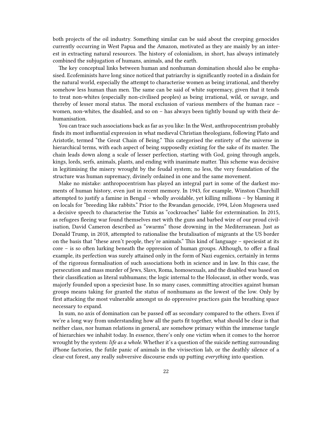both projects of the oil industry. Something similar can be said about the creeping genocides currently occurring in West Papua and the Amazon, motivated as they are mainly by an interest in extracting natural resources. The history of colonialism, in short, has always intimately combined the subjugation of humans, animals, and the earth.

The key conceptual links between human and nonhuman domination should also be emphasised. Ecofeminists have long since noticed that patriarchy is significantly rooted in a disdain for the natural world, especially the attempt to characterise women as being irrational, and thereby somehow less human than men. The same can be said of white supremacy, given that it tends to treat non-whites (especially non-civilised peoples) as being irrational, wild, or savage, and thereby of lesser moral status. The moral exclusion of various members of the human race – women, non-whites, the disabled, and so on – has always been tightly bound up with their dehumanisation.

You can trace such associations back as far as you like: In the West, anthropocentrism probably finds its most influential expression in what medieval Christian theologians, following Plato and Aristotle, termed "the Great Chain of Being." This categorised the entirety of the universe in hierarchical terms, with each aspect of being supposedly existing for the sake of its master. The chain leads down along a scale of lesser perfection, starting with God, going through angels, kings, lords, serfs, animals, plants, and ending with inanimate matter. This scheme was decisive in legitimising the misery wrought by the feudal system; no less, the very foundation of the structure was human supremacy, divinely ordained in one and the same movement.

Make no mistake: anthropocentrism has played an integral part in some of the darkest moments of human history, even just in recent memory. In 1943, for example, Winston Churchill attempted to justify a famine in Bengal – wholly avoidable, yet killing millions – by blaming it on locals for "breeding like rabbits." Prior to the Rwandan genocide, 1994, Léon Mugesera used a decisive speech to characterise the Tutsis as "cockroaches" liable for extermination. In 2015, as refugees fleeing war found themselves met with the guns and barbed wire of our proud civilisation, David Cameron described as "swarms" those drowning in the Mediterranean. Just as Donald Trump, in 2018, attempted to rationalise the brutalisation of migrants at the US border on the basis that "these aren't people, they're animals." This kind of language – speciesist at its core – is so often lurking beneath the oppression of human groups. Although, to offer a final example, its perfection was surely attained only in the form of Nazi eugenics, certainly in terms of the rigorous formalisation of such associations both in science and in law. In this case, the persecution and mass murder of Jews, Slavs, Roma, homosexuals, and the disabled was based on their classification as literal subhumans; the logic internal to the Holocaust, in other words, was majorly founded upon a speciesist base. In so many cases, committing atrocities against human groups means taking for granted the status of nonhumans as the lowest of the low. Only by first attacking the most vulnerable amongst us do oppressive practices gain the breathing space necessary to expand.

In sum, no axis of domination can be passed off as secondary compared to the others. Even if we're a long way from understanding how all the parts fit together, what should be clear is that neither class, nor human relations in general, are somehow primary within the immense tangle of hierarchies we inhabit today. In essence, there's only one victim when it comes to the horror wrought by the system: *life as a whole*. Whether it's a question of the suicide netting surrounding iPhone factories, the futile panic of animals in the vivisection lab, or the deathly silence of a clear-cut forest, any really subversive discourse ends up putting *everything* into question.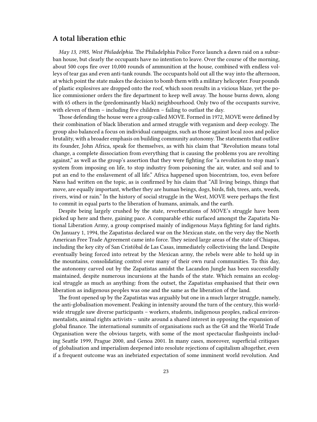#### <span id="page-22-0"></span>**A total liberation ethic**

*May 13, 1985, West Philadelphia.* The Philadelphia Police Force launch a dawn raid on a suburban house, but clearly the occupants have no intention to leave. Over the course of the morning, about 500 cops fire over 10,000 rounds of ammunition at the house, combined with endless volleys of tear gas and even anti-tank rounds. The occupants hold out all the way into the afternoon, at which point the state makes the decision to bomb them with a military helicopter. Four pounds of plastic explosives are dropped onto the roof, which soon results in a vicious blaze, yet the police commissioner orders the fire department to keep well away. The house burns down, along with 65 others in the (predominantly black) neighbourhood. Only two of the occupants survive, with eleven of them – including five children – failing to outlast the day.

Those defending the house were a group called MOVE. Formed in 1972, MOVE were defined by their combination of black liberation and armed struggle with veganism and deep ecology. The group also balanced a focus on individual campaigns, such as those against local zoos and police brutality, with a broader emphasis on building community autonomy. The statements that outlive its founder, John Africa, speak for themselves, as with his claim that "Revolution means total change, a complete dissociation from everything that is causing the problems you are revolting against," as well as the group's assertion that they were fighting for "a revolution to stop man's system from imposing on life, to stop industry from poisoning the air, water, and soil and to put an end to the enslavement of all life." Africa happened upon biocentrism, too, even before Næss had written on the topic, as is confirmed by his claim that "All living beings, things that move, are equally important, whether they are human beings, dogs, birds, fish, trees, ants, weeds, rivers, wind or rain." In the history of social struggle in the West, MOVE were perhaps the first to commit in equal parts to the liberation of humans, animals, and the earth.

Despite being largely crushed by the state, reverberations of MOVE's struggle have been picked up here and there, gaining pace. A comparable ethic surfaced amongst the Zapatista National Liberation Army, a group comprised mainly of indigenous Maya fighting for land rights. On January 1, 1994, the Zapatistas declared war on the Mexican state, on the very day the North American Free Trade Agreement came into force. They seized large areas of the state of Chiapas, including the key city of San Cristóbal de Las Casas, immediately collectivising the land. Despite eventually being forced into retreat by the Mexican army, the rebels were able to hold up in the mountains, consolidating control over many of their own rural communities. To this day, the autonomy carved out by the Zapatistas amidst the Lacandon Jungle has been successfully maintained, despite numerous incursions at the hands of the state. Which remains an ecological struggle as much as anything: from the outset, the Zapatistas emphasised that their own liberation as indigenous peoples was one and the same as the liberation of the land.

The front opened up by the Zapatistas was arguably but one in a much larger struggle, namely, the anti-globalisation movement. Peaking in intensity around the turn of the century, this worldwide struggle saw diverse participants – workers, students, indigenous peoples, radical environmentalists, animal rights activists – unite around a shared interest in opposing the expansion of global finance. The international summits of organisations such as the G8 and the World Trade Organisation were the obvious targets, with some of the most spectacular flashpoints including Seattle 1999, Prague 2000, and Genoa 2001. In many cases, moreover, superficial critiques of globalisation and imperialism deepened into resolute rejections of capitalism altogether, even if a frequent outcome was an inebriated expectation of some imminent world revolution. And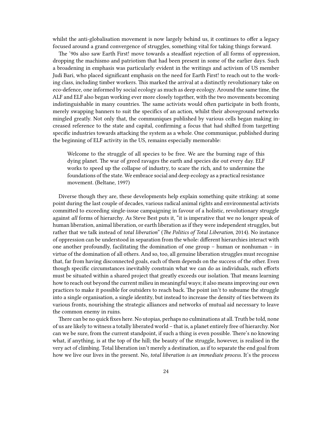whilst the anti-globalisation movement is now largely behind us, it continues to offer a legacy focused around a grand convergence of struggles, something vital for taking things forward.

The '90s also saw Earth First! move towards a steadfast rejection of all forms of oppression, dropping the machismo and patriotism that had been present in some of the earlier days. Such a broadening in emphasis was particularly evident in the writings and activism of US member Judi Bari, who placed significant emphasis on the need for Earth First! to reach out to the working class, including timber workers. This marked the arrival at a distinctly revolutionary take on eco-defence, one informed by social ecology as much as deep ecology. Around the same time, the ALF and ELF also began working ever more closely together, with the two movements becoming indistinguishable in many countries. The same activists would often participate in both fronts, merely swapping banners to suit the specifics of an action, whilst their aboveground networks mingled greatly. Not only that, the communiques published by various cells began making increased reference to the state and capital, confirming a focus that had shifted from targetting specific industries towards attacking the system as a whole. One communique, published during the beginning of ELF activity in the US, remains especially memorable:

Welcome to the struggle of all species to be free. We are the burning rage of this dying planet. The war of greed ravages the earth and species die out every day. ELF works to speed up the collapse of industry, to scare the rich, and to undermine the foundations of the state. We embrace social and deep ecology as a practical resistance movement. (Beltane, 1997)

Diverse though they are, these developments help explain something quite striking: at some point during the last couple of decades, various radical animal rights and environmental activists committed to exceeding single-issue campaigning in favour of a holistic, revolutionary struggle against *all* forms of hierarchy. As Steve Best puts it, "it is imperative that we no longer speak of human liberation, animal liberation, or earth liberation as if they were independent struggles, but rather that we talk instead of *total liberation*" (*The Politics of Total Liberation*, 2014). No instance of oppression can be understood in separation from the whole: different hierarchies interact with one another profoundly, facilitating the domination of one group – human or nonhuman – in virtue of the domination of all others. And so, too, all genuine liberation struggles must recognise that, far from having disconnected goals, each of them depends on the success of the other. Even though specific circumstances inevitably constrain what we can do as individuals, such efforts must be situated within a shared project that greatly exceeds our isolation. That means learning how to reach out beyond the current milieu in meaningful ways; it also means improving our own practices to make it possible for outsiders to reach back. The point isn't to subsume the struggle into a single organisation, a single identity, but instead to increase the density of ties between its various fronts, nourishing the strategic alliances and networks of mutual aid necessary to leave the common enemy in ruins.

There can be no quick fixes here. No utopias, perhaps no culminations at all. Truth be told, none of us are likely to witness a totally liberated world – that is, a planet entirely free of hierarchy. Nor can we be sure, from the current standpoint, if such a thing is even possible. There's no knowing what, if anything, is at the top of the hill; the beauty of the struggle, however, is realised in the very act of climbing. Total liberation isn't merely a destination, as if to separate the end goal from how we live our lives in the present. No, *total liberation is an immediate process.* It's the process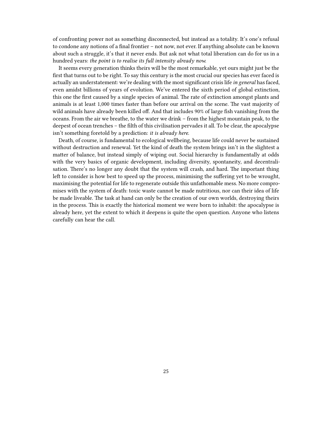of confronting power not as something disconnected, but instead as a totality. It's one's refusal to condone any notions of a final frontier – not now, not ever. If anything absolute can be known about such a struggle, it's that it never ends. But ask not what total liberation can do for us in a hundred years: *the point is to realise its full intensity already now.*

It seems every generation thinks theirs will be the most remarkable, yet ours might just be the first that turns out to be right. To say this century is the most crucial our species has ever faced is actually an understatement: we're dealing with the most significant crisis life *in general* has faced, even amidst billions of years of evolution. We've entered the sixth period of global extinction, this one the first caused by a single species of animal. The rate of extinction amongst plants and animals is at least 1,000 times faster than before our arrival on the scene. The vast majority of wild animals have already been killed off. And that includes 90% of large fish vanishing from the oceans. From the air we breathe, to the water we drink – from the highest mountain peak, to the deepest of ocean trenches – the filth of this civilisation pervades it all. To be clear, the apocalypse isn't something foretold by a prediction: *it is already here.*

Death, of course, is fundamental to ecological wellbeing, because life could never be sustained without destruction and renewal. Yet the kind of death the system brings isn't in the slightest a matter of balance, but instead simply of wiping out. Social hierarchy is fundamentally at odds with the very basics of organic development, including diversity, spontaneity, and decentralisation. There's no longer any doubt that the system will crash, and hard. The important thing left to consider is how best to speed up the process, minimising the suffering yet to be wrought, maximising the potential for life to regenerate outside this unfathomable mess. No more compromises with the system of death: toxic waste cannot be made nutritious, nor can their idea of life be made liveable. The task at hand can only be the creation of our own worlds, destroying theirs in the process. This is exactly the historical moment we were born to inhabit: the apocalypse is already here, yet the extent to which it deepens is quite the open question. Anyone who listens carefully can hear the call.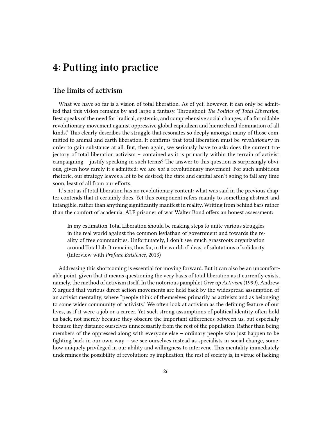## <span id="page-25-0"></span>**4: Putting into practice**

#### <span id="page-25-1"></span>**The limits of activism**

What we have so far is a vision of total liberation. As of yet, however, it can only be admitted that this vision remains by and large a fantasy. Throughout *The Politics of Total Liberation*, Best speaks of the need for "radical, systemic, and comprehensive social changes, of a formidable revolutionary movement against oppressive global capitalism and hierarchical domination of all kinds." This clearly describes the struggle that resonates so deeply amongst many of those committed to animal and earth liberation. It confirms that total liberation must be *revolutionary* in order to gain substance at all. But, then again, we seriously have to ask: does the current trajectory of total liberation activism – contained as it is primarily within the terrain of activist campaigning – justify speaking in such terms? The answer to this question is surprisingly obvious, given how rarely it's admitted: we are *not* a revolutionary movement. For such ambitious rhetoric, our strategy leaves a lot to be desired; the state and capital aren't going to fall any time soon, least of all from our efforts.

It's not as if total liberation has no revolutionary content: what was said in the previous chapter contends that it certainly does. Yet this component refers mainly to something abstract and intangible, rather than anything significantly manifest in reality. Writing from behind bars rather than the comfort of academia, ALF prisoner of war Walter Bond offers an honest assessment:

In my estimation Total Liberation should be making steps to unite various struggles in the real world against the common leviathan of government and towards the reality of free communities. Unfortunately, I don't see much grassroots organization around Total Lib. It remains, thus far, in the world of ideas, of salutations of solidarity. (Interview with *Profane Existence*, 2013)

Addressing this shortcoming is essential for moving forward. But it can also be an uncomfortable point, given that it means questioning the very basis of total liberation as it currently exists, namely, the method of activism itself. In the notorious pamphlet *Give up Activism* (1999), Andrew X argued that various direct action movements are held back by the widespread assumption of an activist mentality, where "people think of themselves primarily as activists and as belonging to some wider community of activists." We often look at activism as the defining feature of our lives, as if it were a job or a career. Yet such strong assumptions of political identity often hold us back, not merely because they obscure the important differences between us, but especially because they distance ourselves unnecessarily from the rest of the population. Rather than being members of the oppressed along with everyone else – ordinary people who just happen to be fighting back in our own way – we see ourselves instead as specialists in social change, somehow uniquely privileged in our ability and willingness to intervene. This mentality immediately undermines the possibility of revolution: by implication, the rest of society is, in virtue of lacking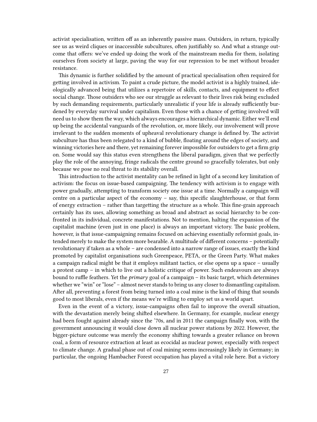activist specialisation, written off as an inherently passive mass. Outsiders, in return, typically see us as weird cliques or inaccessible subcultures, often justifiably so. And what a strange outcome that offers: we've ended up doing the work of the mainstream media for them, isolating ourselves from society at large, paving the way for our repression to be met without broader resistance.

This dynamic is further solidified by the amount of practical specialisation often required for getting involved in activism. To paint a crude picture, the model activist is a highly trained, ideologically advanced being that utilizes a repertoire of skills, contacts, and equipment to effect social change. Those outsiders who see our struggle as relevant to their lives risk being excluded by such demanding requirements, particularly unrealistic if your life is already sufficiently burdened by everyday survival under capitalism. Even those with a chance of getting involved will need us to show them the way, which always encourages a hierarchical dynamic. Either we'll end up being the accidental vanguards of the revolution, or, more likely, our involvement will prove irrelevant to the sudden moments of upheaval revolutionary change is defined by. The activist subculture has thus been relegated to a kind of bubble, floating around the edges of society, and winning victories here and there, yet remaining forever impossible for outsiders to get a firm grip on. Some would say this status even strengthens the liberal paradigm, given that we perfectly play the role of the annoying, fringe radicals the centre ground so gracefully tolerates, but only because we pose no real threat to its stability overall.

This introduction to the activist mentality can be refined in light of a second key limitation of activism: the focus on issue-based campaigning. The tendency with activism is to engage with power gradually, attempting to transform society one issue at a time. Normally a campaign will centre on a particular aspect of the economy – say, this specific slaughterhouse, or that form of energy extraction – rather than targetting the structure as a whole. This fine-grain approach certainly has its uses, allowing something as broad and abstract as social hierarchy to be confronted in its individual, concrete manifestations. Not to mention, halting the expansion of the capitalist machine (even just in one place) is always an important victory. The basic problem, however, is that issue-campaigning remains focused on achieving essentially reformist goals, intended merely to make the system more bearable. A multitude of different concerns – potentially revolutionary if taken as a whole – are condensed into a narrow range of issues, exactly the kind promoted by capitalist organisations such Greenpeace, PETA, or the Green Party. What makes a campaign radical might be that it employs militant tactics, or else opens up a space – usually a protest camp – in which to live out a holistic critique of power. Such endeavours are always bound to ruffle feathers. Yet the *primary* goal of a campaign – its basic target, which determines whether we "win" or "lose" – almost never stands to bring us any closer to dismantling capitalism. After all, preventing a forest from being turned into a coal mine is the kind of thing that sounds good to most liberals, even if the means we're willing to employ set us a world apart.

Even in the event of a victory, issue-campaigns often fail to improve the overall situation, with the devastation merely being shifted elsewhere. In Germany, for example, nuclear energy had been fought against already since the '70s, and in 2011 the campaign finally won, with the government announcing it would close down all nuclear power stations by 2022. However, the bigger-picture outcome was merely the economy shifting towards a greater reliance on brown coal, a form of resource extraction at least as ecocidal as nuclear power, especially with respect to climate change. A gradual phase out of coal mining seems increasingly likely in Germany; in particular, the ongoing Hambacher Forest occupation has played a vital role here. But a victory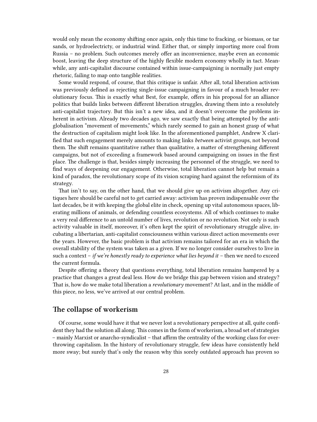would only mean the economy shifting once again, only this time to fracking, or biomass, or tar sands, or hydroelectricty, or industrial wind. Either that, or simply importing more coal from Russia – no problem. Such outcomes merely offer an inconvenience, maybe even an economic boost, leaving the deep structure of the highly flexible modern economy wholly in tact. Meanwhile, any anti-capitalist discourse contained within issue-campaigning is normally just empty rhetoric, failing to map onto tangible realities.

Some would respond, of course, that this critique is unfair. After all, total liberation activism was previously defined as rejecting single-issue campaigning in favour of a much broader revolutionary focus. This is exactly what Best, for example, offers in his proposal for an alliance politics that builds links between different liberation struggles, drawing them into a resolutely anti-capitalist trajectory. But this isn't a new idea, and it doesn't overcome the problems inherent in activism. Already two decades ago, we saw exactly that being attempted by the antiglobalisation "movement of movements," which rarely seemed to gain an honest grasp of what the destruction of capitalism might look like. In the aforementioned pamphlet, Andrew X clarified that such engagement merely amounts to making links *between* activist groups, not beyond them. The shift remains quantitative rather than qualitative, a matter of strengthening different campaigns, but not of exceeding a framework based around campaigning on issues in the first place. The challenge is that, besides simply increasing the personnel of the struggle, we need to find ways of deepening our engagement. Otherwise, total liberation cannot help but remain a kind of paradox, the revolutionary scope of its vision scraping hard against the reformism of its strategy.

That isn't to say, on the other hand, that we should give up on activism altogether. Any critiques here should be careful not to get carried away: activism has proven indispensable over the last decades, be it with keeping the global elite in check, opening up vital autonomous spaces, liberating millions of animals, or defending countless ecosystems. All of which continues to make a very real difference to an untold number of lives, revolution or no revolution. Not only is such activity valuable in itself, moreover, it's often kept the spirit of revolutionary struggle alive, incubating a libertarian, anti-capitalist consciousness within various direct action movements over the years. However, the basic problem is that activism remains tailored for an era in which the overall stability of the system was taken as a given. If we no longer consider ourselves to live in such a context – *if we're honestly ready to experience what lies beyond it* – then we need to exceed the current formula.

Despite offering a theory that questions everything, total liberation remains hampered by a practice that changes a great deal less. How do we bridge this gap between vision and strategy? That is, how do we make total liberation a *revolutionary* movement? At last, and in the middle of this piece, no less, we've arrived at our central problem.

#### <span id="page-27-0"></span>**The collapse of workerism**

Of course, some would have it that we never lost a revolutionary perspective at all, quite confident they had the solution all along. This comes in the form of workerism, a broad set of strategies – mainly Marxist or anarcho-syndicalist – that affirm the centrality of the working class for overthrowing capitalism. In the history of revolutionary struggle, few ideas have consistently held more sway; but surely that's only the reason why this sorely outdated approach has proven so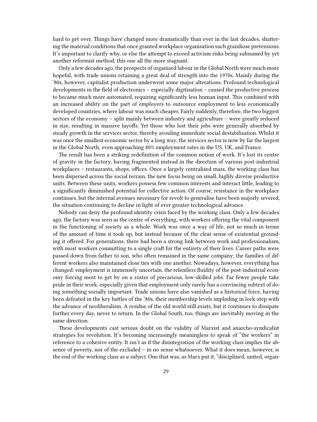hard to get over. Things have changed more dramatically than ever in the last decades, shattering the material conditions that once granted workplace organisation such grandiose pretensions. It's important to clarify why, or else the attempt to exceed activism risks being subsumed by yet another reformist method, this one all the more stagnant.

Only a few decades ago, the prospects of organised labour in the Global North were much more hopeful, with trade unions retaining a great deal of strength into the 1970s. Mainly during the '80s, however, capitalist production underwent some major alterations. Profound technological developments in the field of electronics – especially digitisation – caused the productive process to became much more automated, requiring significantly less human input. This combined with an increased ability on the part of employers to outsource employment to less economically developed countries, where labour was much cheaper. Fairly suddenly, therefore, the two biggest sectors of the economy – split mainly between industry and agriculture – were greatly reduced in size, resulting in massive layoffs. Yet those who lost their jobs were generally absorbed by steady growth in the services sector, thereby avoiding immediate social destabilisation. Whilst it was once the smallest economic sector by a long way, the services sector is now by far the largest in the Global North, even approaching 80% employment rates in the US, UK, and France.

The result has been a striking redefinition of the common notion of work. It's lost its centre of gravity in the factory, having fragmented instead in the direction of various post-industrial workplaces – restaurants, shops, offices. Once a largely centralised mass, the working class has been dispersed across the social terrain, the new focus being on small, highly diverse productive units. Between these units, workers possess few common interests and interact little, leading to a significantly diminished potential for collective action. Of course, resistance in the workplace continues, but the internal avenues necessary for revolt to generalise have been majorly severed, the situation continuing to decline in light of ever greater technological advance.

Nobody can deny the profound identity crisis faced by the working class. Only a few decades ago, the factory was seen as the centre of everything, with workers offering the vital component in the functioning of society as a whole. Work was once a way of life, not so much in terms of the amount of time it took up, but instead because of the clear sense of existential grounding it offered. For generations, there had been a strong link between work and professionalism, with most workers committing to a single craft for the entirety of their lives. Career paths were passed down from father to son, who often remained in the same company; the families of different workers also maintained close ties with one another. Nowadays, however, everything has changed: employment is immensely uncertain, the relentless fluidity of the post-industrial economy forcing most to get by on a roster of precarious, low-skilled jobs. Far fewer people take pride in their work, especially given that employment only rarely has a convincing subtext of doing something socially important. Trade unions have also vanished as a historical force, having been defeated in the key battles of the '80s, their membership levels imploding in lock-step with the advance of neoliberalism. A residue of the old world still exists, but it continues to dissipate further every day, never to return. In the Global South, too, things are inevitably moving in the same direction.

These developments cast serious doubt on the validity of Marxist and anarcho-syndicalist strategies for revolution. It's becoming increasingly meaningless to speak of "the workers" in reference to a cohesive entity. It isn't as if the disintegration of the working class implies the absence of poverty, nor of the excluded – in no sense whatsoever. What it does mean, however, is the end of the working class *as a subject*. One that was, as Marx put it, "disciplined, united, organ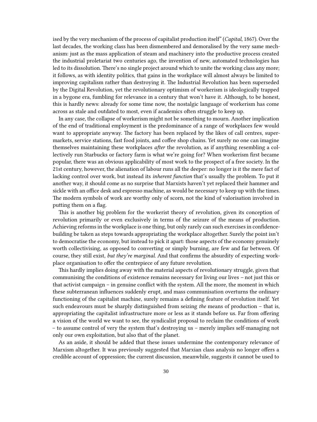ised by the very mechanism of the process of capitalist production itself" (*Capital*, 1867). Over the last decades, the working class has been dismembered and demoralised by the very same mechanism: just as the mass application of steam and machinery into the productive process created the industrial proletariat two centuries ago, the invention of new, automated technologies has led to its dissolution. There's no single project around which to unite the working class any more; it follows, as with identity politics, that gains in the workplace will almost always be limited to improving capitalism rather than destroying it. The Industrial Revolution has been superseded by the Digital Revolution, yet the revolutionary optimism of workerism is ideologically trapped in a bygone era, fumbling for relevance in a century that won't have it. Although, to be honest, this is hardly news: already for some time now, the nostalgic language of workerism has come across as stale and outdated to most, even if academics often struggle to keep up.

In any case, the collapse of workerism might not be something to mourn. Another implication of the end of traditional employment is the predominance of a range of workplaces few would want to appropriate anyway. The factory has been replaced by the likes of call centres, supermarkets, service stations, fast food joints, and coffee shop chains. Yet surely no one can imagine themselves maintaining these workplaces *after* the revolution, as if anything resembling a collectively run Starbucks or factory farm is what we're going for? When workerism first became popular, there was an obvious applicability of most work to the prospect of a free society. In the 21st century, however, the alienation of labour runs all the deeper: no longer is it the mere fact of lacking control over work, but instead its *inherent function* that's usually the problem. To put it another way, it should come as no surprise that Marxists haven't yet replaced their hammer and sickle with an office desk and espresso machine, as would be necessary to keep up with the times. The modern symbols of work are worthy only of scorn, not the kind of valorisation involved in putting them on a flag.

This is another big problem for the workerist theory of revolution, given its conception of revolution primarily or even exclusively in terms of the seizure of the means of production. Achieving reforms in the workplace is one thing, but only rarely can such exercises in confidencebuilding be taken as steps towards appropriating the workplace altogether. Surely the point isn't to democratise the economy, but instead to pick it apart: those aspects of the economy genuinely worth collectivising, as opposed to converting or simply burning, are few and far between. Of course, they still exist, *but they're marginal*. And that confirms the absurdity of expecting workplace organisation to offer the centrepiece of any future revolution.

This hardly implies doing away with the material aspects of revolutionary struggle, given that communising the conditions of existence remains necessary for living our lives *–* not just this or that activist campaign – in genuine conflict with the system. All the more, the moment in which these subterranean influences suddenly erupt, and mass communisation overturns the ordinary functioning of the capitalist machine, surely remains a defining feature of revolution itself. Yet such endeavours must be sharply distinguished from seizing *the* means of production – that is, appropriating the capitalist infrastructure more or less as it stands before us. Far from offering a vision of the world we want to see, the syndicalist proposal to reclaim the conditions of work – to assume control of very the system that's destroying us – merely implies self-managing not only our own exploitation, but also that of the planet.

As an aside, it should be added that these issues undermine the contemporary relevance of Marxism altogether. It was previously suggested that Marxian class analysis no longer offers a credible account of oppression; the current discussion, meanwhile, suggests it cannot be used to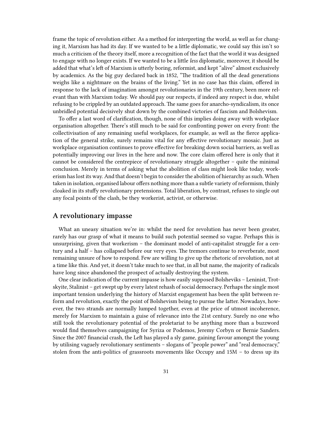frame the topic of revolution either. As a method for interpreting the world, as well as for changing it, Marxism has had its day. If we wanted to be a little diplomatic, we could say this isn't so much a criticism of the theory itself, more a recognition of the fact that the world it was designed to engage with no longer exists. If we wanted to be a little *less* diplomatic, moreover, it should be added that what's left of Marxism is utterly boring, reformist, and kept "alive" almost exclusively by academics. As the big guy declared back in 1852, "The tradition of all the dead generations weighs like a nightmare on the brains of the living." Yet in no case has this claim, offered in response to the lack of imagination amongst revolutionaries in the 19th century, been more relevant than with Marxism today. We should pay our respects, if indeed any respect is due, whilst refusing to be crippled by an outdated approach. The same goes for anarcho-syndicalism, its once unbridled potential decisively shut down by the combined victories of fascism and Bolshevism.

To offer a last word of clarification, though, none of this implies doing away with workplace organisation altogether. There's still much to be said for confronting power on every front: the collectivisation of any remaining useful workplaces, for example, as well as the fierce application of the general strike, surely remains vital for any effective revolutionary mosaic. Just as workplace organisation continues to prove effective for breaking down social barriers, as well as potentially improving our lives in the here and now. The core claim offered here is only that it cannot be considered the centrepiece of revolutionary struggle altogether – quite the minimal conclusion. Merely in terms of asking what the abolition of class might look like today, workerism has lost its way. And that doesn't begin to consider the abolition of hierarchy as such. When taken in isolation, organised labour offers nothing more than a subtle variety of reformism, thinly cloaked in its stuffy revolutionary pretensions. Total liberation, by contrast, refuses to single out any focal points of the clash, be they workerist, activist, or otherwise.

#### <span id="page-30-0"></span>**A revolutionary impasse**

What an uneasy situation we're in: whilst the need for revolution has never been greater, rarely has our grasp of what it means to build such potential seemed so vague. Perhaps this is unsurprising, given that workerism – the dominant model of anti-capitalist struggle for a century and a half – has collapsed before our very eyes. The tremors continue to reverberate, most remaining unsure of how to respond. Few are willing to give up the rhetoric of revolution, not at a time like this. And yet, it doesn't take much to see that, in all but name, the majority of radicals have long since abandoned the prospect of actually destroying the system.

One clear indication of the current impasse is how easily supposed Bolsheviks – Leninist, Trotskyite, Stalinist – get swept up by every latest rehash of social democracy. Perhaps the single most important tension underlying the history of Marxist engagement has been the split between reform and revolution, exactly the point of Bolshevism being to pursue the latter. Nowadays, however, the two strands are normally lumped together, even at the price of utmost incoherence, merely for Marxism to maintain a guise of relevance into the 21st century. Surely no one who still took the revolutionary potential of the proletariat to be anything more than a buzzword would find themselves campaigning for Syriza or Podemos, Jeremy Corbyn or Bernie Sanders. Since the 2007 financial crash, the Left has played a sly game, gaining favour amongst the young by utilising vaguely revolutionary sentiments – slogans of "people power" and "real democracy," stolen from the anti-politics of grassroots movements like Occupy and 15M – to dress up its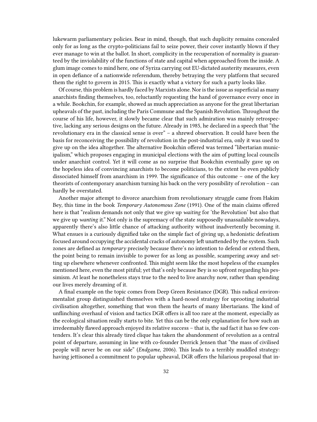lukewarm parliamentary policies. Bear in mind, though, that such duplicity remains concealed only for as long as the crypto-politicians fail to seize power, their cover instantly blown if they ever manage to win at the ballot. In short, complicity in the recuperation of normality is guaranteed by the inviolability of the functions of state and capital when approached from the inside. A glum image comes to mind here, one of Syriza carrying out EU-dictated austerity measures, even in open defiance of a nationwide referendum, thereby betraying the very platform that secured them the right to govern in 2015. This is exactly what a victory for such a party looks like.

Of course, this problem is hardly faced by Marxists alone. Nor is the issue as superficial as many anarchists finding themselves, too, reluctantly requesting the hand of governance every once in a while. Bookchin, for example, showed as much appreciation as anyone for the great libertarian upheavals of the past, including the Paris Commune and the Spanish Revolution. Throughout the course of his life, however, it slowly became clear that such admiration was mainly retrospective, lacking any serious designs on the future. Already in 1985, he declared in a speech that "the revolutionary era in the classical sense is over" – a shrewd observation. It could have been the basis for reconceiving the possibility of revolution in the post-industrial era, only it was used to give up on the idea altogether. The alternative Bookchin offered was termed "libertarian municipalism," which proposes engaging in municipal elections with the aim of putting local councils under anarchist control. Yet it will come as no surprise that Bookchin eventually gave up on the hopeless idea of convincing anarchists to become politicians, to the extent he even publicly dissociated himself from anarchism in 1999. The significance of this outcome – one of the key theorists of contemporary anarchism turning his back on the very possibility of revolution – can hardly be overstated.

Another major attempt to divorce anarchism from revolutionary struggle came from Hakim Bey, this time in the book *Temporary Autonomous Zone* (1991). One of the main claims offered here is that "realism demands not only that we give up *waiting* for 'the Revolution' but also that we give up *wanting* it." Not only is the supremacy of the state supposedly unassailable nowadays, apparently there's also little chance of attacking authority without inadvertently becoming it. What ensues is a curiously dignified take on the simple fact of giving up, a hedonistic defeatism focused around occupying the accidental cracks of autonomy left unattended by the system. Such zones are defined as *temporary* precisely because there's no intention to defend or extend them, the point being to remain invisible to power for as long as possible, scampering away and setting up elsewhere whenever confronted. This might seem like the most hopeless of the examples mentioned here, even the most pitiful; yet that's only because Bey is so upfront regarding his pessimism. At least he nonetheless stays true to the need to live anarchy now, rather than spending our lives merely dreaming of it.

A final example on the topic comes from Deep Green Resistance (DGR). This radical environmentalist group distinguished themselves with a hard-nosed strategy for uprooting industrial civilisation altogether, something that won them the hearts of many libertarians. The kind of unflinching overhaul of vision and tactics DGR offers is all too rare at the moment, especially as the ecological situation really starts to bite. Yet this can be the only explanation for how such an irredeemably flawed approach enjoyed its relative success – that is, the sad fact it has so few contenders. It's clear this already tired clique has taken the abandonment of revolution as a central point of departure, assuming in line with co-founder Derrick Jensen that "the mass of civilised people will never be on our side" (*Endgame*, 2006). This leads to a terribly muddled strategy: having jettisoned a commitment to popular upheaval, DGR offers the hilarious proposal that in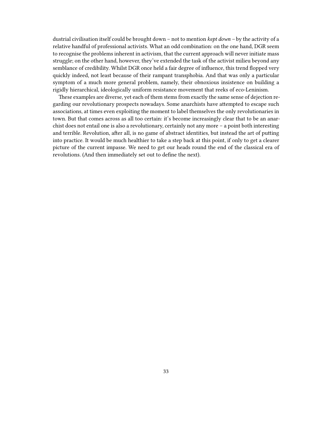dustrial civilisation itself could be brought down – not to mention *kept down –* by the activity of a relative handful of professional activists. What an odd combination: on the one hand, DGR seem to recognise the problems inherent in activism, that the current approach will never initiate mass struggle; on the other hand, however, they've extended the task of the activist milieu beyond any semblance of credibility. Whilst DGR once held a fair degree of influence, this trend flopped very quickly indeed, not least because of their rampant transphobia. And that was only a particular symptom of a much more general problem, namely, their obnoxious insistence on building a rigidly hierarchical, ideologically uniform resistance movement that reeks of eco-Leninism.

These examples are diverse, yet each of them stems from exactly the same sense of dejection regarding our revolutionary prospects nowadays. Some anarchists have attempted to escape such associations, at times even exploiting the moment to label themselves the only revolutionaries in town. But that comes across as all too certain: it's become increasingly clear that to be an anarchist does not entail one is also a revolutionary, certainly not any more – a point both interesting and terrible. Revolution, after all, is no game of abstract identities, but instead the art of putting into practice. It would be much healthier to take a step back at this point, if only to get a clearer picture of the current impasse. We need to get our heads round the end of the classical era of revolutions. (And then immediately set out to define the next).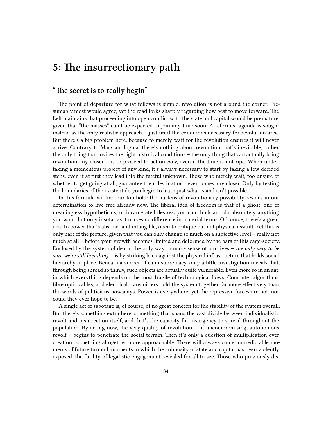### <span id="page-33-0"></span>**5: The insurrectionary path**

#### <span id="page-33-1"></span>**"The secret is to really begin"**

The point of departure for what follows is simple: revolution is not around the corner. Presumably most would agree, yet the road forks sharply regarding how best to move forward. The Left maintains that proceeding into open conflict with the state and capital would be premature, given that "the masses" can't be expected to join any time soon. A reformist agenda is sought instead as the only realistic approach – just until the conditions necessary for revolution arise. But there's a big problem here, because to merely wait for the revolution ensures it will never arrive. Contrary to Marxian dogma, there's nothing about revolution that's inevitable; rather, the only thing that invites the right historical conditions – the only thing that can actually bring revolution any closer – is to proceed to action *now*, even if the time is not ripe. When undertaking a momentous project of any kind, it's always necessary to start by taking a few decided steps, even if at first they lead into the fateful unknown. Those who merely wait, too unsure of whether to get going at all, guarantee their destination never comes any closer. Only by testing the boundaries of the existent do you begin to learn just what is and isn't possible.

In this formula we find our foothold: the nucleus of revolutionary possibility resides in our determination to live free already now. The liberal idea of freedom is that of a ghost, one of meaningless hypotheticals, of incarcerated desires: you can think and do absolutely anything you want, but only insofar as it makes no difference in material terms. Of course, there's a great deal to power that's abstract and intangible, open to critique but not physical assault. Yet this is only part of the picture, given that you can only change so much on a subjective level – really not much at all – before your growth becomes limited and deformed by the bars of this cage-society. Enclosed by the system of death, the only way to make sense of our lives – *the only way to be sure we're still breathing –* is by striking back against the physical infrastructure that holds social hierarchy in place. Beneath a veneer of calm supremacy, only a little investigation reveals that, through being spread so thinly, such objects are actually quite vulnerable. Even more so in an age in which everything depends on the most fragile of technological flows. Computer algorithms, fibre optic cables, and electrical transmitters hold the system together far more effectively than the words of politicians nowadays. Power is everywhere, yet the repressive forces are not, nor could they ever hope to be.

A single act of sabotage is, of course, of no great concern for the stability of the system overall. But there's something extra here, something that spans the vast divide between individualistic revolt and insurrection itself, and that's the capacity for insurgency to spread throughout the population. By acting now, the very quality of revolution – of uncompromising, autonomous revolt – begins to penetrate the social terrain. Then it's only a question of multiplication over creation, something altogether more approachable. There will always come unpredictable moments of future turmoil, moments in which the animosity of state and capital has been violently exposed, the futility of legalistic engagement revealed for all to see. Those who previously dis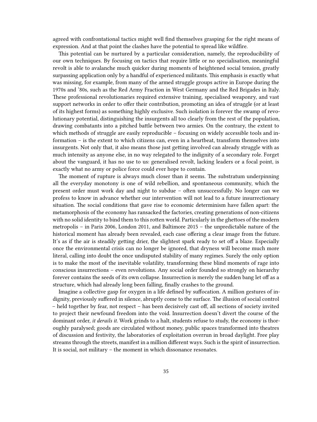agreed with confrontational tactics might well find themselves grasping for the right means of expression. And at that point the clashes have the potential to spread like wildfire.

This potential can be nurtured by a particular consideration, namely, the reproducibility of our own techniques. By focusing on tactics that require little or no specialisation, meaningful revolt is able to avalanche much quicker during moments of heightened social tension, greatly surpassing application only by a handful of experienced militants. This emphasis is exactly what was missing, for example, from many of the armed struggle groups active in Europe during the 1970s and '80s, such as the Red Army Fraction in West Germany and the Red Brigades in Italy. These professional revolutionaries required extensive training, specialised weaponry, and vast support networks in order to offer their contribution, promoting an idea of struggle (or at least of its highest forms) as something highly exclusive. Such isolation is forever the swamp of revolutionary potential, distinguishing the insurgents all too clearly from the rest of the population, drawing combatants into a pitched battle between two armies. On the contrary, the extent to which methods of struggle are easily reproducible – focusing on widely accessible tools and information – is the extent to which citizens can, even in a heartbeat, transform themselves into insurgents. Not only that, it also means those just getting involved can already struggle with as much intensity as anyone else, in no way relegated to the indignity of a secondary role. Forget about the vanguard, it has no use to us: generalised revolt, lacking leaders or a focal point, is exactly what no army or police force could ever hope to contain.

The moment of rupture is always much closer than it seems. The substratum underpinning all the everyday monotony is one of wild rebellion, and spontaneous community, which the present order must work day and night to subdue – often unsuccessfully. No longer can we profess to know in advance whether our intervention will not lead to a future insurrectionary situation. The social conditions that gave rise to economic determinism have fallen apart: the metamorphosis of the economy has ransacked the factories, creating generations of non-citizens with no solid identity to bind them to this rotten world. Particularly in the ghettoes of the modern metropolis – in Paris 2006, London 2011, and Baltimore 2015 – the unpredictable nature of the historical moment has already been revealed, each case offering a clear image from the future. It's as if the air is steadily getting drier, the slightest spark ready to set off a blaze. Especially once the environmental crisis can no longer be ignored, that dryness will become much more literal, calling into doubt the once undisputed stability of many regimes. Surely the only option is to make the most of the inevitable volatility, transforming these blind moments of rage into conscious insurrections – even revolutions. Any social order founded so strongly on hierarchy forever contains the seeds of its own collapse. Insurrection is merely the sudden bang let off as a structure, which had already long been falling, finally crashes to the ground.

Imagine a collective gasp for oxygen in a life defined by suffocation. A million gestures of indignity, previously suffered in silence, abruptly come to the surface. The illusion of social control – held together by fear, not respect – has been decisively cast off, all sections of society invited to project their newfound freedom into the void. Insurrection doesn't divert the course of the dominant order, *it derails it.* Work grinds to a halt, students refuse to study, the economy is thoroughly paralysed; goods are circulated without money, public spaces transformed into theatres of discussion and festivity, the laboratories of exploitation overrun in broad daylight. Free play streams through the streets, manifest in a million different ways. Such is the spirit of insurrection. It is social, not military – the moment in which dissonance resonates.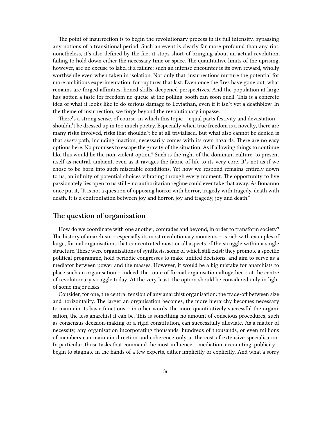The point of insurrection is to begin the revolutionary process in its full intensity, bypassing any notions of a transitional period. Such an event is clearly far more profound than any riot; nonetheless, it's also defined by the fact it stops short of bringing about an actual revolution, failing to hold down either the necessary time or space. The quantitative limits of the uprising, however, are no excuse to label it a failure: such an intense encounter is its own reward, wholly worthwhile even when taken in isolation. Not only that, insurrections nurture the potential for more ambitious experimentation, for ruptures that last. Even once the fires have gone out, what remains are forged affinities, honed skills, deepened perspectives. And the population at large has gotten a taste for freedom no queue at the polling booth can soon quell. This is a concrete idea of what it looks like to do serious damage to Leviathan, even if it isn't yet a deathblow. In the theme of insurrection, we forge beyond the revolutionary impasse.

There's a strong sense, of course, in which this topic – equal parts festivity and devastation – shouldn't be dressed up in too much poetry. Especially when true freedom is a novelty, there are many risks involved, risks that shouldn't be at all trivialised. But what also cannot be denied is that *every* path, including inaction, necessarily comes with its own hazards. There are no easy options here. No promises to escape the gravity of the situation. As if allowing things to continue like this would be the non-violent option? Such is the right of the dominant culture, to present itself as neutral, ambient, even as it ravages the fabric of life to its very core. It's not as if we chose to be born into such miserable conditions. Yet how we respond remains entirely down to us, an infinity of potential choices vibrating through every moment. The opportunity to live passionately lies open to us still – no authoritarian regime could ever take that away. As Bonanno once put it, "It is not a question of opposing horror with horror, tragedy with tragedy, death with death. It is a confrontation between joy and horror, joy and tragedy, joy and death."

#### <span id="page-35-0"></span>**The question of organisation**

How do we coordinate with one another, comrades and beyond, in order to transform society? The history of anarchism – especially its most revolutionary moments – is rich with examples of large, formal organisations that concentrated most or all aspects of the struggle within a single structure. These were organisations of synthesis, some of which still exist: they promote a specific political programme, hold periodic congresses to make unified decisions, and aim to serve as a mediator between power and the masses. However, it would be a big mistake for anarchists to place such an organisation – indeed, the route of formal organisation altogether – at the centre of revolutionary struggle today. At the very least, the option should be considered only in light of some major risks.

Consider, for one, the central tension of any anarchist organisation: the trade-off between size and horizontality. The larger an organisation becomes, the more hierarchy becomes necessary to maintain its basic functions – in other words, the more quantitatively successful the organisation, the less anarchist it can be. This is something no amount of conscious procedures, such as consensus decision-making or a rigid constitution, can successfully alleviate. As a matter of necessity, any organisation incorporating thousands, hundreds of thousands, or even millions of members can maintain direction and coherence only at the cost of extensive specialisation. In particular, those tasks that command the most influence – mediation, accounting, publicity – begin to stagnate in the hands of a few experts, either implicitly or explicitly. And what a sorry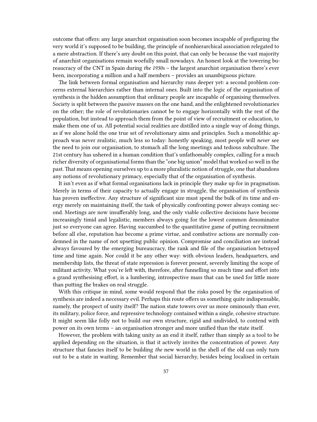outcome that offers: any large anarchist organisation soon becomes incapable of prefiguring the very world it's supposed to be building, the principle of nonhierarchical association relegated to a mere abstraction. If there's any doubt on this point, that can only be because the vast majority of anarchist organisations remain woefully small nowadays. An honest look at the towering bureaucracy of the CNT in Spain during *the 1930s* – the largest anarchist organisation there's ever been, incorporating a million and a half members – provides an unambiguous picture.

The link between formal organisation and hierarchy runs deeper yet: a second problem concerns external hierarchies rather than internal ones. Built into the logic of the organisation of synthesis is the hidden assumption that ordinary people are incapable of organising themselves. Society is split between the passive masses on the one hand, and the enlightened revolutionaries on the other; the role of revolutionaries cannot be to engage horizontally with the rest of the population, but instead to approach them from the point of view of recruitment or education, to make them one of us. All potential social realities are distilled into a single way of doing things, as if we alone hold the one true set of revolutionary aims and principles. Such a monolithic approach was never realistic, much less so today: honestly speaking, most people will *never* see the need to join our organisation, to stomach all the long meetings and tedious subculture. The 21st century has ushered in a human condition that's unfathomably complex, calling for a much richer diversity of organisational forms than the "one big union" model that worked so well in the past. That means opening ourselves up to a more pluralistic notion of struggle, one that abandons any notions of revolutionary primacy, especially that of the organisation of synthesis.

It isn't even as if what formal organisations lack in principle they make up for in pragmatism. Merely in terms of their capacity to actually engage in struggle, the organisation of synthesis has proven ineffective. Any structure of significant size must spend the bulk of its time and energy merely on maintaining itself, the task of physically confronting power always coming second. Meetings are now insufferably long, and the only viable collective decisions have become increasingly timid and legalistic, members always going for the lowest common denominator just so everyone can agree. Having succumbed to the quantitative game of putting recruitment before all else, reputation has become a prime virtue, and combative actions are normally condemned in the name of not upsetting public opinion. Compromise and conciliation are instead always favoured by the emerging bureaucracy, the rank and file of the organisation betrayed time and time again. Nor could it be any other way: with obvious leaders, headquarters, and membership lists, the threat of state repression is forever present, severely limiting the scope of militant activity. What you're left with, therefore, after funnelling so much time and effort into a grand synthesising effort, is a lumbering, introspective mass that can be used for little more than putting the brakes on real struggle.

With this critique in mind, some would respond that the risks posed by the organisation of synthesis are indeed a necessary evil. Perhaps this route offers us something quite indispensable, namely, the prospect of unity itself? The nation state towers over us more ominously than ever, its military, police force, and repressive technology contained within a single, cohesive structure. It might seem like folly not to build our own structure, rigid and undivided, to contend with power on its own terms – an organisation stronger and more unified than the state itself.

However, the problem with taking unity as an end it itself, rather than simply as a tool to be applied depending on the situation, is that it actively invites the concentration of power. Any structure that fancies itself to be building *the* new world in the shell of the old can only turn out to be a state in waiting. Remember that social hierarchy, besides being localised in certain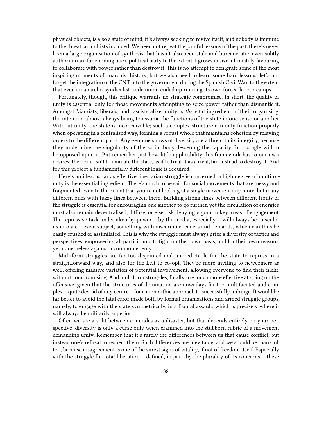physical objects, is also a state of mind; it's always seeking to revive itself, and nobody is immune to the threat, anarchists included. We need not repeat the painful lessons of the past: there's never been a large organisation of synthesis that hasn't also been stale and bureaucratic, even subtly authoritarian, functioning like a political party to the extent it grows in size, ultimately favouring to collaborate with power rather than destroy it. This is no attempt to denigrate some of the most inspiring moments of anarchist history, but we also need to learn some hard lessons; let's not forget the integration of the CNT into the government during the Spanish Civil War, to the extent that even an anarcho-syndicalist trade union ended up running its own forced labour camps.

Fortunately, though, this critique warrants no strategic compromise. In short, the quality of unity is essential only for those movements attempting to seize power rather than dismantle it. Amongst Marxists, liberals, and fascists alike, unity is *the* vital ingredient of their organising, the intention almost always being to assume the functions of the state in one sense or another. Without unity, the state is inconceivable; such a complex structure can only function properly when operating in a centralised way, forming a robust whole that maintains cohesion by relaying orders to the different parts. Any genuine shows of diversity are a threat to its integrity, because they undermine the singularity of the social body, lessening the capacity for a single will to be opposed upon it. But remember just how little applicability this framework has to our own desires: the point isn't to emulate the state, as if to treat it as a rival, but instead to destroy it. And for this project a fundamentally different logic is required.

Here's an idea: as far as effective libertarian struggle is concerned, a high degree of multiformity is the essential ingredient. There's much to be said for social movements that are messy and fragmented, even to the extent that you're not looking at a single movement any more, but many different ones with fuzzy lines between them. Building strong links between different fronts of the struggle is essential for encouraging one another to go further, yet the circulation of energies must also remain decentralised, diffuse, or else risk denying vigour to key areas of engagement. The repressive task undertaken by power – by the media, especially – will always be to sculpt us into a cohesive subject, something with discernible leaders and demands, which can thus be easily crushed or assimilated. This is why the struggle must always prize a diversity of tactics and perspectives, empowering all participants to fight on their own basis, and for their own reasons, yet nonetheless against a common enemy.

Multiform struggles are far too disjointed and unpredictable for the state to repress in a straightforward way, and also for the Left to co-opt. They're more inviting to newcomers as well, offering massive variation of potential involvement, allowing everyone to find their niche without compromising. And multiform struggles, finally, are much more effective at going on the offensive, given that the structures of domination are nowadays far too multifaceted and complex – quite devoid of any centre – for a monolithic approach to successfully unhinge. It would be far better to avoid the fatal error made both by formal organisations and armed struggle groups, namely, to engage with the state symmetrically, in a frontal assault, which is precisely where it will always be militarily superior.

Often we see a split between comrades as a disaster, but that depends entirely on your perspective: diversity is only a curse only when crammed into the stubborn rubric of a movement demanding unity*.* Remember that it's rarely the differences between us that cause conflict, but instead one's refusal to respect them. Such differences are inevitable, and we should be thankful, too, because disagreement is one of the surest signs of vitality, if not of freedom itself. Especially with the struggle for total liberation – defined, in part, by the plurality of its concerns – these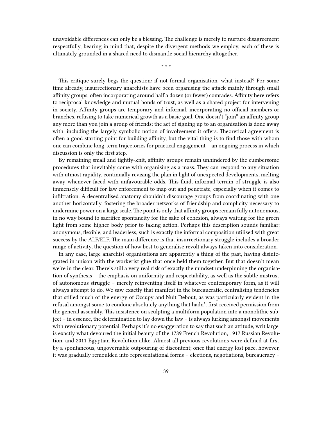unavoidable differences can only be a blessing. The challenge is merely to nurture disagreement respectfully, bearing in mind that, despite the divergent methods we employ, each of these is ultimately grounded in a shared need to dismantle social hierarchy altogether.

\* \* \*

This critique surely begs the question: if not formal organisation, what instead? For some time already, insurrectionary anarchists have been organising the attack mainly through small affinity groups, often incorporating around half a dozen (or fewer) comrades. Affinity here refers to reciprocal knowledge and mutual bonds of trust, as well as a shared project for intervening in society. Affinity groups are temporary and informal, incorporating no official members or branches, refusing to take numerical growth as a basic goal. One doesn't "join" an affinity group any more than you join a group of friends; the act of signing up to an organisation is done away with, including the largely symbolic notion of involvement it offers. Theoretical agreement is often a good starting point for building affinity, but the vital thing is to find those with whom one can combine long-term trajectories for practical engagement – an ongoing process in which discussion is only the first step.

By remaining small and tightly-knit, affinity groups remain unhindered by the cumbersome procedures that inevitably come with organising as a mass. They can respond to any situation with utmost rapidity, continually revising the plan in light of unexpected developments, melting away whenever faced with unfavourable odds. This fluid, informal terrain of struggle is also immensely difficult for law enforcement to map out and penetrate, especially when it comes to infiltration. A decentralised anatomy shouldn't discourage groups from coordinating with one another horizontally, fostering the broader networks of friendship and complicity necessary to undermine power on a large scale. The point is only that affinity groups remain fully autonomous, in no way bound to sacrifice spontaneity for the sake of cohesion, always waiting for the green light from some higher body prior to taking action. Perhaps this description sounds familiar: anonymous, flexible, and leaderless, such is exactly the informal composition utilised with great success by the ALF/ELF. The main difference is that insurrectionary struggle includes a broader range of activity, the question of how best to generalise revolt always taken into consideration.

In any case, large anarchist organisations are apparently a thing of the past, having disintegrated in unison with the workerist glue that once held them together. But that doesn't mean we're in the clear. There's still a very real risk of exactly the mindset underpinning the organisation of synthesis – the emphasis on uniformity and respectability, as well as the subtle mistrust of autonomous struggle – merely reinventing itself in whatever contemporary form, as it will always attempt to do. We saw exactly that manifest in the bureaucratic, centralising tendencies that stifled much of the energy of Occupy and Nuit Debout, as was particularly evident in the refusal amongst some to condone absolutely anything that hadn't first received permission from the general assembly. This insistence on sculpting a multiform population into a monolithic subject – in essence, the determination to lay down the law – is always lurking amongst movements with revolutionary potential. Perhaps it's no exaggeration to say that such an attitude, writ large, is exactly what devoured the initial beauty of the 1789 French Revolution, 1917 Russian Revolution, and 2011 Egyptian Revolution alike. Almost all previous revolutions were defined at first by a spontaneous, ungovernable outpouring of discontent; once that energy lost pace, however, it was gradually remoulded into representational forms – elections, negotiations, bureaucracy –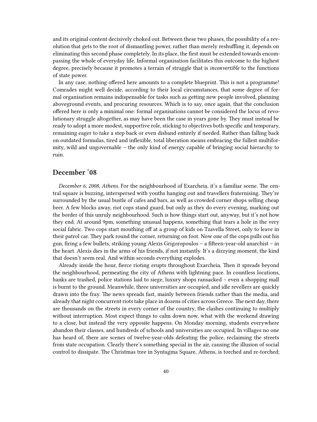and its original content decisively choked out. Between these two phases, the possibility of a revolution that gets to the root of dismantling power, rather than merely reshuffling it, depends on eliminating this second phase completely. In its place, the first must be extended towards encompassing the whole of everyday life. Informal organisation facilitates this outcome to the highest degree, precisely because it promotes a terrain of struggle that is *inconvertible* to the functions of state power.

In any case, nothing offered here amounts to a complete blueprint. This is not a programme! Comrades might well decide, according to their local circumstances, that some degree of formal organisation remains indispensable for tasks such as getting new people involved, planning aboveground events, and procuring resources. Which is to say, once again, that the conclusion offered here is only a minimal one: formal organisations cannot be considered the locus of revolutionary struggle altogether, as may have been the case in years gone by. They must instead be ready to adopt a more modest, supportive role, sticking to objectives both specific and temporary, remaining eager to take a step back or even disband entirely if needed. Rather than falling back on outdated formulas, tired and inflexible, total liberation means embracing the fullest multiformity, wild and ungovernable – the only kind of energy capable of bringing social hierarchy to ruin.

#### <span id="page-39-0"></span>**December '08**

*December 6, 2008, Athens.* For the neighbourhood of Exarcheia, it's a familiar scene. The central square is buzzing, interspersed with youths hanging out and travellers fraternising. They're surrounded by the usual bustle of cafes and bars, as well as crowded corner shops selling cheap beer. A few blocks away, riot cops stand guard, but only as they do every evening, marking out the border of this unruly neighbourhood. Such is how things start out, anyway, but it's not how they end. At around 9pm, something unusual happens, something that tears a hole in the very social fabric. Two cops start mouthing off at a group of kids on Tzavella Street, only to leave in their patrol car. They park round the corner, returning on foot. Now one of the cops pulls out his gun, firing a few bullets, striking young Alexis Grigoropoulos – a fifteen-year-old anarchist – in the heart. Alexis dies in the arms of his friends, if not instantly. It's a dizzying moment, the kind that doesn't seem real. And within seconds everything explodes.

Already inside the hour, fierce rioting erupts throughout Exarcheia. Then it spreads beyond the neighbourhood, permeating the city of Athens with lightning pace. In countless locations, banks are trashed, police stations laid to siege, luxury shops ransacked – even a shopping mall is burnt to the ground. Meanwhile, three universities are occupied, and idle revellers are quickly drawn into the fray. The news spreads fast, mainly between friends rather than the media, and already that night concurrent riots take place in dozens of cities across Greece. The next day, there are thousands on the streets in every corner of the country, the clashes continuing to multiply without interruption. Most expect things to calm down now, what with the weekend drawing to a close, but instead the very opposite happens. On Monday morning, students everywhere abandon their classes, and hundreds of schools and universities are occupied. In villages no one has heard of, there are scenes of twelve-year-olds defeating the police, reclaiming the streets from state occupation. Clearly there's something special in the air, causing the illusion of social control to dissipate. The Christmas tree in Syntagma Square, Athens, is torched and re-torched;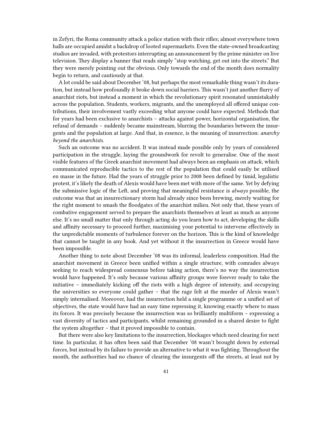in Zefyri, the Roma community attack a police station with their rifles; almost everywhere town halls are occupied amidst a backdrop of looted supermarkets. Even the state-owned broadcasting studios are invaded, with protestors interrupting an announcement by the prime minister on live television. They display a banner that reads simply "stop watching, get out into the streets." But they were merely pointing out the obvious. Only towards the end of the month does normality begin to return, and cautiously at that.

A lot could be said about December '08, but perhaps the most remarkable thing wasn't its duration, but instead how profoundly it broke down social barriers. This wasn't just another flurry of anarchist riots, but instead a moment in which the revolutionary spirit resonated unmistakably across the population. Students, workers, migrants, and the unemployed all offered unique contributions, their involvement vastly exceeding what anyone could have expected. Methods that for years had been exclusive to anarchists – attacks against power, horizontal organisation, the refusal of demands – suddenly became mainstream, blurring the boundaries between the insurgents and the population at large. And that, in essence, is the meaning of insurrection: *anarchy beyond the anarchists*.

Such an outcome was no accident. It was instead made possible only by years of considered participation in the struggle, laying the groundwork for revolt to generalise. One of the most visible features of the Greek anarchist movement had always been an emphasis on attack, which communicated reproducible tactics to the rest of the population that could easily be utilised en masse in the future. Had the years of struggle prior to 2008 been defined by timid, legalistic protest, it's likely the death of Alexis would have been met with more of the same. Yet by defying the submissive logic of the Left, and proving that meaningful resistance is *always* possible, the outcome was that an insurrectionary storm had already since been brewing, merely waiting for the right moment to smash the floodgates of the anarchist milieu. Not only that, these years of combative engagement served to prepare the anarchists themselves at least as much as anyone else. It's no small matter that only through acting do you learn how to act, developing the skills and affinity necessary to proceed further, maximising your potential to intervene effectively in the unpredictable moments of turbulence forever on the horizon. This is the kind of knowledge that cannot be taught in any book. And yet without it the insurrection in Greece would have been impossible.

Another thing to note about December '08 was its informal, leaderless composition. Had the anarchist movement in Greece been unified within a single structure, with comrades always seeking to reach widespread consensus before taking action, there's no way the insurrection would have happened. It's only because various affinity groups were forever ready to take the initiative – immediately kicking off the riots with a high degree of intensity, and occupying the universities so everyone could gather – that the rage felt at the murder of Alexis wasn't simply internalised. Moreover, had the insurrection held a single programme or a unified set of objectives, the state would have had an easy time repressing it, knowing exactly where to mass its forces. It was precisely because the insurrection was so brilliantly multiform – expressing a vast diversity of tactics and participants, whilst remaining grounded in a shared desire to fight the system altogether – that it proved impossible to contain.

But there were also key limitations to the insurrection, blockages which need clearing for next time. In particular, it has often been said that December '08 wasn't brought down by external forces, but instead by its failure to provide an alternative to what it was fighting. Throughout the month, the authorities had no chance of clearing the insurgents off the streets, at least not by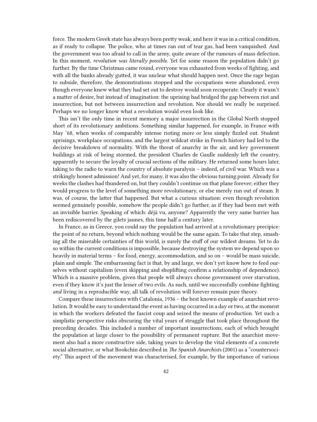force. The modern Greek state has always been pretty weak, and here it was in a critical condition, as if ready to collapse. The police, who at times ran out of tear gas, had been vanquished. And the government was too afraid to call in the army, quite aware of the rumours of mass defection. In this moment, *revolution was literally possible*. Yet for some reason the population didn't go further. By the time Christmas came round, everyone was exhausted from weeks of fighting, and with all the banks already gutted, it was unclear what should happen next. Once the rage began to subside, therefore, the demonstrations stopped and the occupations were abandoned, even though everyone knew what they had set out to destroy would soon recuperate. Clearly it wasn't a matter of desire, but instead of imagination: the uprising had bridged the gap between riot and insurrection, but not between insurrection and revolution. Nor should we really be surprised. Perhaps we no longer know what a revolution would even look like.

This isn't the only time in recent memory a major insurrection in the Global North stopped short of its revolutionary ambitions. Something similar happened, for example, in France with May '68, when weeks of comparably intense rioting more or less simply fizzled out. Student uprisings, workplace occupations, and the largest wildcat strike in French history had led to the decisive breakdown of normality. With the threat of anarchy in the air, and key government buildings at risk of being stormed, the president Charles de Gaulle suddenly left the country, apparently to secure the loyalty of crucial sections of the military. He returned some hours later, taking to the radio to warn the country of absolute paralysis – indeed, of civil war. Which was a strikingly honest admission! And yet, for many, it was also the obvious turning point. Already for weeks the clashes had thundered on, but they couldn't continue on that plane forever; either they would progress to the level of something more revolutionary, or else merely run out of steam. It was, of course, the latter that happened. But what a curious situation: even though revolution seemed genuinely possible, somehow the people didn't go further, as if they had been met with an invisible barrier. Speaking of which: déjà vu, anyone? Apparently the very same barrier has been rediscovered by the gilets jaunes, this time half a century later.

In France, as in Greece, you could say the population had arrived at a revolutionary precipice: the point of no return, beyond which nothing would be the same again. To take that step, smashing all the miserable certainties of this world, is surely the stuff of our wildest dreams. Yet to do so within the current conditions is impossible, because destroying the system we depend upon so heavily in material terms – for food, energy, accommodation, and so on – would be mass suicide, plain and simple. The embarrassing fact is that, by and large, we don't yet know how to feed ourselves without capitalism (even skipping and shoplifting confirm a relationship of dependence). Which is a massive problem, given that people will always choose government over starvation, even if they know it's just the lesser of two evils. As such, until we successfully combine fighting *and* living in a reproducible way, all talk of revolution will forever remain pure theory.

Compare these insurrections with Catalonia, 1936 – the best known example of anarchist revolution. It would be easy to understand the event as having occurred in a day or two, at the moment in which the workers defeated the fascist coup and seized the means of production. Yet such a simplistic perspective risks obscuring the vital years of struggle that took place throughout the preceding decades. This included a number of important insurrections, each of which brought the population at large closer to the possibility of permanent rupture. But the anarchist movement also had a more constructive side, taking years to develop the vital elements of a concrete social alternative, or what Bookchin described in *The Spanish Anarchists* (2001) as a "countersociety." This aspect of the movement was characterised, for example, by the importance of various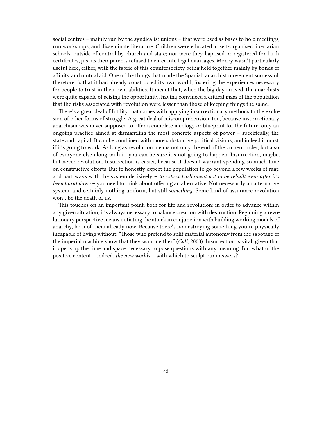social centres – mainly run by the syndicalist unions – that were used as bases to hold meetings, run workshops, and disseminate literature. Children were educated at self-organised libertarian schools, outside of control by church and state; nor were they baptised or registered for birth certificates, just as their parents refused to enter into legal marriages. Money wasn't particularly useful here, either, with the fabric of this countersociety being held together mainly by bonds of affinity and mutual aid. One of the things that made the Spanish anarchist movement successful, therefore, is that it had already constructed its own world, fostering the experiences necessary for people to trust in their own abilities. It meant that, when the big day arrived, the anarchists were quite capable of seizing the opportunity, having convinced a critical mass of the population that the risks associated with revolution were lesser than those of keeping things the same.

There's a great deal of futility that comes with applying insurrectionary methods to the exclusion of other forms of struggle. A great deal of miscomprehension, too, because insurrectionary anarchism was never supposed to offer a complete ideology or blueprint for the future, only an ongoing practice aimed at dismantling the most concrete aspects of power – specifically, the state and capital. It can be combined with more substantive political visions, and indeed it must, if it's going to work. As long as revolution means not only the end of the current order, but also of everyone else along with it, you can be sure it's not going to happen. Insurrection, maybe, but never revolution. Insurrection is easier, because it doesn't warrant spending so much time on constructive efforts. But to honestly expect the population to go beyond a few weeks of rage and part ways with the system decisively – *to expect parliament not to be rebuilt even after it's been burnt down* – you need to think about offering an alternative. Not necessarily an alternative system, and certainly nothing uniform, but still *something*. Some kind of assurance revolution won't be the death of us.

This touches on an important point, both for life and revolution: in order to advance within any given situation, it's always necessary to balance creation with destruction. Regaining a revolutionary perspective means initiating the attack in conjunction with building working models of anarchy, both of them already now. Because there's no destroying something you're physically incapable of living without: "Those who pretend to split material autonomy from the sabotage of the imperial machine show that they want neither" (*Call*, 2003). Insurrection is vital, given that it opens up the time and space necessary to pose questions with any meaning. But what of the positive content – indeed, *the new worlds* – with which to sculpt our answers?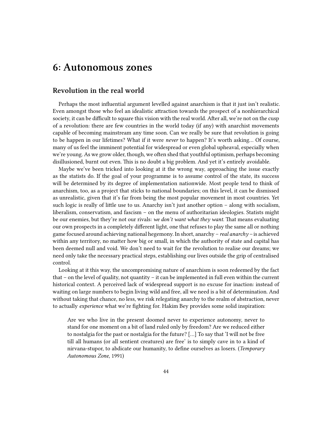### <span id="page-43-0"></span>**6: Autonomous zones**

#### <span id="page-43-1"></span>**Revolution in the real world**

Perhaps the most influential argument levelled against anarchism is that it just isn't realistic. Even amongst those who feel an idealistic attraction towards the prospect of a nonhierarchical society, it can be difficult to square this vision with the real world. After all, we're not on the cusp of a revolution: there are few countries in the world today (if any) with anarchist movements capable of becoming mainstream any time soon. Can we really be sure that revolution is going to be happen in our lifetimes? What if it were *never* to happen? It's worth asking… Of course, many of us feel the imminent potential for widespread or even global upheaval, especially when we're young. As we grow older, though, we often shed that youthful optimism, perhaps becoming disillusioned, burnt out even. This is no doubt a big problem. And yet it's entirely avoidable.

Maybe we've been tricked into looking at it the wrong way, approaching the issue exactly as the statists do. If the goal of your programme is to assume control of the state, its success will be determined by its degree of implementation nationwide. Most people tend to think of anarchism, too, as a project that sticks to national boundaries; on this level, it can be dismissed as unrealistic, given that it's far from being the most popular movement in most countries. Yet such logic is really of little use to us. Anarchy isn't just another option – along with socialism, liberalism, conservatism, and fascism – on the menu of authoritarian ideologies. Statists might be our enemies, but they're not our rivals: *we don't want what they want*. That means evaluating our own prospects in a completely different light, one that refuses to play the same all or nothing game focused around achieving national hegemony. In short, anarchy – *real anarchy –* is achieved within any territory, no matter how big or small, in which the authority of state and capital has been deemed null and void. We don't need to wait for the revolution to realise our dreams; we need only take the necessary practical steps, establishing our lives outside the grip of centralised control.

Looking at it this way, the uncompromising nature of anarchism is soon redeemed by the fact that – on the level of quality, not quantity – it can be implemented in full even within the current historical context. A perceived lack of widespread support is no excuse for inaction: instead of waiting on large numbers to begin living wild and free, all we need is a bit of determination. And without taking that chance, no less, we risk relegating anarchy to the realm of abstraction, never to actually *experience* what we're fighting for. Hakim Bey provides some solid inspiration:

Are we who live in the present doomed never to experience autonomy, never to stand for one moment on a bit of land ruled only by freedom? Are we reduced either to nostalgia for the past or nostalgia for the future? […] To say that 'I will not be free till all humans (or all sentient creatures) are free' is to simply cave in to a kind of nirvana-stupor, to abdicate our humanity, to define ourselves as losers. (*Temporary Autonomous Zone*, 1991)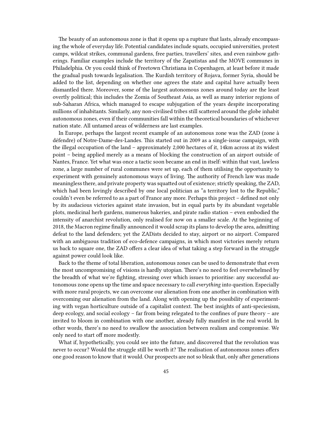The beauty of an autonomous zone is that it opens up a rupture that lasts, already encompassing the whole of everyday life. Potential candidates include squats, occupied universities, protest camps, wildcat strikes, communal gardens, free parties, travellers' sites, and even rainbow gatherings. Familiar examples include the territory of the Zapatistas and the MOVE communes in Philadelphia. Or you could think of Freetown Christiana in Copenhagen, at least before it made the gradual push towards legalisation. The Kurdish territory of Rojava, former Syria, should be added to the list, depending on whether one agrees the state and capital have actually been dismantled there. Moreover, some of the largest autonomous zones around today are the least overtly political; this includes the Zomia of Southeast Asia, as well as many interior regions of sub-Saharan Africa, which managed to escape subjugation of the years despite incorporating millions of inhabitants. Similarly, any non-civilised tribes still scattered around the globe inhabit autonomous zones, even if their communities fall within the theoretical boundaries of whichever nation state. All untamed areas of wilderness are last examples.

In Europe, perhaps the largest recent example of an autonomous zone was the ZAD (zone à défendre) of Notre-Dame-des-Landes. This started out in 2009 as a single-issue campaign, with the illegal occupation of the land – approximately 2,000 hectares of it, 14km across at its widest point – being applied merely as a means of blocking the construction of an airport outside of Nantes, France. Yet what was once a tactic soon became an end in itself: within that vast, lawless zone, a large number of rural communes were set up, each of them utilising the opportunity to experiment with genuinely autonomous ways of living. The authority of French law was made meaningless there, and private property was squatted out of existence; strictly speaking, the ZAD, which had been lovingly described by one local politician as "a territory lost to the Republic," couldn't even be referred to as a part of France any more. Perhaps this project – defined not only by its audacious victories against state invasion, but in equal parts by its abundant vegetable plots, medicinal herb gardens, numerous bakeries, and pirate radio station – even embodied the intensity of anarchist revolution, only realised for now on a smaller scale. At the beginning of 2018, the Macron regime finally announced it would scrap its plans to develop the area, admitting defeat to the land defenders; yet the ZADists decided to stay, airport or no airport. Compared with an ambiguous tradition of eco-defence campaigns, in which most victories merely return us back to square one, the ZAD offers a clear idea of what taking a step forward in the struggle against power could look like.

Back to the theme of total liberation, autonomous zones can be used to demonstrate that even the most uncompromising of visions is hardly utopian. There's no need to feel overwhelmed by the breadth of what we're fighting, stressing over which issues to prioritise: any successful autonomous zone opens up the time and space necessary to call *everything* into question. Especially with more rural projects, we can overcome our alienation from one another in combination with overcoming our alienation from the land. Along with opening up the possibility of experimenting with vegan horticulture outside of a capitalist context. The best insights of anti-speciesism, deep ecology, and social ecology – far from being relegated to the confines of pure theory – are invited to bloom in combination with one another, already fully manifest in the real world. In other words, there's no need to swallow the association between realism and compromise. We only need to start off more modestly.

What if, hypothetically, you could see into the future, and discovered that the revolution was never to occur? Would the struggle still be worth it? The realisation of autonomous zones offers one good reason to know that it would. Our prospects are not so bleak that, only after generations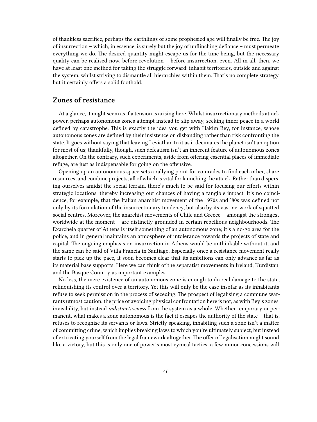of thankless sacrifice, perhaps the earthlings of some prophesied age will finally be free. The joy of insurrection – which, in essence, is surely but the joy of unflinching defiance – must permeate everything we do. The desired quantity might escape us for the time being, but the necessary quality can be realised now, before revolution – before insurrection, even. All in all, then, we have at least one method for taking the struggle forward: inhabit territories, outside and against the system, whilst striving to dismantle all hierarchies within them. That's no complete strategy, but it certainly offers a solid foothold.

#### <span id="page-45-0"></span>**Zones of resistance**

At a glance, it might seem as if a tension is arising here. Whilst insurrectionary methods attack power, perhaps autonomous zones attempt instead to slip away, seeking inner peace in a world defined by catastrophe. This is exactly the idea you get with Hakim Bey, for instance, whose autonomous zones are defined by their insistence on disbanding rather than risk confronting the state. It goes without saying that leaving Leviathan to it as it decimates the planet isn't an option for most of us; thankfully, though, such defeatism isn't an inherent feature of autonomous zones altogether. On the contrary, such experiments, aside from offering essential places of immediate refuge, are just as indispensable for going on the offensive.

Opening up an autonomous space sets a rallying point for comrades to find each other, share resources, and combine projects, all of which is vital for launching the attack. Rather than dispersing ourselves amidst the social terrain, there's much to be said for focusing our efforts within strategic locations, thereby increasing our chances of having a tangible impact. It's no coincidence, for example, that the Italian anarchist movement of the 1970s and '80s was defined not only by its formulation of the insurrectionary tendency, but also by its vast network of squatted social centres. Moreover, the anarchist movements of Chile and Greece – amongst the strongest worldwide at the moment – are distinctly grounded in certain rebellious neighbourhoods. The Exarcheia quarter of Athens is itself something of an autonomous zone; it's a no-go area for the police, and in general maintains an atmosphere of intolerance towards the projects of state and capital. The ongoing emphasis on insurrection in Athens would be unthinkable without it, and the same can be said of Villa Francia in Santiago. Especially once a resistance movement really starts to pick up the pace, it soon becomes clear that its ambitions can only advance as far as its material base supports. Here we can think of the separatist movements in Ireland, Kurdistan, and the Basque Country as important examples.

No less, the mere existence of an autonomous zone is enough to do real damage to the state, relinquishing its control over a territory. Yet this will only be the case insofar as its inhabitants refuse to seek permission in the process of seceding. The prospect of legalising a commune warrants utmost caution: the price of avoiding physical confrontation here is not, as with Bey's zones, invisibility, but instead *indistinctiveness* from the system as a whole. Whether temporary or permanent, what makes a zone autonomous is the fact it escapes the authority of the state – that is, refuses to recognise its servants or laws. Strictly speaking, inhabiting such a zone isn't a matter of committing crime, which implies breaking laws to which you're ultimately subject, but instead of extricating yourself from the legal framework altogether. The offer of legalisation might sound like a victory, but this is only one of power's most cynical tactics: a few minor concessions will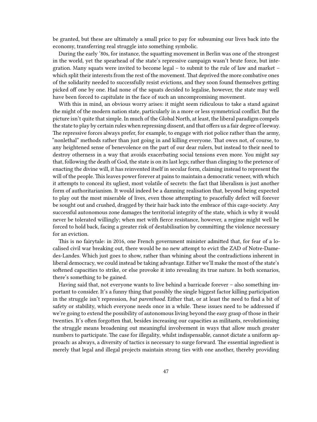be granted, but these are ultimately a small price to pay for subsuming our lives back into the economy, transferring real struggle into something symbolic.

During the early '80s, for instance, the squatting movement in Berlin was one of the strongest in the world, yet the spearhead of the state's repressive campaign wasn't brute force, but integration. Many squats were invited to become legal – to submit to the rule of law and market – which split their interests from the rest of the movement. That deprived the more combative ones of the solidarity needed to successfully resist evictions, and they soon found themselves getting picked off one by one. Had none of the squats decided to legalise, however, the state may well have been forced to capitulate in the face of such an uncompromising movement.

With this in mind, an obvious worry arises: it might seem ridiculous to take a stand against the might of the modern nation state, particularly in a more or less symmetrical conflict. But the picture isn't quite that simple. In much of the Global North, at least, the liberal paradigm compels the state to play by certain rules when repressing dissent, and that offers us a fair degree of leeway. The repressive forces always prefer, for example, to engage with riot police rather than the army, "nonlethal" methods rather than just going in and killing everyone. That owes not, of course, to any heightened sense of benevolence on the part of our dear rulers, but instead to their need to destroy otherness in a way that avoids exacerbating social tensions even more. You might say that, following the death of God, the state is on its last legs; rather than clinging to the pretence of enacting the divine will, it has reinvented itself in secular form, claiming instead to represent the will of the people. This leaves power forever at pains to maintain a democratic veneer, with which it attempts to conceal its ugliest, most volatile of secrets: the fact that liberalism is just another form of authoritarianism. It would indeed be a damning realisation that, beyond being expected to play out the most miserable of lives, even those attempting to peacefully defect will forever be sought out and crushed, dragged by their hair back into the embrace of this cage-society. Any successful autonomous zone damages the territorial integrity of the state, which is why it would never be tolerated willingly; when met with fierce resistance, however, a regime might well be forced to hold back, facing a greater risk of destabilisation by committing the violence necessary for an eviction.

This is no fairytale: in 2016, one French government minister admitted that, for fear of a localised civil war breaking out, there would be no new attempt to evict the ZAD of Notre-Damedes-Landes. Which just goes to show, rather than whining about the contradictions inherent in liberal democracy, we could instead be taking advantage. Either we'll make the most of the state's softened capacities to strike, or else provoke it into revealing its true nature. In both scenarios, there's something to be gained.

Having said that, not everyone wants to live behind a barricade forever – also something important to consider. It's a funny thing that possibly the single biggest factor killing participation in the struggle isn't repression, *but parenthood*. Either that, or at least the need to find a bit of safety or stability, which everyone needs once in a while. These issues need to be addressed if we're going to extend the possibility of autonomous living beyond the easy grasp of those in their twenties. It's often forgotten that, besides increasing our capacities as militants, revolutionising the struggle means broadening out meaningful involvement in ways that allow much greater numbers to participate. The case for illegality, whilst indispensable, cannot dictate a uniform approach: as always, a diversity of tactics is necessary to surge forward. The essential ingredient is merely that legal and illegal projects maintain strong ties with one another, thereby providing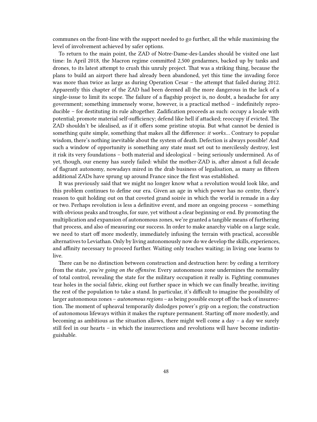communes on the front-line with the support needed to go further, all the while maximising the level of involvement achieved by safer options.

To return to the main point, the ZAD of Notre-Dame-des-Landes should be visited one last time: In April 2018, the Macron regime committed 2,500 gendarmes, backed up by tanks and drones, to its latest attempt to crush this unruly project. That was a striking thing, because the plans to build an airport there had already been abandoned, yet this time the invading force was more than twice as large as during Operation Cesar – the attempt that failed during 2012. Apparently this chapter of the ZAD had been deemed all the more dangerous in the lack of a single-issue to limit its scope. The failure of a flagship project is, no doubt, a headache for any government; something immensely worse, however, is a practical method – indefinitely reproducible – for destituting its rule altogether. Zadification proceeds as such: occupy a locale with potential; promote material self-sufficiency; defend like hell if attacked; reoccupy if evicted. The ZAD shouldn't be idealised, as if it offers some pristine utopia. But what cannot be denied is something quite simple, something that makes all the difference: *it works…* Contrary to popular wisdom, there's nothing inevitable about the system of death. Defection is always possible! And such a window of opportunity is something any state must set out to mercilessly destroy, lest it risk its very foundations – both material and ideological – being seriously undermined. As of yet, though, our enemy has surely failed: whilst the mother-ZAD is, after almost a full decade of flagrant autonomy, nowadays mired in the drab business of legalisation, as many as fifteen additional ZADs have sprung up around France since the first was established.

It was previously said that we might no longer know what a revolution would look like, and this problem continues to define our era. Given an age in which power has no centre, there's reason to quit holding out on that coveted grand soirée in which the world is remade in a day or two. Perhaps revolution is less a definitive event, and more an ongoing process – something with obvious peaks and troughs, for sure, yet without a clear beginning or end. By promoting the multiplication and expansion of autonomous zones, we're granted a tangible means of furthering that process, and also of measuring our success. In order to make anarchy viable on a large scale, we need to start off more modestly, immediately infusing the terrain with practical, accessible alternatives to Leviathan. Only by living autonomously now do we develop the skills, experiences, and affinity necessary to proceed further. Waiting only teaches waiting; in living one learns to live.

There can be no distinction between construction and destruction here: by ceding a territory from the state, *you're going on the offensive*. Every autonomous zone undermines the normality of total control, revealing the state for the military occupation it really is. Fighting communes tear holes in the social fabric, eking out further space in which we can finally breathe, inviting the rest of the population to take a stand. In particular, it's difficult to imagine the possibility of larger autonomous zones – *autonomous regions –* as being possible except off the back of insurrection. The moment of upheaval temporarily dislodges power's grip on a region; the construction of autonomous lifeways within it makes the rupture permanent. Starting off more modestly, and becoming as ambitious as the situation allows, there might well come a day – a day we surely still feel in our hearts – in which the insurrections and revolutions will have become indistinguishable.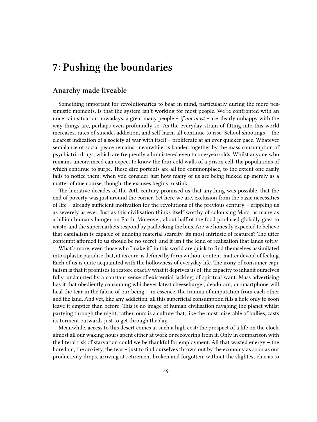## <span id="page-48-0"></span>**7: Pushing the boundaries**

#### <span id="page-48-1"></span>**Anarchy made liveable**

Something important for revolutionaries to bear in mind, particularly during the more pessimistic moments, is that the system isn't working for most people. We're confronted with an uncertain situation nowadays: a great many people – *if not most –* are clearly unhappy with the way things are, perhaps even profoundly so. As the everyday strain of fitting into this world increases, rates of suicide, addiction, and self-harm all continue to rise. School shootings – the clearest indication of a society at war with itself – proliferate at an ever quicker pace. Whatever semblance of social peace remains, meanwhile, is banded together by the mass consumption of psychiatric drugs, which are frequently administered even to one-year-olds. Whilst anyone who remains unconvinced can expect to know the four cold walls of a prison cell, the populations of which continue to surge. These dire portents are all too commonplace, to the extent one easily fails to notice them; when you consider just how many of us are being fucked up merely as a matter of due course, though, the excuses begins to stink.

The lucrative decades of the 20th century promised us that anything was possible, that the end of poverty was just around the corner. Yet here we are, exclusion from the basic necessities of life – already sufficient motivation for the revolutions of the previous century – crippling us as severely as ever. Just as this civilisation thinks itself worthy of colonising Mars, as many as a billion humans hunger on Earth. Moreover, about half of the food produced globally goes to waste, and the supermarkets respond by padlocking the bins. Are we honestly expected to believe that capitalism is capable of undoing material scarcity, its most intrinsic of features? The utter contempt afforded to us should be no secret, and it isn't the kind of realisation that lands softly.

What's more, even those who "make it" in this world are quick to find themselves assimilated into a plastic paradise that, at its core, is defined by form without content, matter devoid of feeling. Each of us is quite acquainted with the hollowness of everyday life. The irony of consumer capitalism is that it promises to restore exactly what it deprives us of: the capacity to inhabit ourselves fully, undaunted by a constant sense of existential lacking, of spiritual want. Mass advertising has it that obediently consuming whichever latest cheeseburger, deodorant, or smartphone will heal the tear in the fabric of our being – in essence, the trauma of amputation from each other and the land. And yet, like any addiction, all this superficial consumption fills a hole only to soon leave it emptier than before. This is no image of human civilisation ravaging the planet whilst partying through the night; rather, ours is a culture that, like the most miserable of bullies, casts its torment outwards just to get through the day.

Meanwhile, access to this desert comes at such a high cost: the prospect of a life on the clock, almost all our waking hours spent either at work or recovering from it. Only in comparison with the literal risk of starvation could we be thankful for employment. All that wasted energy – the boredom, the anxiety, the fear – just to find ourselves thrown out by the economy as soon as our productivity drops, arriving at retirement broken and forgotten, without the slightest clue as to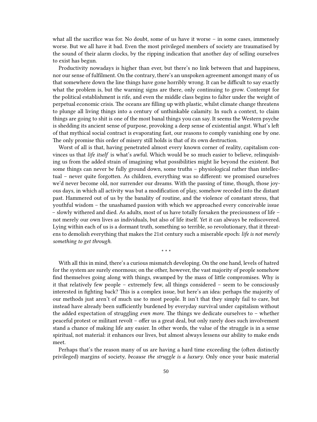what all the sacrifice was for. No doubt, some of us have it worse – in some cases, immensely worse. But we all have it bad. Even the most privileged members of society are traumatised by the sound of their alarm clocks, by the ripping indication that another day of selling ourselves to exist has begun.

Productivity nowadays is higher than ever, but there's no link between that and happiness, nor our sense of fulfilment. On the contrary, there's an unspoken agreement amongst many of us that somewhere down the line things have gone horribly wrong. It can be difficult to say exactly what the problem is, but the warning signs are there, only continuing to grow. Contempt for the political establishment is rife, and even the middle class begins to falter under the weight of perpetual economic crisis. The oceans are filling up with plastic, whilst climate change threatens to plunge all living things into a century of unthinkable calamity. In such a context, to claim things are going to shit is one of the most banal things you can say. It seems the Western psyche is shedding its ancient sense of purpose, provoking a deep sense of existential angst. What's left of that mythical social contract is evaporating fast, our reasons to comply vanishing one by one. The only promise this order of misery still holds is that of its own destruction.

Worst of all is that, having penetrated almost every known corner of reality, capitalism convinces us that *life itself* is what's awful. Which would be so much easier to believe, relinquishing us from the added strain of imagining what possibilities might lie beyond the existent. But some things can never be fully ground down, some truths – physiological rather than intellectual – never quite forgotten. As children, everything was so different: we promised ourselves we'd never become old, nor surrender our dreams. With the passing of time, though, those joyous days, in which all activity was but a modification of play, somehow receded into the distant past. Hammered out of us by the banality of routine, and the violence of constant stress, that youthful wisdom – the unashamed passion with which we approached every conceivable issue – slowly withered and died. As adults, most of us have totally forsaken the preciousness of life – not merely our own lives as individuals, but also of life itself. Yet it can always be rediscovered. Lying within each of us is a dormant truth, something so terrible, so revolutionary, that it threatens to demolish everything that makes the 21st century such a miserable epoch: *life is not merely something to get through*.

With all this in mind, there's a curious mismatch developing. On the one hand, levels of hatred for the system are surely enormous; on the other, however, the vast majority of people somehow find themselves going along with things, swamped by the mass of little compromises. Why is it that relatively few people – extremely few, all things considered – seem to be consciously interested in fighting back? This is a complex issue, but here's an idea: perhaps the majority of our methods just aren't of much use to most people. It isn't that they simply fail to care, but instead have already been sufficiently burdened by everyday survival under capitalism without the added expectation of struggling *even more*. The things we dedicate ourselves to – whether peaceful protest or militant revolt – offer us a great deal, but only rarely does such involvement stand a chance of making life any easier. In other words, the value of the struggle is in a sense spiritual, not material: it enhances our lives, but almost always lessens our ability to make ends meet.

\* \* \*

Perhaps that's the reason many of us are having a hard time exceeding the (often distinctly privileged) margins of society, *because the struggle is a luxury*. Only once your basic material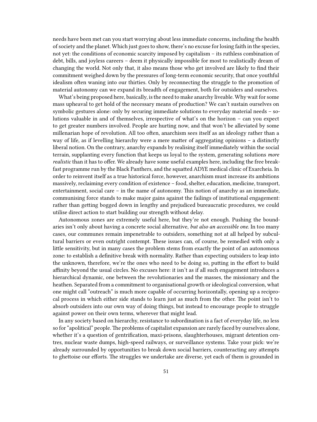needs have been met can you start worrying about less immediate concerns, including the health of society and the planet. Which just goes to show, there's no excuse for losing faith in the species, not yet: the conditions of economic scarcity imposed by capitalism – its ruthless combination of debt, bills, and joyless careers – deem it physically impossible for most to realistically dream of changing the world. Not only that, it also means those who get involved are likely to find their commitment weighed down by the pressures of long-term economic security, that once youthful idealism often waning into our thirties. Only by reconnecting the struggle to the promotion of material autonomy can we expand its breadth of engagement, both for outsiders and ourselves.

What's being proposed here, basically, is the need to make anarchy liveable. Why wait for some mass upheaval to get hold of the necessary means of production? We can't sustain ourselves on symbolic gestures alone: only by securing immediate solutions to everyday material needs – solutions valuable in and of themselves, irrespective of what's on the horizon – can you expect to get greater numbers involved. People are hurting now, and that won't be alleviated by some millenarian hope of revolution. All too often, anarchism sees itself as an ideology rather than a way of life, as if levelling hierarchy were a mere matter of aggregating opinions – a distinctly liberal notion. On the contrary, anarchy expands by realising itself immediately within the social terrain, supplanting every function that keeps us loyal to the system, generating solutions *more realistic* than it has to offer. We already have some useful examples here, including the free breakfast programme run by the Black Panthers, and the squatted ADYE medical clinic of Exarcheia. In order to reinvent itself as a true historical force, however, anarchism must increase its ambitions massively, reclaiming every condition of existence – food, shelter, education, medicine, transport, entertainment, social care – in the name of autonomy. This notion of anarchy as an immediate, communising force stands to make major gains against the failings of institutional engagement: rather than getting bogged down in lengthy and prejudiced bureaucratic procedures, we could utilise direct action to start building our strength without delay.

Autonomous zones are extremely useful here, but they're not enough. Pushing the boundaries isn't only about having a concrete social alternative, *but also an accessible one*. In too many cases, our communes remain impenetrable to outsiders, something not at all helped by subcultural barriers or even outright contempt. These issues can, of course, be remedied with only a little sensitivity, but in many cases the problem stems from exactly the point of an autonomous zone: to establish a definitive break with normality. Rather than expecting outsiders to leap into the unknown, therefore, we're the ones who need to be doing so, putting in the effort to build affinity beyond the usual circles. No excuses here: it isn't as if all such engagement introduces a hierarchical dynamic, one between the revolutionaries and the masses, the missionary and the heathen. Separated from a commitment to organisational growth or ideological conversion, what one might call "outreach" is much more capable of occurring horizontally, opening up a reciprocal process in which either side stands to learn just as much from the other. The point isn't to absorb outsiders into our own way of doing things, but instead to encourage people to struggle against power on their own terms, wherever that might lead.

In any society based on hierarchy, resistance to subordination is a fact of everyday life, no less so for "apolitical" people. The problems of capitalist expansion are rarely faced by ourselves alone, whether it's a question of gentrification, maxi-prisons, slaughterhouses, migrant detention centres, nuclear waste dumps, high-speed railways, or surveillance systems. Take your pick: we're already surrounded by opportunities to break down social barriers, counteracting any attempts to ghettoise our efforts. The struggles we undertake are diverse, yet each of them is grounded in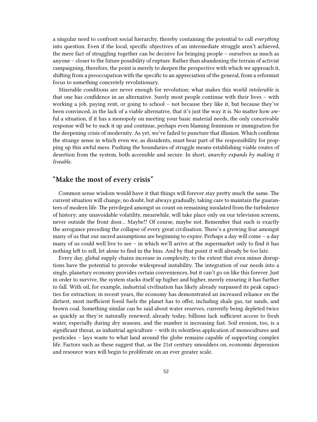a singular need to confront social hierarchy, thereby containing the potential to call *everything* into question. Even if the local, specific objectives of an intermediate struggle aren't achieved, the mere fact of struggling together can be decisive for bringing people – ourselves as much as anyone – closer to the future possibility of rupture. Rather than abandoning the terrain of activist campaigning, therefore, the point is merely to deepen the perspective with which we approach it, shifting from a preoccupation with the specific to an appreciation of the general, from a reformist focus to something concretely revolutionary.

Miserable conditions are never enough for revolution; what makes this world *intolerable* is that one has confidence in an alternative. Surely most people continue with their lives – with working a job, paying rent, or going to school – not because they like it, but because they've been convinced, in the lack of a viable alternative, that it's just the way it is. No matter how awful a situation, if it has a monopoly on meeting your basic material needs, the only conceivable response will be to suck it up and continue, perhaps even blaming feminism or immigration for the deepening crisis of modernity. As yet, we've failed to puncture that illusion. Which confirms the strange sense in which even we, as dissidents, must bear part of the responsibility for propping up this awful mess. Pushing the boundaries of struggle means establishing viable routes of desertion from the system, both accessible and secure. In short, *anarchy expands by making it liveable*.

#### <span id="page-51-0"></span>**"Make the most of every crisis"**

Common sense wisdom would have it that things will forever stay pretty much the same. The current situation will change, no doubt, but always gradually, taking care to maintain the guarantees of modern life. The privileged amongst us count on remaining insulated from the turbulence of history; any unavoidable volatility, meanwhile, will take place only on our television screens, never outside the front door... Maybe!? Of course, maybe not. Remember that such is exactly the arrogance preceding the collapse of every great civilisation. There's a growing fear amongst many of us that our sacred assumptions are beginning to expire. Perhaps a day will come – a day many of us could well live to see – in which we'll arrive at the supermarket only to find it has nothing left to sell, let alone to find in the bins. And by that point it will already be too late.

Every day, global supply chains increase in complexity, to the extent that even minor disruptions have the potential to provoke widespread instability. The integration of our needs into a single, planetary economy provides certain conveniences, but it can't go on like this forever. Just in order to survive, the system stacks itself up higher and higher, merely ensuring it has further to fall. With oil, for example, industrial civilisation has likely already surpassed its peak capacities for extraction; in recent years, the economy has demonstrated an increased reliance on the dirtiest, most inefficient fossil fuels the planet has to offer, including shale gas, tar sands, and brown coal. Something similar can be said about water reserves, currently being depleted twice as quickly as they're naturally renewed; already today, billions lack sufficient access to fresh water, especially during dry seasons, and the number is increasing fast. Soil erosion, too, is a significant threat, as industrial agriculture – with its relentless application of monocultures and pesticides – lays waste to what land around the globe remains capable of supporting complex life. Factors such as these suggest that, as the 21st century smoulders on, economic depression and resource wars will begin to proliferate on an ever greater scale.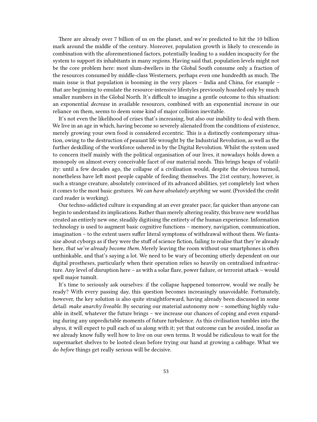There are already over 7 billion of us on the planet, and we're predicted to hit the 10 billion mark around the middle of the century. Moreover, population growth is likely to crescendo in combination with the aforementioned factors, potentially leading to a sudden incapacity for the system to support its inhabitants in many regions. Having said that, population levels might not be the core problem here: most slum-dwellers in the Global South consume only a fraction of the resources consumed by middle-class Westerners, perhaps even one hundredth as much. The main issue is that population is booming in the very places – India and China, for example – that are beginning to emulate the resource-intensive lifestyles previously hoarded only by much smaller numbers in the Global North. It's difficult to imagine a gentle outcome to this situation: an exponential *decrease* in available resources, combined with an exponential *increase* in our reliance on them, seems to deem some kind of major collision inevitable.

It's not even the likelihood of crises that's increasing, but also our inability to deal with them. We live in an age in which, having become so severely alienated from the conditions of existence, merely growing your own food is considered eccentric. This is a distinctly contemporary situation, owing to the destruction of peasant life wrought by the Industrial Revolution, as well as the further deskilling of the workforce ushered in by the Digital Revolution. Whilst the system used to concern itself mainly with the political organisation of our lives, it nowadays holds down a monopoly on almost every conceivable facet of our material needs. This brings heaps of volatility: until a few decades ago, the collapse of a civilisation would, despite the obvious turmoil, nonetheless have left most people capable of feeding themselves. The 21st century, however, is such a strange creature, absolutely convinced of its advanced abilities, yet completely lost when it comes to the most basic gestures. *We can have absolutely anything we want.* (Provided the credit card reader is working).

Our techno-addicted culture is expanding at an ever greater pace, far quicker than anyone can begin to understand its implications. Rather than merely altering reality, this brave new world has created an entirely new one, steadily digitising the entirety of the human experience. Information technology is used to augment basic cognitive functions – memory, navigation, communication, imagination – to the extent users suffer literal symptoms of withdrawal without them. We fantasise about cyborgs as if they were the stuff of science fiction, failing to realise that they're already here, *that we've already become them*. Merely leaving the room without our smartphones is often unthinkable, and that's saying a lot. We need to be wary of becoming utterly dependent on our digital prostheses, particularly when their operation relies so heavily on centralised infrastructure. Any level of disruption here – as with a solar flare, power failure, or terrorist attack – would spell major tumult.

It's time to seriously ask ourselves: if the collapse happened tomorrow, would we really be ready? With every passing day, this question becomes increasingly unavoidable. Fortunately, however, the key solution is also quite straightforward, having already been discussed in some detail: *make anarchy liveable*. By securing our material autonomy now – something highly valuable in itself, whatever the future brings – we increase our chances of coping and even expanding during any unpredictable moments of future turbulence. As this civilisation tumbles into the abyss, it will expect to pull each of us along with it; yet that outcome can be avoided, insofar as we already know fully well how to live on our own terms. It would be ridiculous to wait for the supermarket shelves to be looted clean before trying our hand at growing a cabbage. What we do *before* things get really serious will be decisive.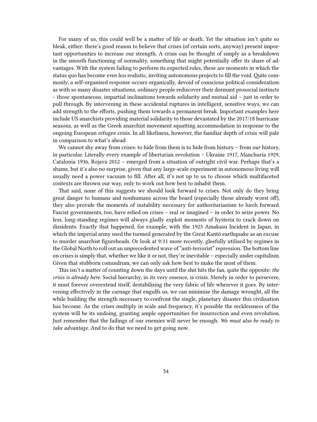For many of us, this could well be a matter of life or death. Yet the situation isn't quite so bleak, either: there's good reason to believe that crises (of certain sorts, anyway) present important opportunities to increase our strength. A crisis can be thought of simply as a breakdown in the smooth functioning of normality, something that might potentially offer its share of advantages. With the system failing to perform its expected roles, these are moments in which the status quo has become *even less* realistic, inviting autonomous projects to fill the void.Quite commonly, a self-organised response occurs organically, devoid of conscious political consideration: as with so many disaster situations, ordinary people rediscover their dormant prosocial instincts – those spontaneous, impartial inclinations towards solidarity and mutual aid – just in order to pull through. By intervening in these accidental ruptures in intelligent, sensitive ways, we can add strength to the efforts, pushing them towards a permanent break. Important examples here include US anarchists providing material solidarity to those devastated by the 2017/18 hurricane seasons, as well as the Greek anarchist movement squatting accommodation in response to the ongoing European refugee crisis. In all likeliness, however, the familiar depth of crisis will pale in comparison to what's ahead.

We cannot shy away from crises: to hide from them is to hide from history – from *our* history, in particular. Literally every example of libertarian revolution – Ukraine 1917, Manchuria 1929, Catalonia 1936, Rojava 2012 – emerged from a situation of outright civil war. Perhaps that's a shame, but it's also no surprise, given that any large-scale experiment in autonomous living will usually need a power vacuum to fill. After all, it's not up to us to choose which multifaceted contexts are thrown our way, only to work out how best to inhabit them.

That said, none of this suggests we should look forward to crises. Not only do they bring great danger to humans and nonhumans across the board (especially those already worst off), they also provide the moments of instability necessary for authoritarianism to lurch forward. Fascist governments, too, have relied on crises – real or imagined – in order to seize power. No less, long-standing regimes will always gladly exploit moments of hysteria to crack down on dissidents. Exactly that happened, for example, with the 1923 Amakasu Incident in Japan, in which the imperial army used the turmoil generated by the Great Kantō earthquake as an excuse to murder anarchist figureheads. Or look at 9/11 more recently, gleefully utilised by regimes in the Global North to roll out an unprecedented wave of "anti-terrorist" repression. The bottom line on crises is simply that, whether we like it or not, they're inevitable – especially under capitalism. Given that stubborn conundrum, we can only ask how best to make the most of them.

This isn't a matter of counting down the days until the shit hits the fan, quite the opposite: *the crisis is already here.* Social hierarchy, in its very essence, is crisis. Merely in order to persevere, it must forever overextend itself, destabilising the very fabric of life wherever it goes. By intervening effectively in the carnage that engulfs us, we can minimise the damage wrought, all the while building the strength necessary to confront the single, planetary disaster this civilisation has become. As the crises multiply in scale and frequency, it's possible the recklessness of the system will be its undoing, granting ample opportunities for insurrection and even revolution. Just remember that the failings of our enemies will never be enough. *We must also be ready to take advantage.* And to do that we need to get going now.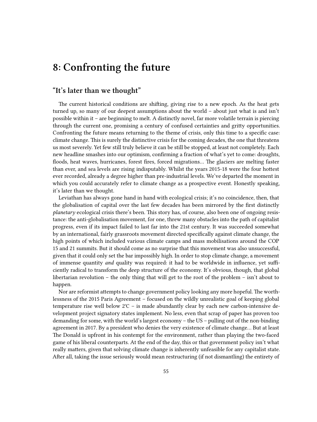## <span id="page-54-0"></span>**8: Confronting the future**

#### <span id="page-54-1"></span>**"It's later than we thought"**

The current historical conditions are shifting, giving rise to a new epoch. As the heat gets turned up, so many of our deepest assumptions about the world – about just what is and isn't possible within it – are beginning to melt. A distinctly novel, far more volatile terrain is piercing through the current one, promising a century of confused certainties and gritty opportunities. Confronting the future means returning to the theme of crisis, only this time to a specific case: climate change. This is surely the distinctive crisis for the coming decades, the one that threatens us most severely. Yet few still truly believe it can be still be stopped, at least not completely. Each new headline smashes into our optimism, confirming a fraction of what's yet to come: droughts, floods, heat waves, hurricanes, forest fires, forced migrations… The glaciers are melting faster than ever, and sea levels are rising indisputably. Whilst the years 2015-18 were the four hottest ever recorded, already a degree higher than pre-industrial levels. We've departed the moment in which you could accurately refer to climate change as a prospective event. Honestly speaking, it's later than we thought.

Leviathan has always gone hand in hand with ecological crisis; it's no coincidence, then, that the globalisation of capital over the last few decades has been mirrored by the first distinctly *planetary* ecological crisis there's been. This story has, of course, also been one of ongoing resistance: the anti-globalisation movement, for one, threw many obstacles into the path of capitalist progress, even if its impact failed to last far into the 21st century. It was succeeded somewhat by an international, fairly grassroots movement directed specifically against climate change, the high points of which included various climate camps and mass mobilisations around the COP 15 and 21 summits. But it should come as no surprise that this movement was also unsuccessful, given that it could only set the bar impossibly high. In order to stop climate change, a movement of immense quantity *and* quality was required: it had to be worldwide in influence, yet sufficiently radical to transform the deep structure of the economy. It's obvious, though, that global libertarian revolution – the only thing that will get to the root of the problem – isn't about to happen.

Nor are reformist attempts to change government policy looking any more hopeful. The worthlessness of the 2015 Paris Agreement – focused on the wildly unrealistic goal of keeping global temperature rise well below 2℃ – is made abundantly clear by each new carbon-intensive development project signatory states implement. No less, even that scrap of paper has proven too demanding for some, with the world's largest economy – the US – pulling out of the non-binding agreement in 2017. By a president who denies the very existence of climate change… But at least The Donald is upfront in his contempt for the environment, rather than playing the two-faced game of his liberal counterparts. At the end of the day, this or that government policy isn't what really matters, given that solving climate change is inherently unfeasible for any capitalist state. After all, taking the issue seriously would mean restructuring (if not dismantling) the entirety of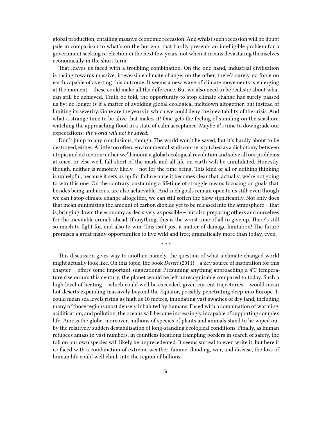global production, entailing massive economic recession. And whilst such recession will no doubt pale in comparison to what's on the horizon, that hardly presents an intelligible problem for a government seeking re-election in the next few years, not when it means devastating themselves economically in the short-term.

That leaves us faced with a troubling combination. On the one hand, industrial civilisation is racing towards massive, irreversible climate change; on the other, there's surely no force on earth capable of averting this outcome. It seems a new wave of climate movements is emerging at the moment – these could make all the difference. But we also need to be realistic about what can still be achieved. Truth be told, the opportunity to stop climate change has surely passed us by: no longer is it a matter of avoiding global ecological meltdown altogether, but instead of limiting its severity. Gone are the years in which we could deny the inevitability of the crisis. And what a strange time to be alive that makes it! One gets the feeling of standing on the seashore, watching the approaching flood in a state of calm acceptance. Maybe it's time to downgrade our expectations: *the world will not be saved.*

Don't jump to any conclusions, though. The world won't be saved, but it's hardly about to be destroyed, either. A little too often, environmentalist discourse is pitched as a dichotomy between utopia and extinction: either we'll mount a global ecological revolution and solve all our problems at once, or else we'll fall short of the mark and all life on earth will be annihilated. Honestly, though, neither is remotely likely – not for the time being. This kind of all or nothing thinking is unhelpful, because it sets us up for failure once it becomes clear that, actually, we're not going to win this one. On the contrary, sustaining a lifetime of struggle means focusing on goals that, besides being ambitious, are also achievable. And such goals remain open to us still: even though we can't stop climate change altogether, we can still soften the blow significantly. Not only does that mean minimising the amount of carbon dioxide yet to be released into the atmosphere – that is, bringing down the economy as decisively as possible – but also preparing others and ourselves for the inevitable crunch ahead. If anything, this is the worst time of all to give up. There's still so much to fight for, and also to win. This isn't just a matter of damage limitation! The future promises a great many opportunities to live wild and free; dramatically more than today, even.

\* \* \*

This discussion gives way to another, namely, the question of what a climate changed world might actually look like. On this topic, the book *Desert* (2011) – a key source of inspiration for this chapter – offers some important suggestions: Presuming anything approaching a 4℃ temperature rise occurs this century, the planet would be left unrecognisable compared to today. Such a high level of heating – which could well be exceeded, given current trajectories – would mean hot deserts expanding massively beyond the Equator, possibly penetrating deep into Europe. It could mean sea levels rising as high as 10 metres, inundating vast swathes of dry land, including many of those regions most densely inhabited by humans. Faced with a combination of warming, acidification, and pollution, the oceans will become increasingly incapable of supporting complex life. Across the globe, moreover, millions of species of plants and animals stand to be wiped out by the relatively sudden destabilisation of long-standing ecological conditions. Finally, as human refugees amass in vast numbers, in countless locations trampling borders in search of safety, the toll on our own species will likely be unprecedented. It seems surreal to even write it, but here it is: faced with a combination of extreme weather, famine, flooding, war, and disease, the loss of human life could well climb into the region of billions.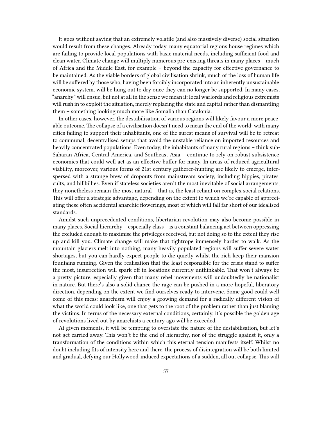It goes without saying that an extremely volatile (and also massively diverse) social situation would result from these changes. Already today, many equatorial regions house regimes which are failing to provide local populations with basic material needs, including sufficient food and clean water. Climate change will multiply numerous pre-existing threats in many places – much of Africa and the Middle East, for example – beyond the capacity for effective governance to be maintained. As the viable borders of global civilisation shrink, much of the loss of human life will be suffered by those who, having been forcibly incorporated into an inherently unsustainable economic system, will be hung out to dry once they can no longer be supported. In many cases, "anarchy" will ensue, but not at all in the sense we mean it: local warlords and religious extremists will rush in to exploit the situation, merely replacing the state and capital rather than dismantling them – something looking much more like Somalia than Catalonia.

In other cases, however, the destabilisation of various regions will likely favour a more peaceable outcome. The collapse of a civilisation doesn't need to mean the end of the world: with many cities failing to support their inhabitants, one of the surest means of survival will be to retreat to communal, decentralised setups that avoid the unstable reliance on imported resources and heavily concentrated populations. Even today, the inhabitants of many rural regions – think sub-Saharan Africa, Central America, and Southeast Asia – continue to rely on robust subsistence economies that could well act as an effective buffer for many. In areas of reduced agricultural viability, moreover, various forms of 21st century gatherer-hunting are likely to emerge, interspersed with a strange brew of dropouts from mainstream society, including hippies, pirates, cults, and hillbillies. Even if stateless societies aren't the most inevitable of social arrangements, they nonetheless remain the most natural – that is, the least reliant on complex social relations. This will offer a strategic advantage, depending on the extent to which we're capable of appreciating these often accidental anarchic flowerings, most of which will fall far short of our idealised standards.

Amidst such unprecedented conditions, libertarian revolution may also become possible in many places. Social hierarchy – especially class – is a constant balancing act between oppressing the excluded enough to maximise the privileges received, but not doing so to the extent they rise up and kill you. Climate change will make that tightrope immensely harder to walk. As the mountain glaciers melt into nothing, many heavily populated regions will suffer severe water shortages, but you can hardly expect people to die quietly whilst the rich keep their mansion fountains running. Given the realisation that the least responsible for the crisis stand to suffer the most, insurrection will spark off in locations currently unthinkable. That won't always be a pretty picture, especially given that many rebel movements will undoubtedly be nationalist in nature. But there's also a solid chance the rage can be pushed in a more hopeful, liberatory direction, depending on the extent we find ourselves ready to intervene. Some good could well come of this mess: anarchism will enjoy a growing demand for a radically different vision of what the world could look like, one that gets to the root of the problem rather than just blaming the victims. In terms of the necessary external conditions, certainly, it's possible the golden age of revolutions lived out by anarchists a century ago will be exceeded.

At given moments, it will be tempting to overstate the nature of the destabilisation, but let's not get carried away. This won't be the end of hierarchy, nor of the struggle against it, only a transformation of the conditions within which this eternal tension manifests itself. Whilst no doubt including fits of intensity here and there, the process of disintegration will be both limited and gradual, defying our Hollywood-induced expectations of a sudden, all out collapse. This will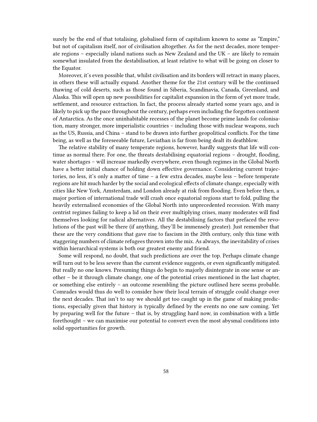surely be the end of that totalising, globalised form of capitalism known to some as "Empire," but not of capitalism itself, nor of civilisation altogether. As for the next decades, more temperate regions – especially island nations such as New Zealand and the UK – are likely to remain somewhat insulated from the destabilisation, at least relative to what will be going on closer to the Equator.

Moreover, it's even possible that, whilst civilisation and its borders will retract in many places, in others these will actually expand. Another theme for the 21st century will be the continued thawing of cold deserts, such as those found in Siberia, Scandinavia, Canada, Greenland, and Alaska. This will open up new possibilities for capitalist expansion in the form of yet more trade, settlement, and resource extraction. In fact, the process already started some years ago, and is likely to pick up the pace throughout the century, perhaps even including the forgotten continent of Antarctica. As the once uninhabitable recesses of the planet become prime lands for colonisation, many stronger, more imperialistic countries – including those with nuclear weapons, such as the US, Russia, and China – stand to be drawn into further geopolitical conflicts. For the time being, as well as the foreseeable future, Leviathan is far from being dealt its deathblow.

The relative stability of many temperate regions, however, hardly suggests that life will continue as normal there. For one, the threats destabilising equatorial regions – drought, flooding, water shortages – will increase markedly everywhere, even though regimes in the Global North have a better initial chance of holding down effective governance. Considering current trajectories, no less, it's only a matter of time – a few extra decades, maybe less – before temperate regions are hit much harder by the social and ecological effects of climate change, especially with cities like New York, Amsterdam, and London already at risk from flooding. Even before then, a major portion of international trade will crash once equatorial regions start to fold, pulling the heavily externalised economies of the Global North into unprecedented recession. With many centrist regimes failing to keep a lid on their ever multiplying crises, many moderates will find themselves looking for radical alternatives. All the destabilising factors that prefaced the revolutions of the past will be there (if anything, they'll be immensely greater). Just remember that these are the very conditions that gave rise to fascism in the 20th century, only this time with staggering numbers of climate refugees thrown into the mix. As always, the inevitability of crises within hierarchical systems is both our greatest enemy and friend.

Some will respond, no doubt, that such predictions are over the top. Perhaps climate change will turn out to be less severe than the current evidence suggests, or even significantly mitigated. But really no one knows. Presuming things do begin to majorly disintegrate in one sense or another – be it through climate change, one of the potential crises mentioned in the last chapter, or something else entirely – an outcome resembling the picture outlined here seems probable. Comrades would thus do well to consider how their local terrain of struggle could change over the next decades. That isn't to say we should get too caught up in the game of making predictions, especially given that history is typically defined by the events no one saw coming. Yet by preparing well for the future – that is, by struggling hard now, in combination with a little forethought – we can maximise our potential to convert even the most abysmal conditions into solid opportunities for growth.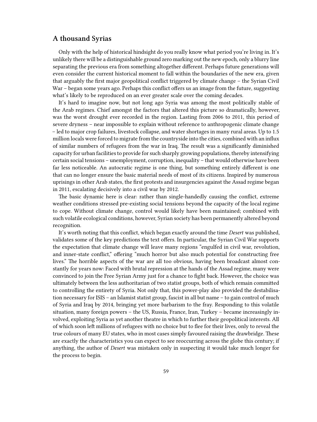#### <span id="page-58-0"></span>**A thousand Syrias**

Only with the help of historical hindsight do you really know what period you're living in. It's unlikely there will be a distinguishable ground zero marking out the new epoch, only a blurry line separating the previous era from something altogether different. Perhaps future generations will even consider the current historical moment to fall within the boundaries of the new era, given that arguably the first major geopolitical conflict triggered by climate change – the Syrian Civil War – began some years ago. Perhaps this conflict offers us an image from the future, suggesting what's likely to be reproduced on an ever greater scale over the coming decades.

It's hard to imagine now, but not long ago Syria was among the most politically stable of the Arab regimes. Chief amongst the factors that altered this picture so dramatically, however, was the worst drought ever recorded in the region. Lasting from 2006 to 2011, this period of severe dryness – near impossible to explain without reference to anthropogenic climate change – led to major crop failures, livestock collapse, and water shortages in many rural areas. Up to 1.5 million locals were forced to migrate from the countryside into the cities, combined with an influx of similar numbers of refugees from the war in Iraq. The result was a significantly diminished capacity for urban facilities to provide for such sharply growing populations, thereby intensifying certain social tensions – unemployment, corruption, inequality – that would otherwise have been far less noticeable. An autocratic regime is one thing, but something entirely different is one that can no longer ensure the basic material needs of most of its citizens. Inspired by numerous uprisings in other Arab states, the first protests and insurgencies against the Assad regime began in 2011, escalating decisively into a civil war by 2012.

The basic dynamic here is clear: rather than single-handedly causing the conflict, extreme weather conditions stressed pre-existing social tensions beyond the capacity of the local regime to cope. Without climate change, control would likely have been maintained; combined with such volatile ecological conditions, however, Syrian society has been permanently altered beyond recognition.

It's worth noting that this conflict, which began exactly around the time *Desert* was published, validates some of the key predictions the text offers. In particular, the Syrian Civil War supports the expectation that climate change will leave many regions "engulfed in civil war, revolution, and inner-state conflict," offering "much horror but also much potential for constructing free lives." The horrible aspects of the war are all too obvious, having been broadcast almost constantly for years now: Faced with brutal repression at the hands of the Assad regime, many were convinced to join the Free Syrian Army just for a chance to fight back. However, the choice was ultimately between the less authoritarian of two statist groups, both of which remain committed to controlling the entirety of Syria. Not only that, this power-play also provided the destabilisation necessary for ISIS – an Islamist statist group, fascist in all but name – to gain control of much of Syria and Iraq by 2014, bringing yet more barbarism to the fray. Responding to this volatile situation, many foreign powers – the US, Russia, France, Iran, Turkey – became increasingly involved, exploiting Syria as yet another theatre in which to further their geopolitical interests. All of which soon left millions of refugees with no choice but to flee for their lives, only to reveal the true colours of many EU states, who in most cases simply favoured raising the drawbridge. These are exactly the characteristics you can expect to see reoccurring across the globe this century; if anything, the author of *Desert* was mistaken only in suspecting it would take much longer for the process to begin.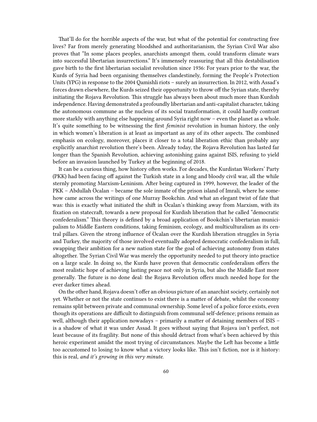That'll do for the horrible aspects of the war, but what of the potential for constructing free lives? Far from merely generating bloodshed and authoritarianism, the Syrian Civil War also proves that "In some places peoples, anarchists amongst them, could transform climate wars into successful libertarian insurrections." It's immensely reassuring that all this destabilisation gave birth to the first libertarian socialist revolution since 1936: For years prior to the war, the Kurds of Syria had been organising themselves clandestinely, forming the People's Protection Units (YPG) in response to the 2004 Qamishli riots – surely an insurrection. In 2012, with Assad's forces drawn elsewhere, the Kurds seized their opportunity to throw off the Syrian state, thereby initiating the Rojava Revolution. This struggle has always been about much more than Kurdish independence. Having demonstrated a profoundly libertarian and anti-capitalist character, taking the autonomous commune as the nucleus of its social transformation, it could hardly contrast more starkly with anything else happening around Syria right now – even the planet as a whole. It's quite something to be witnessing the first *feminist* revolution in human history, the only in which women's liberation is at least as important as any of its other aspects. The combined emphasis on ecology, moreover, places it closer to a total liberation ethic than probably any explicitly anarchist revolution there's been. Already today, the Rojava Revolution has lasted far longer than the Spanish Revolution, achieving astonishing gains against ISIS, refusing to yield before an invasion launched by Turkey at the beginning of 2018.

It can be a curious thing, how history often works. For decades, the Kurdistan Workers' Party (PKK) had been facing off against the Turkish state in a long and bloody civil war, all the while sternly promoting Marxism-Leninism. After being captured in 1999, however, the leader of the PKK – Abdullah Öcalan – became the sole inmate of the prison island of Imrali, where he somehow came across the writings of one Murray Bookchin. And what an elegant twist of fate that was: this is exactly what initiated the shift in Öcalan's thinking away from Marxism, with its fixation on statecraft, towards a new proposal for Kurdish liberation that he called "democratic confederalism." This theory is defined by a broad application of Bookchin's libertarian municipalism to Middle Eastern conditions, taking feminism, ecology, and multiculturalism as its central pillars. Given the strong influence of Öcalan over the Kurdish liberation struggles in Syria and Turkey, the majority of those involved eventually adopted democratic confederalism in full, swapping their ambition for a new nation state for the goal of achieving autonomy from states altogether. The Syrian Civil War was merely the opportunity needed to put theory into practice on a large scale. In doing so, the Kurds have proven that democratic confederalism offers the most realistic hope of achieving lasting peace not only in Syria, but also the Middle East more generally. The future is no done deal: the Rojava Revolution offers much needed hope for the ever darker times ahead.

On the other hand, Rojava doesn't offer an obvious picture of an anarchist society, certainly not yet. Whether or not the state continues to exist there is a matter of debate, whilst the economy remains split between private and communal ownership. Some level of a police force exists, even though its operations are difficult to distinguish from communal self-defence; prisons remain as well, although their application nowadays – primarily a matter of detaining members of ISIS – is a shadow of what it was under Assad. It goes without saying that Rojava isn't perfect, not least because of its fragility. But none of this should detract from what's been achieved by this heroic experiment amidst the most trying of circumstances. Maybe the Left has become a little too accustomed to losing to know what a victory looks like. This isn't fiction, nor is it history: this is real, *and it's growing in this very minute.*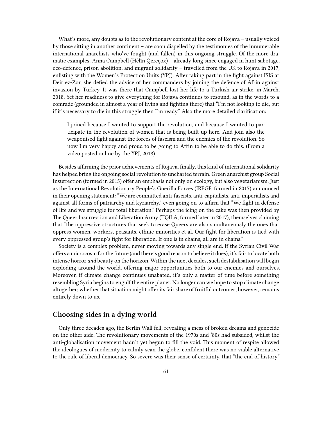What's more, any doubts as to the revolutionary content at the core of Rojava – usually voiced by those sitting in another continent – are soon dispelled by the testimonies of the innumerable international anarchists who've fought (and fallen) in this ongoing struggle. Of the more dramatic examples, Anna Campbell (Hêlîn Qereçox) – already long since engaged in hunt sabotage, eco-defence, prison abolition, and migrant solidarity – travelled from the UK to Rojava in 2017, enlisting with the Women's Protection Units (YPJ). After taking part in the fight against ISIS at Deir ez-Zor, she defied the advice of her commanders by joining the defence of Afrin against invasion by Turkey. It was there that Campbell lost her life to a Turkish air strike, in March, 2018. Yet her readiness to give everything for Rojava continues to resound, as in the words to a comrade (grounded in almost a year of living and fighting there) that "I'm not looking to die, but if it's necessary to die in this struggle then I'm ready." Also the more detailed clarification:

I joined because I wanted to support the revolution, and because I wanted to participate in the revolution of women that is being built up here. And join also the weaponised fight against the forces of fascism and the enemies of the revolution. So now I'm very happy and proud to be going to Afrin to be able to do this. (From a video posted online by the YPJ, 2018)

Besides affirming the prior achievements of Rojava, finally, this kind of international solidarity has helped bring the ongoing social revolution to uncharted terrain. Green anarchist group Social Insurrection (formed in 2015) offer an emphasis not only on ecology, but also vegetarianism. Just as the International Revolutionary People's Guerilla Forces (IRPGF, formed in 2017) announced in their opening statement: "We are committed anti-fascists, anti-capitalists, anti-imperialists and against all forms of patriarchy and kyriarchy," even going on to affirm that "We fight in defense of life and we struggle for total liberation." Perhaps the icing on the cake was then provided by The Queer Insurrection and Liberation Army (TQILA, formed later in 2017), themselves claiming that "the oppressive structures that seek to erase Queers are also simultaneously the ones that oppress women, workers, peasants, ethnic minorities et al. Our fight for liberation is tied with every oppressed group's fight for liberation. If one is in chains, all are in chains."

Society is a complex problem, never moving towards any single end. If the Syrian Civil War offers a microcosm for the future (and there's good reason to believe it does), it's fair to locate both intense horror *and* beauty on the horizon. Within the next decades, such destabilisation will begin exploding around the world, offering major opportunities both to our enemies and ourselves. Moreover, if climate change continues unabated, it's only a matter of time before something resembling Syria begins to engulf the entire planet. No longer can we hope to stop climate change altogether; whether that situation might offer its fair share of fruitful outcomes, however, remains entirely down to us.

#### <span id="page-60-0"></span>**Choosing sides in a dying world**

Only three decades ago, the Berlin Wall fell, revealing a mess of broken dreams and genocide on the other side. The revolutionary movements of the 1970s and '80s had subsided, whilst the anti-globalisation movement hadn't yet begun to fill the void. This moment of respite allowed the ideologues of modernity to calmly scan the globe, confident there was no viable alternative to the rule of liberal democracy. So severe was their sense of certainty, that "the end of history"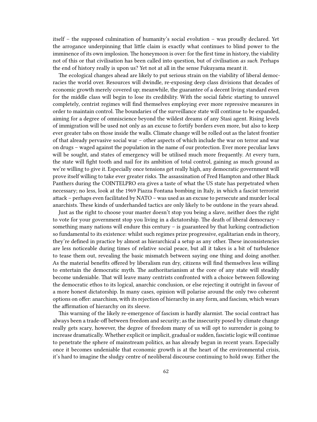itself – the supposed culmination of humanity's social evolution – was proudly declared. Yet the arrogance underpinning that little claim is exactly what continues to blind power to the imminence of its own implosion. The honeymoon is over: for the first time in history, the viability not of this or that civilisation has been called into question, but of civilisation *as such.* Perhaps the end of history really is upon us? Yet not at all in the sense Fukuyama meant it.

The ecological changes ahead are likely to put serious strain on the viability of liberal democracies the world over. Resources will dwindle, re-exposing deep class divisions that decades of economic growth merely covered up; meanwhile, the guarantee of a decent living standard even for the middle class will begin to lose its credibility. With the social fabric starting to unravel completely, centrist regimes will find themselves employing ever more repressive measures in order to maintain control. The boundaries of the surveillance state will continue to be expanded, aiming for a degree of omniscience beyond the wildest dreams of any Stasi agent. Rising levels of immigration will be used not only as an excuse to fortify borders even more, but also to keep ever greater tabs on those inside the walls. Climate change will be rolled out as the latest frontier of that already pervasive social war – other aspects of which include the war on terror and war on drugs – waged against the population in the name of our protection. Ever more peculiar laws will be sought, and states of emergency will be utilised much more frequently. At every turn, the state will fight tooth and nail for its ambition of total control, gaining as much ground as we're willing to give it. Especially once tensions get really high, any democratic government will prove itself willing to take ever greater risks. The assassination of Fred Hampton and other Black Panthers during the COINTELPRO era gives a taste of what the US state has perpetrated when necessary; no less, look at the 1969 Piazza Fontana bombing in Italy, in which a fascist terrorist attack – perhaps even facilitated by NATO – was used as an excuse to persecute and murder local anarchists. These kinds of underhanded tactics are only likely to be outdone in the years ahead.

Just as the right to choose your master doesn't stop you being a slave, neither does the right to vote for your government stop you living in a dictatorship. The death of liberal democracy – something many nations will endure this century  $-$  is guaranteed by that lurking contradiction so fundamental to its existence: whilst such regimes prize progressive, egalitarian ends in theory, they're defined in practice by almost as hierarchical a setup as any other. These inconsistencies are less noticeable during times of relative social peace, but all it takes is a bit of turbulence to tease them out, revealing the basic mismatch between saying one thing and doing another. As the material benefits offered by liberalism run dry, citizens will find themselves less willing to entertain the democratic myth. The authoritarianism at the core of any state will steadily become undeniable. That will leave many centrists confronted with a choice between following the democratic ethos to its logical, anarchic conclusion, or else rejecting it outright in favour of a more honest dictatorship. In many cases, opinion will polarise around the only two coherent options on offer: anarchism, with its rejection of hierarchy in any form, and fascism, which wears the affirmation of hierarchy on its sleeve.

This warning of the likely re-emergence of fascism is hardly alarmist. The social contract has always been a trade-off between freedom and security; as the insecurity posed by climate change really gets scary, however, the degree of freedom many of us will opt to surrender is going to increase dramatically. Whether explicit or implicit, gradual or sudden, fascistic logic will continue to penetrate the sphere of mainstream politics, as has already begun in recent years. Especially once it becomes undeniable that economic growth is at the heart of the environmental crisis, it's hard to imagine the sludgy centre of neoliberal discourse continuing to hold sway. Either the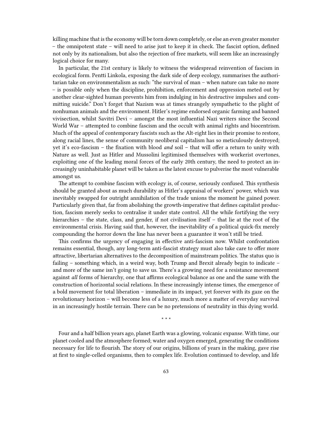killing machine that is the economy will be torn down completely, or else an even greater monster – the omnipotent state – will need to arise just to keep it in check. The fascist option, defined not only by its nationalism, but also the rejection of free markets, will seem like an increasingly logical choice for many.

In particular, the 21st century is likely to witness the widespread reinvention of fascism in ecological form. Pentti Linkola, exposing the dark side of deep ecology, summarises the authoritarian take on environmentalism as such: "the survival of man – when nature can take no more – is possible only when the discipline, prohibition, enforcement and oppression meted out by another clear-sighted human prevents him from indulging in his destructive impulses and committing suicide." Don't forget that Nazism was at times strangely sympathetic to the plight of nonhuman animals and the environment. Hitler's regime endorsed organic farming and banned vivisection, whilst Savitri Devi – amongst the most influential Nazi writers since the Second World War – attempted to combine fascism and the occult with animal rights and biocentrism. Much of the appeal of contemporary fascists such as the Alt-right lies in their promise to restore, along racial lines, the sense of community neoliberal capitalism has so meticulously destroyed; yet it's eco-fascism – the fixation with blood *and* soil – that will offer a return to unity with Nature as well. Just as Hitler and Mussolini legitimised themselves with workerist overtones, exploiting one of the leading moral forces of the early 20th century, the need to protect an increasingly uninhabitable planet will be taken as the latest excuse to pulverise the most vulnerable amongst us.

The attempt to combine fascism with ecology is, of course, seriously confused. This synthesis should be granted about as much durability as Hitler's appraisal of workers' power, which was inevitably swapped for outright annihilation of the trade unions the moment he gained power. Particularly given that, far from abolishing the growth-imperative that defines capitalist production, fascism merely seeks to centralise it under state control. All the while fortifying the very hierarchies – the state, class, and gender, if not civilisation itself – that lie at the root of the environmental crisis. Having said that, however, the inevitability of a political quick-fix merely compounding the horror down the line has never been a guarantee it won't still be tried.

This confirms the urgency of engaging in effective anti-fascism now. Whilst confrontation remains essential, though, any long-term anti-fascist strategy must also take care to offer more attractive, libertarian alternatives to the decomposition of mainstream politics. The status quo is failing – something which, in a weird way, both Trump and Brexit already begin to indicate – and more of the same isn't going to save us. There's a growing need for a resistance movement against *all* forms of hierarchy, one that affirms ecological balance as one and the same with the construction of horizontal social relations. In these increasingly intense times, the emergence of a bold movement for total liberation – immediate in its impact, yet forever with its gaze on the revolutionary horizon – will become less of a luxury, much more a matter of everyday survival in an increasingly hostile terrain. There can be no pretensions of neutrality in this dying world.

\* \* \*

Four and a half billion years ago, planet Earth was a glowing, volcanic expanse. With time, our planet cooled and the atmosphere formed; water and oxygen emerged, generating the conditions necessary for life to flourish. The story of our origins, billions of years in the making, gave rise at first to single-celled organisms, then to complex life. Evolution continued to develop, and life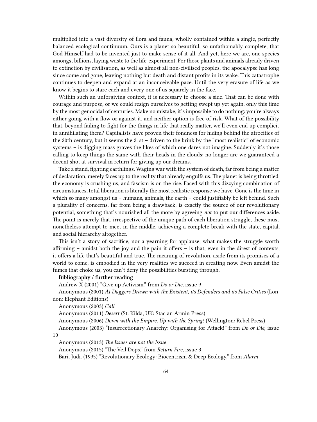multiplied into a vast diversity of flora and fauna, wholly contained within a single, perfectly balanced ecological continuum. Ours is a planet so beautiful, so unfathomably complete, that God Himself had to be invented just to make sense of it all. And yet, here we are, one species amongst billions, laying waste to the life-experiment. For those plants and animals already driven to extinction by civilisation, as well as almost all non-civilised peoples, the apocalypse has long since come and gone, leaving nothing but death and distant profits in its wake. This catastrophe continues to deepen and expand at an inconceivable pace. Until the very erasure of life as we know it begins to stare each and every one of us squarely in the face.

Within such an unforgiving context, it is necessary to choose a side. That can be done with courage and purpose, or we could resign ourselves to getting swept up yet again, only this time by the most genocidal of centuries. Make no mistake, it's impossible to do nothing: you're always either going with a flow or against it, and neither option is free of risk. What of the possibility that, beyond failing to fight for the things in life that really matter, we'll even end up complicit in annihilating them? Capitalists have proven their fondness for hiding behind the atrocities of the 20th century, but it seems the 21st – driven to the brink by the "most realistic" of economic systems – is digging mass graves the likes of which one dares not imagine. Suddenly it's those calling to keep things the same with their heads in the clouds: no longer are we guaranteed a decent shot at survival in return for giving up our dreams.

Take a stand, fighting earthlings. Waging war with the system of death, far from being a matter of declaration, merely faces up to the reality that already engulfs us. The planet is being throttled, the economy is crushing us, and fascism is on the rise. Faced with this dizzying combination of circumstances, total liberation is literally the most realistic response we have. Gone is the time in which so many amongst us – humans, animals, the earth – could justifiably be left behind. Such a plurality of concerns, far from being a drawback, is exactly the source of our revolutionary potential, something that's nourished all the more by agreeing *not* to put our differences aside. The point is merely that, irrespective of the unique path of each liberation struggle, these must nonetheless attempt to meet in the middle, achieving a complete break with the state, capital, and social hierarchy altogether.

This isn't a story of sacrifice, nor a yearning for applause; what makes the struggle worth affirming – amidst both the joy and the pain it offers – is that, even in the direst of contexts, it offers a life that's beautiful and true. The meaning of revolution, aside from its promises of a world to come, is embodied in the very realities we succeed in creating now. Even amidst the fumes that choke us, you can't deny the possibilities bursting through.

#### **Bibliography / further reading**

Andrew X (2001) "Give up Activism." from *Do or Die*, issue 9

Anonymous (2001) *At Daggers Drawn with the Existent, its Defenders and its False Critics* (London: Elephant Editions)

Anonymous (2003) *Call*

Anonymous (2011) *Desert* (St. Kilda, UK: Stac an Armin Press)

Anonymous (2006) *Down with the Empire, Up with the Spring!* (Wellington: Rebel Press)

Anonymous (2003) "Insurrectionary Anarchy: Organising for Attack!" from *Do or Die*, issue 10

Anonymous (2013) *The Issues are not the Issue*

Anonymous (2015) "The Veil Dops." from *Return Fire*, issue 3

Bari, Judi. (1995) "Revolutionary Ecology: Biocentrism & Deep Ecology." from *Alarm*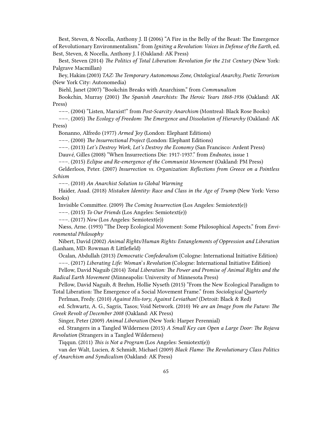Best, Steven, & Nocella, Anthony J. II (2006) "A Fire in the Belly of the Beast: The Emergence of Revolutionary Environmentalism." from *Igniting a Revolution: Voices in Defense of the Earth*, ed. Best, Steven, & Nocella, Anthony J. I (Oakland: AK Press)

Best, Steven (2014) *The Politics of Total Liberation: Revolution for the 21st Century* (New York: Palgrave Macmillan)

Bey, Hakim (2003) *TAZ: The Temporary Autonomous Zone, Ontological Anarchy, Poetic Terrorism* (New York City: Autonomedia)

Biehl, Janet (2007) "Bookchin Breaks with Anarchism." from *Communalism*

Bookchin, Murray (2001) *The Spanish Anarchists: The Heroic Years 1868-1936* (Oakland: AK Press)

–––. (2004) "Listen, Marxist!" from *Post-Scarcity Anarchism* (Montreal: Black Rose Books)

–––. (2005) *The Ecology of Freedom: The Emergence and Dissolution of Hierarchy* (Oakland: AK Press)

Bonanno, Alfredo (1977) *Armed Joy* (London: Elephant Editions)

–––. (2000) *The Insurrectional Project* (London: Elephant Editions)

–––. (2013) *Let's Destroy Work, Let's Destroy the Economy* (San Francisco: Ardent Press)

Dauv*é*, Gilles (2008) "When Insurrections Die: 1917-1937." from *Endnotes*, issue 1

–––. (2015) *Eclipse and Re-emergence of the Communist Movement* (Oakland: PM Press)

Gelderloos, Peter. (2007) *Insurrection vs. Organization: Reflections from Greece on a Pointless Schism*

–––. (2010) *An Anarchist Solution to Global Warming*

Haider, Asad. (2018) *Mistaken Identity: Race and Class in the Age of Trump* (New York: Verso Books)

Invisible Committee. (2009) *The Coming Insurrection* (Los Angeles: Semiotext(e))

–––. (2015) *To Our Friends* (Los Angeles: Semiotext(e))

–––. (2017) *Now* (Los Angeles: Semiotext(e))

Næss, Arne. (1993) "The Deep Ecological Movement: Some Philosophical Aspects." from *Environmental Philosophy*

Nibert, David (2002) *Animal Rights/Human Rights: Entanglements of Oppression and Liberation* (Lanham, MD: Rowman & Littlefield)

Öcalan, Abdullah (2013) *Democratic Confederalism* (Cologne: International Initiative Edition) –––. (2017) *Liberating Life: Woman*'*s Revolution* (Cologne: International Initiative Edition)

Pellow, David Naguib (2014) *Total Liberation: The Power and Promise of Animal Rights and the Radical Earth Movement* (Minneapolis: University of Minnesota Press)

Pellow, David Naguib, & Brehm, Hollie Nyseth (2015) "From the New Ecological Paradigm to Total Liberation: The Emergence of a Social Movement Frame." from *Sociological Quarterly*

Perlman, Fredy. (2010) *Against His-tory, Against Leviathan!* (Detroit: Black & Red)

ed. Schwartz, A. G., Sagris, Tasos; Void Network. (2010) *We are an Image from the Future: The Greek Revolt of December 2008* (Oakland: AK Press)

Singer, Peter (2009) *Animal Liberation* (New York: Harper Perennial)

ed. Strangers in a Tangled Wilderness (2015) *A Small Key can Open a Large Door: The Rojava Revolution* (Strangers in a Tangled Wilderness)

Tiqqun. (2011) *This is Not a Program* (Los Angeles: Semiotext(e))

van der Walt, Lucien, & Schmidt, Michael (2009) *Black Flame: The Revolutionary Class Politics of Anarchism and Syndicalism* (Oakland: AK Press)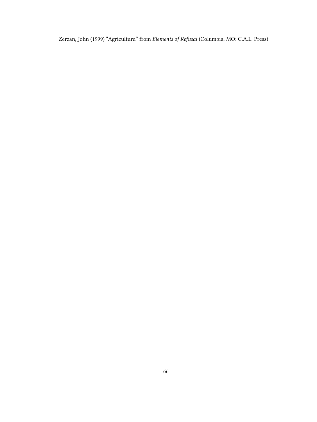Zerzan, John (1999) "Agriculture." from *Elements of Refusal* (Columbia, MO: C.A.L. Press)